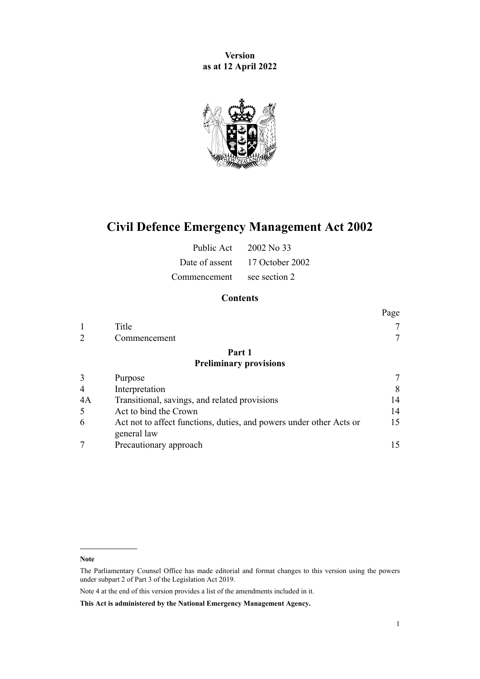**Version as at 12 April 2022**



# **Civil Defence Emergency Management Act 2002**

| Public Act   | 2002 No. 33                    |
|--------------|--------------------------------|
|              | Date of assent 17 October 2002 |
| Commencement | see section 2                  |

## **Contents**

|    |                                                                                    | Page |
|----|------------------------------------------------------------------------------------|------|
|    | Title                                                                              |      |
| 2  | Commencement                                                                       |      |
|    | Part 1                                                                             |      |
|    | <b>Preliminary provisions</b>                                                      |      |
| 3  | Purpose                                                                            |      |
| 4  | Interpretation                                                                     | 8    |
| 4A | Transitional, savings, and related provisions                                      | 14   |
| 5  | Act to bind the Crown                                                              | 14   |
| 6  | Act not to affect functions, duties, and powers under other Acts or<br>general law | 15   |
|    | Precautionary approach                                                             |      |

**Note**

The Parliamentary Counsel Office has made editorial and format changes to this version using the powers under [subpart 2](http://legislation.govt.nz/pdflink.aspx?id=DLM7298371) of Part 3 of the Legislation Act 2019.

Note 4 at the end of this version provides a list of the amendments included in it.

**This Act is administered by the National Emergency Management Agency.**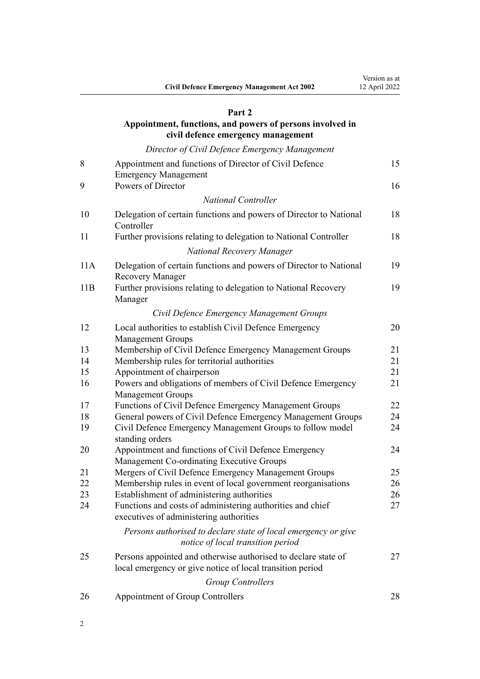#### **[Part 2](#page-14-0)**

### **[Appointment, functions, and powers of persons involved in](#page-14-0) [civil defence emergency management](#page-14-0)**

*[Director of Civil Defence Emergency Management](#page-14-0)*

| 8   | Appointment and functions of Director of Civil Defence                                                                      | 15 |
|-----|-----------------------------------------------------------------------------------------------------------------------------|----|
|     | <b>Emergency Management</b>                                                                                                 |    |
| 9   | Powers of Director                                                                                                          | 16 |
|     | <b>National Controller</b>                                                                                                  |    |
| 10  | Delegation of certain functions and powers of Director to National<br>Controller                                            | 18 |
| 11  | Further provisions relating to delegation to National Controller                                                            | 18 |
|     | National Recovery Manager                                                                                                   |    |
| 11A | Delegation of certain functions and powers of Director to National<br><b>Recovery Manager</b>                               | 19 |
| 11B | Further provisions relating to delegation to National Recovery<br>Manager                                                   | 19 |
|     | Civil Defence Emergency Management Groups                                                                                   |    |
| 12  | Local authorities to establish Civil Defence Emergency<br><b>Management Groups</b>                                          | 20 |
| 13  | Membership of Civil Defence Emergency Management Groups                                                                     | 21 |
| 14  | Membership rules for territorial authorities                                                                                | 21 |
| 15  | Appointment of chairperson                                                                                                  | 21 |
| 16  | Powers and obligations of members of Civil Defence Emergency<br><b>Management Groups</b>                                    | 21 |
| 17  | Functions of Civil Defence Emergency Management Groups                                                                      | 22 |
| 18  | General powers of Civil Defence Emergency Management Groups                                                                 | 24 |
| 19  | Civil Defence Emergency Management Groups to follow model<br>standing orders                                                | 24 |
| 20  | Appointment and functions of Civil Defence Emergency<br>Management Co-ordinating Executive Groups                           | 24 |
| 21  | Mergers of Civil Defence Emergency Management Groups                                                                        | 25 |
| 22  | Membership rules in event of local government reorganisations                                                               | 26 |
| 23  | Establishment of administering authorities                                                                                  | 26 |
| 24  | Functions and costs of administering authorities and chief<br>executives of administering authorities                       | 27 |
|     | Persons authorised to declare state of local emergency or give<br>notice of local transition period                         |    |
| 25  | Persons appointed and otherwise authorised to declare state of<br>local emergency or give notice of local transition period | 27 |
|     | <b>Group Controllers</b>                                                                                                    |    |
| 26  | Appointment of Group Controllers                                                                                            | 28 |
|     |                                                                                                                             |    |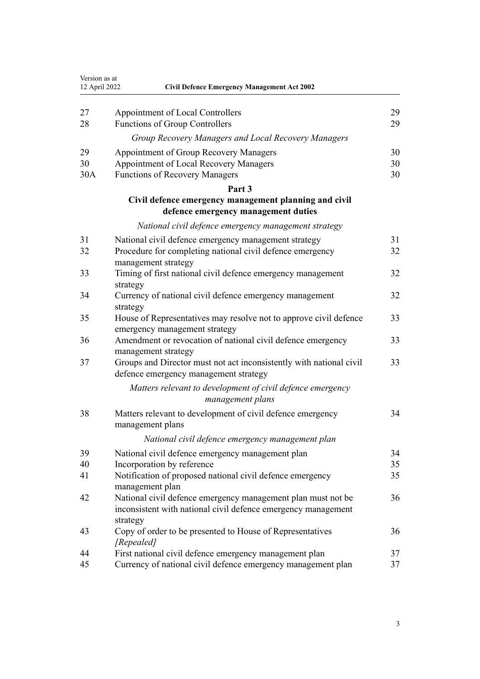| Version as at<br>12 April 2022 | <b>Civil Defence Emergency Management Act 2002</b>                                                                                        |    |
|--------------------------------|-------------------------------------------------------------------------------------------------------------------------------------------|----|
| 27                             | Appointment of Local Controllers                                                                                                          | 29 |
| 28                             | <b>Functions of Group Controllers</b>                                                                                                     | 29 |
|                                | Group Recovery Managers and Local Recovery Managers                                                                                       |    |
| 29                             | Appointment of Group Recovery Managers                                                                                                    | 30 |
| 30                             | Appointment of Local Recovery Managers                                                                                                    | 30 |
| 30A                            | <b>Functions of Recovery Managers</b>                                                                                                     | 30 |
|                                | Part 3                                                                                                                                    |    |
|                                | Civil defence emergency management planning and civil<br>defence emergency management duties                                              |    |
|                                | National civil defence emergency management strategy                                                                                      |    |
| 31                             | National civil defence emergency management strategy                                                                                      | 31 |
| 32                             | Procedure for completing national civil defence emergency                                                                                 | 32 |
|                                | management strategy                                                                                                                       |    |
| 33                             | Timing of first national civil defence emergency management<br>strategy                                                                   | 32 |
| 34                             | Currency of national civil defence emergency management                                                                                   | 32 |
|                                | strategy                                                                                                                                  |    |
| 35                             | House of Representatives may resolve not to approve civil defence<br>emergency management strategy                                        | 33 |
| 36                             | Amendment or revocation of national civil defence emergency                                                                               | 33 |
| 37                             | management strategy<br>Groups and Director must not act inconsistently with national civil<br>defence emergency management strategy       | 33 |
|                                | Matters relevant to development of civil defence emergency<br>management plans                                                            |    |
| 38                             | Matters relevant to development of civil defence emergency<br>management plans                                                            | 34 |
|                                | National civil defence emergency management plan                                                                                          |    |
| 39                             | National civil defence emergency management plan                                                                                          | 34 |
| 40                             | Incorporation by reference                                                                                                                | 35 |
| 41                             | Notification of proposed national civil defence emergency<br>management plan                                                              | 35 |
| 42                             | National civil defence emergency management plan must not be<br>inconsistent with national civil defence emergency management<br>strategy | 36 |
| 43                             | Copy of order to be presented to House of Representatives<br>[Repealed]                                                                   | 36 |
| 44                             | First national civil defence emergency management plan                                                                                    | 37 |
| 45                             | Currency of national civil defence emergency management plan                                                                              | 37 |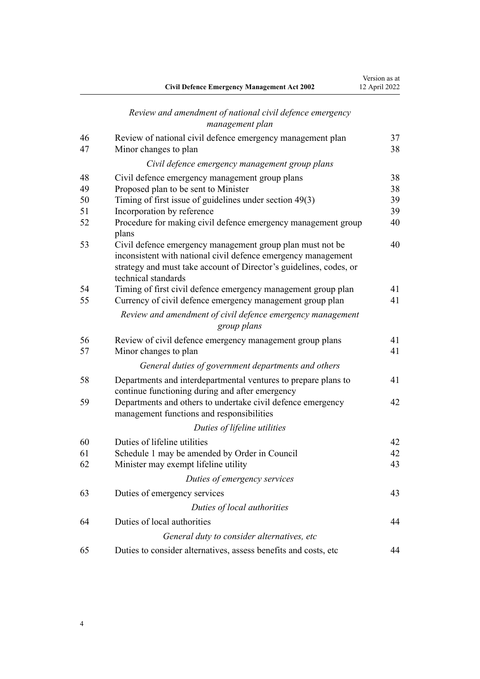|          | <b>Civil Defence Emergency Management Act 2002</b>                                                                                                                                                                      | 12 April 2022 |
|----------|-------------------------------------------------------------------------------------------------------------------------------------------------------------------------------------------------------------------------|---------------|
|          | Review and amendment of national civil defence emergency<br>management plan                                                                                                                                             |               |
| 46       | Review of national civil defence emergency management plan                                                                                                                                                              | 37            |
| 47       | Minor changes to plan                                                                                                                                                                                                   | 38            |
|          | Civil defence emergency management group plans                                                                                                                                                                          |               |
| 48       | Civil defence emergency management group plans                                                                                                                                                                          | 38            |
| 49       | Proposed plan to be sent to Minister                                                                                                                                                                                    | 38            |
| 50       | Timing of first issue of guidelines under section 49(3)                                                                                                                                                                 | 39            |
| 51       | Incorporation by reference                                                                                                                                                                                              | 39            |
| 52       | Procedure for making civil defence emergency management group<br>plans                                                                                                                                                  | 40            |
| 53       | Civil defence emergency management group plan must not be<br>inconsistent with national civil defence emergency management<br>strategy and must take account of Director's guidelines, codes, or<br>technical standards | 40            |
| 54       | Timing of first civil defence emergency management group plan                                                                                                                                                           | 41            |
| 55       | Currency of civil defence emergency management group plan                                                                                                                                                               | 41            |
|          | Review and amendment of civil defence emergency management<br>group plans                                                                                                                                               |               |
| 56<br>57 | Review of civil defence emergency management group plans<br>Minor changes to plan                                                                                                                                       | 41<br>41      |
|          | General duties of government departments and others                                                                                                                                                                     |               |
| 58       | Departments and interdepartmental ventures to prepare plans to<br>continue functioning during and after emergency                                                                                                       | 41            |
| 59       | Departments and others to undertake civil defence emergency<br>management functions and responsibilities                                                                                                                | 42            |
|          | Duties of lifeline utilities                                                                                                                                                                                            |               |
| 60       | Duties of lifeline utilities                                                                                                                                                                                            | 42            |
| 61       | Schedule 1 may be amended by Order in Council                                                                                                                                                                           | 42            |
| 62       | Minister may exempt lifeline utility                                                                                                                                                                                    | 43            |
|          | Duties of emergency services                                                                                                                                                                                            |               |
| 63       | Duties of emergency services                                                                                                                                                                                            | 43            |
|          | Duties of local authorities                                                                                                                                                                                             |               |
| 64       | Duties of local authorities                                                                                                                                                                                             | 44            |
|          | General duty to consider alternatives, etc                                                                                                                                                                              |               |
| 65       | Duties to consider alternatives, assess benefits and costs, etc                                                                                                                                                         | 44            |

Version as at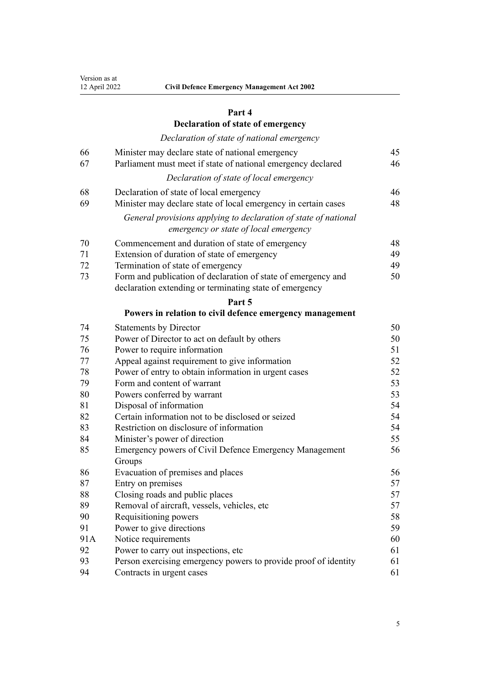## **[Part 4](#page-44-0)**

## **[Declaration of state of emergency](#page-44-0)**

### *[Declaration of state of national emergency](#page-44-0)*

| 66<br>67 | Minister may declare state of national emergency<br>Parliament must meet if state of national emergency declared | 45<br>46 |
|----------|------------------------------------------------------------------------------------------------------------------|----------|
|          | Declaration of state of local emergency                                                                          |          |
| 68<br>69 | Declaration of state of local emergency<br>Minister may declare state of local emergency in certain cases        | 46<br>48 |
|          | General provisions applying to declaration of state of national<br>emergency or state of local emergency         |          |
| 70       | Commencement and duration of state of emergency                                                                  | 48       |
| 71       | Extension of duration of state of emergency                                                                      | 49       |
| 72       | Termination of state of emergency                                                                                | 49       |
| 73       | Form and publication of declaration of state of emergency and                                                    | 50       |
|          | declaration extending or terminating state of emergency                                                          |          |
|          | Part 5                                                                                                           |          |
|          | Powers in relation to civil defence emergency management                                                         |          |
| 74       | <b>Statements by Director</b>                                                                                    | 50       |
| 75       | Power of Director to act on default by others                                                                    | 50       |
| 76       | Power to require information                                                                                     | 51       |
| 77       | Appeal against requirement to give information                                                                   | 52       |
| 78       | Power of entry to obtain information in urgent cases                                                             | 52       |
| 79       | Form and content of warrant                                                                                      | 53       |
| 80       | Powers conferred by warrant                                                                                      | 53       |
| 81       | Disposal of information                                                                                          | 54       |
| 82       | Certain information not to be disclosed or seized                                                                | 54       |
| 83       | Restriction on disclosure of information                                                                         | 54       |
| 84       | Minister's power of direction                                                                                    | 55       |
| 85       | Emergency powers of Civil Defence Emergency Management                                                           | 56       |
|          | Groups                                                                                                           |          |
| 86       | Evacuation of premises and places                                                                                | 56       |
| 87       | Entry on premises                                                                                                | 57       |
| 88       | Closing roads and public places                                                                                  | 57       |

 [Removal of aircraft, vessels, vehicles, etc](#page-56-0) [57](#page-56-0) [Requisitioning powers](#page-57-0) [58](#page-57-0) [Power to give directions](#page-58-0) [59](#page-58-0) [91A](#page-59-0) [Notice requirements](#page-59-0) [60](#page-59-0) [Power to carry out inspections, etc](#page-60-0) [61](#page-60-0)<br>93 Person exercising emergency powers to provide proof of identity 61

[Contracts in urgent cases](#page-60-0) [61](#page-60-0)

[Person exercising emergency powers to provide proof of identity](#page-60-0) [61](#page-60-0)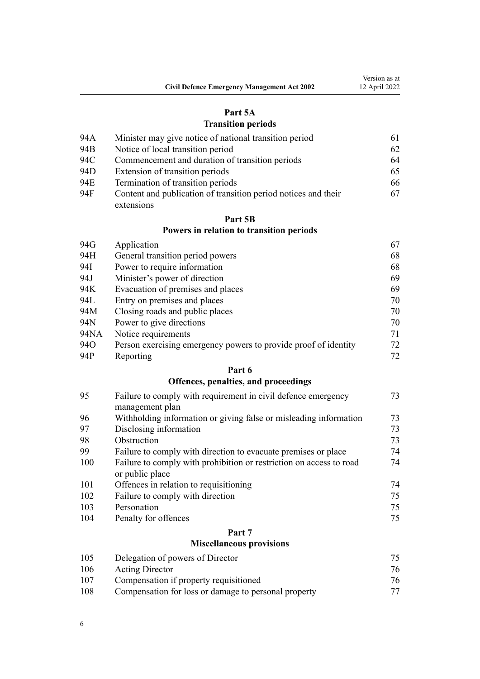|                                                    | Version as at |
|----------------------------------------------------|---------------|
| <b>Civil Defence Emergency Management Act 2002</b> | 12 April 2022 |

### **[Part 5A](#page-60-0)**

## **[Transition periods](#page-60-0)**

| 94A | Minister may give notice of national transition period         | 61 |
|-----|----------------------------------------------------------------|----|
| 94B | Notice of local transition period                              | 62 |
| 94C | Commencement and duration of transition periods                | 64 |
| 94D | Extension of transition periods                                | 65 |
| 94E | Termination of transition periods                              | 66 |
| 94F | Content and publication of transition period notices and their | 67 |
|     | extensions                                                     |    |

## **[Part 5B](#page-66-0) [Powers in relation to transition periods](#page-66-0)**

| 94G  | Application                                                     | 67 |
|------|-----------------------------------------------------------------|----|
| 94H  | General transition period powers                                | 68 |
| 94I  | Power to require information                                    | 68 |
| 94J  | Minister's power of direction                                   | 69 |
| 94K  | Evacuation of premises and places                               | 69 |
| 94L  | Entry on premises and places                                    | 70 |
| 94M  | Closing roads and public places                                 | 70 |
| 94N  | Power to give directions                                        | 70 |
| 94NA | Notice requirements                                             | 71 |
| 94O  | Person exercising emergency powers to provide proof of identity | 72 |
| 94P  | Reporting                                                       | 72 |

## **[Part 6](#page-72-0)**

## **[Offences, penalties, and proceedings](#page-72-0)**

| 95  | Failure to comply with requirement in civil defence emergency                          | 73 |
|-----|----------------------------------------------------------------------------------------|----|
|     | management plan                                                                        |    |
| 96  | Withholding information or giving false or misleading information                      | 73 |
| 97  | Disclosing information                                                                 | 73 |
| 98  | Obstruction                                                                            | 73 |
| 99  | Failure to comply with direction to evacuate premises or place                         | 74 |
| 100 | Failure to comply with prohibition or restriction on access to road<br>or public place | 74 |
| 101 | Offences in relation to requisitioning                                                 | 74 |
| 102 | Failure to comply with direction                                                       | 75 |
| 103 | Personation                                                                            | 75 |
| 104 | Penalty for offences                                                                   | 75 |
|     | Part 7                                                                                 |    |

## **[Miscellaneous provisions](#page-74-0)**

| 105 | Delegation of powers of Director                     | 75 |
|-----|------------------------------------------------------|----|
| 106 | <b>Acting Director</b>                               | 76 |
| 107 | Compensation if property requisitioned               | 76 |
| 108 | Compensation for loss or damage to personal property | 77 |
|     |                                                      |    |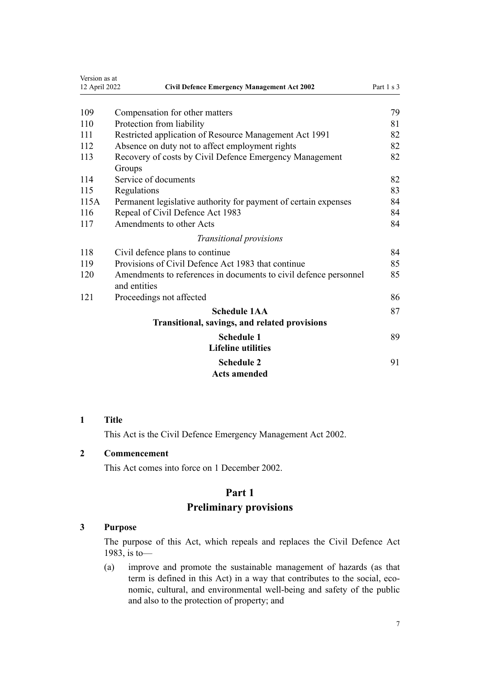<span id="page-6-0"></span>

| Version as at<br>12 April 2022 | <b>Civil Defence Emergency Management Act 2002</b>                               | Part 1 s 3 |
|--------------------------------|----------------------------------------------------------------------------------|------------|
|                                |                                                                                  |            |
| 109                            | Compensation for other matters                                                   | 79         |
| 110                            | Protection from liability                                                        | 81         |
| 111                            | Restricted application of Resource Management Act 1991                           | 82         |
| 112                            | Absence on duty not to affect employment rights                                  | 82         |
| 113                            | Recovery of costs by Civil Defence Emergency Management<br>Groups                | 82         |
| 114                            | Service of documents                                                             | 82         |
| 115                            | Regulations                                                                      | 83         |
| 115A                           | Permanent legislative authority for payment of certain expenses                  | 84         |
| 116                            | Repeal of Civil Defence Act 1983                                                 | 84         |
| 117                            | Amendments to other Acts                                                         | 84         |
|                                | Transitional provisions                                                          |            |
| 118                            | Civil defence plans to continue                                                  | 84         |
| 119                            | Provisions of Civil Defence Act 1983 that continue                               | 85         |
| 120                            | Amendments to references in documents to civil defence personnel<br>and entities | 85         |
| 121                            | Proceedings not affected                                                         | 86         |
|                                | <b>Schedule 1AA</b>                                                              | 87         |
|                                | Transitional, savings, and related provisions                                    |            |
|                                | <b>Schedule 1</b><br><b>Lifeline utilities</b>                                   | 89         |
|                                | <b>Schedule 2</b><br><b>Acts amended</b>                                         | 91         |

### **1 Title**

This Act is the Civil Defence Emergency Management Act 2002.

### **2 Commencement**

This Act comes into force on 1 December 2002.

### **Part 1**

### **Preliminary provisions**

## **3 Purpose**

The purpose of this Act, which repeals and replaces the Civil Defence Act 1983, is to—

(a) improve and promote the sustainable management of hazards (as that term is defined in this Act) in a way that contributes to the social, economic, cultural, and environmental well-being and safety of the public and also to the protection of property; and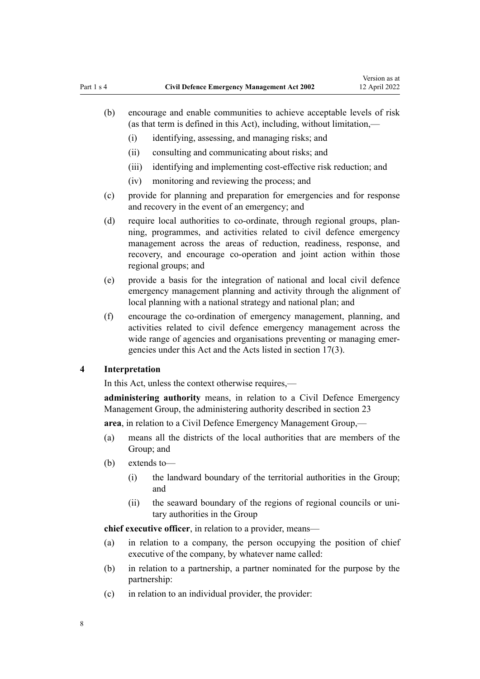- <span id="page-7-0"></span>(b) encourage and enable communities to achieve acceptable levels of risk (as that term is defined in this Act), including, without limitation,—
	- (i) identifying, assessing, and managing risks; and
	- (ii) consulting and communicating about risks; and
	- (iii) identifying and implementing cost-effective risk reduction; and
	- (iv) monitoring and reviewing the process; and
- (c) provide for planning and preparation for emergencies and for response and recovery in the event of an emergency; and
- (d) require local authorities to co-ordinate, through regional groups, planning, programmes, and activities related to civil defence emergency management across the areas of reduction, readiness, response, and recovery, and encourage co-operation and joint action within those regional groups; and
- (e) provide a basis for the integration of national and local civil defence emergency management planning and activity through the alignment of local planning with a national strategy and national plan; and
- (f) encourage the co-ordination of emergency management, planning, and activities related to civil defence emergency management across the wide range of agencies and organisations preventing or managing emergencies under this Act and the Acts listed in [section 17\(3\).](#page-21-0)

#### **4 Interpretation**

In this Act, unless the context otherwise requires,—

**administering authority** means, in relation to a Civil Defence Emergency Management Group, the administering authority described in [section 23](#page-25-0)

**area**, in relation to a Civil Defence Emergency Management Group,—

- (a) means all the districts of the local authorities that are members of the Group; and
- (b) extends to—
	- (i) the landward boundary of the territorial authorities in the Group; and
	- (ii) the seaward boundary of the regions of regional councils or uni‐ tary authorities in the Group

**chief executive officer**, in relation to a provider, means—

- (a) in relation to a company, the person occupying the position of chief executive of the company, by whatever name called:
- (b) in relation to a partnership, a partner nominated for the purpose by the partnership:
- (c) in relation to an individual provider, the provider: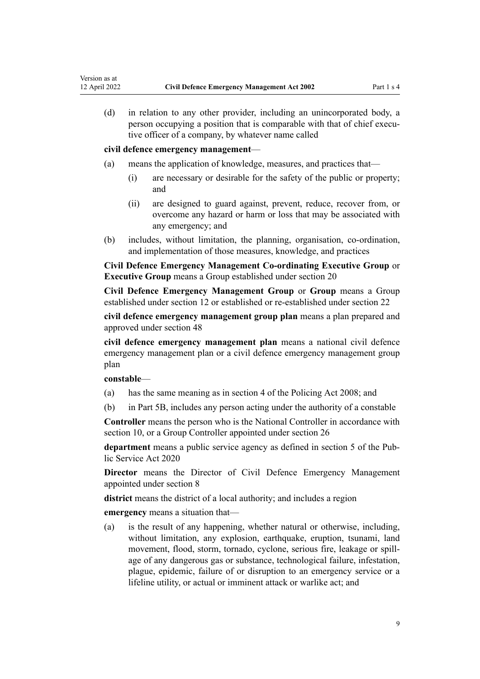(d) in relation to any other provider, including an unincorporated body, a person occupying a position that is comparable with that of chief executive officer of a company, by whatever name called

**civil defence emergency management**—

- (a) means the application of knowledge, measures, and practices that—
	- (i) are necessary or desirable for the safety of the public or property; and
	- (ii) are designed to guard against, prevent, reduce, recover from, or overcome any hazard or harm or loss that may be associated with any emergency; and
- (b) includes, without limitation, the planning, organisation, co-ordination, and implementation of those measures, knowledge, and practices

**Civil Defence Emergency Management Co-ordinating Executive Group** or **Executive Group** means a Group established under [section 20](#page-23-0)

**Civil Defence Emergency Management Group** or **Group** means a Group established under [section 12](#page-19-0) or established or re-established under [section 22](#page-25-0)

**civil defence emergency management group plan** means a plan prepared and approved under [section 48](#page-37-0)

**civil defence emergency management plan** means a national civil defence emergency management plan or a civil defence emergency management group plan

#### **constable**—

- (a) has the same meaning as in [section 4](http://legislation.govt.nz/pdflink.aspx?id=DLM1102132) of the Policing Act 2008; and
- (b) in [Part 5B,](#page-66-0) includes any person acting under the authority of a constable

**Controller** means the person who is the National Controller in accordance with [section 10](#page-17-0), or a Group Controller appointed under [section 26](#page-27-0)

**department** means a public service agency as defined in [section 5](http://legislation.govt.nz/pdflink.aspx?id=LMS356868) of the Pub‐ lic Service Act 2020

**Director** means the Director of Civil Defence Emergency Management appointed under [section 8](#page-14-0)

**district** means the district of a local authority; and includes a region

**emergency** means a situation that—

(a) is the result of any happening, whether natural or otherwise, including, without limitation, any explosion, earthquake, eruption, tsunami, land movement, flood, storm, tornado, cyclone, serious fire, leakage or spill‐ age of any dangerous gas or substance, technological failure, infestation, plague, epidemic, failure of or disruption to an emergency service or a lifeline utility, or actual or imminent attack or warlike act; and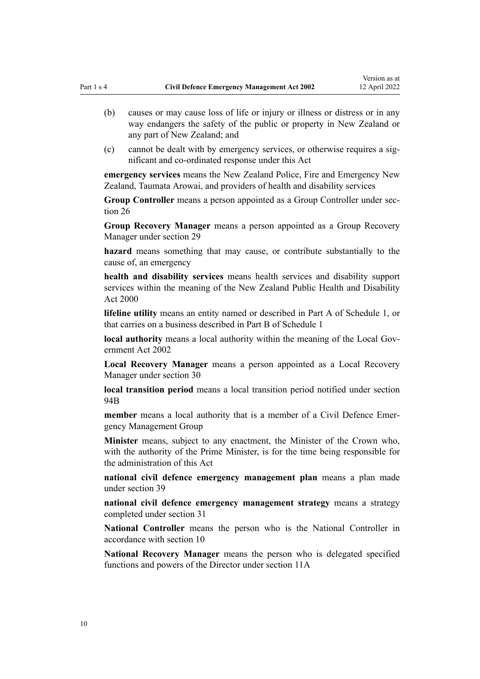- (b) causes or may cause loss of life or injury or illness or distress or in any way endangers the safety of the public or property in New Zealand or any part of New Zealand; and
- (c) cannot be dealt with by emergency services, or otherwise requires a significant and co-ordinated response under this Act

**emergency services** means the New Zealand Police, Fire and Emergency New Zealand, Taumata Arowai, and providers of health and disability services

**Group Controller** means a person appointed as a Group Controller under [sec‐](#page-27-0) [tion 26](#page-27-0)

**Group Recovery Manager** means a person appointed as a Group Recovery Manager under [section 29](#page-29-0)

**hazard** means something that may cause, or contribute substantially to the cause of, an emergency

**health and disability services** means health services and disability support services within the meaning of the [New Zealand Public Health and Disability](http://legislation.govt.nz/pdflink.aspx?id=DLM80050) [Act 2000](http://legislation.govt.nz/pdflink.aspx?id=DLM80050)

**lifeline utility** means an entity named or described in [Part A](#page-88-0) of Schedule 1, or that carries on a business described in [Part B](#page-88-0) of Schedule 1

**local authority** means a local authority within the meaning of the Local Gov[ernment Act 2002](http://legislation.govt.nz/pdflink.aspx?id=DLM170872)

**Local Recovery Manager** means a person appointed as a Local Recovery Manager under [section 30](#page-29-0)

**local transition period** means a local transition period notified under [section](#page-61-0) [94B](#page-61-0)

member means a local authority that is a member of a Civil Defence Emergency Management Group

**Minister** means, subject to any enactment, the Minister of the Crown who, with the authority of the Prime Minister, is for the time being responsible for the administration of this Act

**national civil defence emergency management plan** means a plan made under [section 39](#page-33-0)

**national civil defence emergency management strategy** means a strategy completed under [section 31](#page-30-0)

**National Controller** means the person who is the National Controller in accordance with [section 10](#page-17-0)

**National Recovery Manager** means the person who is delegated specified functions and powers of the Director under [section 11A](#page-18-0)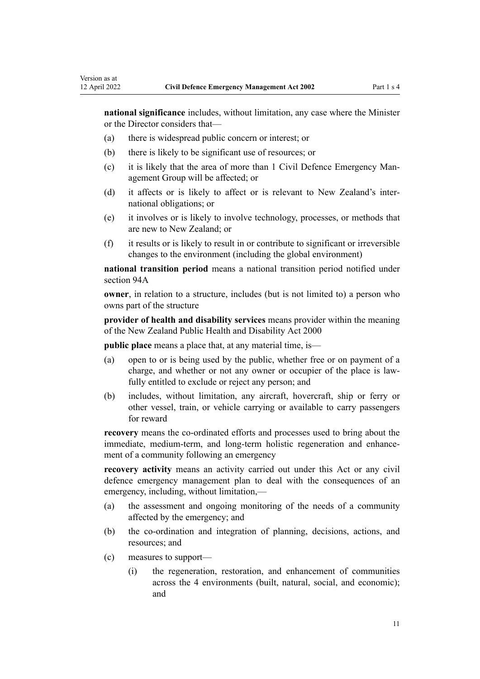**national significance** includes, without limitation, any case where the Minister or the Director considers that—

- (a) there is widespread public concern or interest; or
- (b) there is likely to be significant use of resources; or
- (c) it is likely that the area of more than 1 Civil Defence Emergency Management Group will be affected; or
- (d) it affects or is likely to affect or is relevant to New Zealand's inter‐ national obligations; or
- (e) it involves or is likely to involve technology, processes, or methods that are new to New Zealand; or
- (f) it results or is likely to result in or contribute to significant or irreversible changes to the environment (including the global environment)

**national transition period** means a national transition period notified under [section 94A](#page-60-0)

**owner**, in relation to a structure, includes (but is not limited to) a person who owns part of the structure

**provider of health and disability services** means provider within the meaning of the [New Zealand Public Health and Disability Act 2000](http://legislation.govt.nz/pdflink.aspx?id=DLM80050)

**public place** means a place that, at any material time, is—

- (a) open to or is being used by the public, whether free or on payment of a charge, and whether or not any owner or occupier of the place is lawfully entitled to exclude or reject any person; and
- (b) includes, without limitation, any aircraft, hovercraft, ship or ferry or other vessel, train, or vehicle carrying or available to carry passengers for reward

**recovery** means the co-ordinated efforts and processes used to bring about the immediate, medium-term, and long-term holistic regeneration and enhancement of a community following an emergency

**recovery activity** means an activity carried out under this Act or any civil defence emergency management plan to deal with the consequences of an emergency, including, without limitation,—

- (a) the assessment and ongoing monitoring of the needs of a community affected by the emergency; and
- (b) the co-ordination and integration of planning, decisions, actions, and resources; and
- (c) measures to support—
	- (i) the regeneration, restoration, and enhancement of communities across the 4 environments (built, natural, social, and economic); and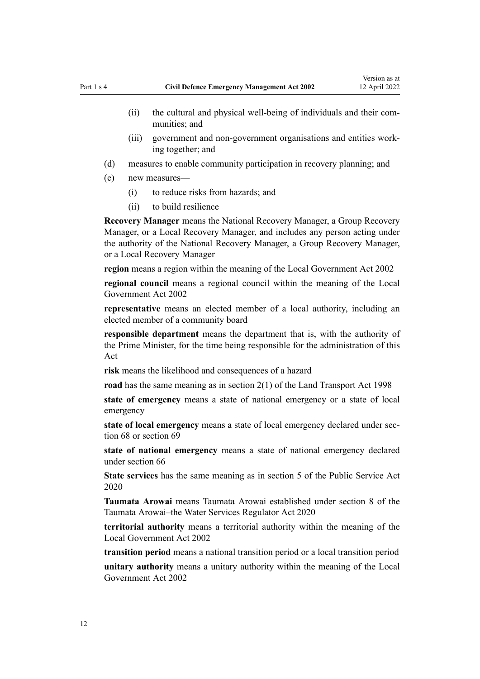- (ii) the cultural and physical well-being of individuals and their communities; and
- (iii) government and non-government organisations and entities work‐ ing together; and
- (d) measures to enable community participation in recovery planning; and
- (e) new measures—
	- (i) to reduce risks from hazards; and
	- (ii) to build resilience

**Recovery Manager** means the National Recovery Manager, a Group Recovery Manager, or a Local Recovery Manager, and includes any person acting under the authority of the National Recovery Manager, a Group Recovery Manager, or a Local Recovery Manager

**region** means a region within the meaning of the [Local Government Act 2002](http://legislation.govt.nz/pdflink.aspx?id=DLM170872)

**regional council** means a regional council within the meaning of the [Local](http://legislation.govt.nz/pdflink.aspx?id=DLM170872) [Government Act 2002](http://legislation.govt.nz/pdflink.aspx?id=DLM170872)

**representative** means an elected member of a local authority, including an elected member of a community board

**responsible department** means the department that is, with the authority of the Prime Minister, for the time being responsible for the administration of this Act

**risk** means the likelihood and consequences of a hazard

**road** has the same meaning as in [section 2\(1\)](http://legislation.govt.nz/pdflink.aspx?id=DLM433619) of the Land Transport Act 1998

**state of emergency** means a state of national emergency or a state of local emergency

**state of local emergency** means a state of local emergency declared under sec[tion 68](#page-45-0) or [section 69](#page-47-0)

**state of national emergency** means a state of national emergency declared under [section 66](#page-44-0)

**State services** has the same meaning as in [section 5](http://legislation.govt.nz/pdflink.aspx?id=LMS356868) of the Public Service Act 2020

**Taumata Arowai** means Taumata Arowai established under [section 8](http://legislation.govt.nz/pdflink.aspx?id=LMS294381) of the Taumata Arowai–the Water Services Regulator Act 2020

**territorial authority** means a territorial authority within the meaning of the [Local Government Act 2002](http://legislation.govt.nz/pdflink.aspx?id=DLM170872)

**transition period** means a national transition period or a local transition period

**unitary authority** means a unitary authority within the meaning of the [Local](http://legislation.govt.nz/pdflink.aspx?id=DLM170872) [Government Act 2002](http://legislation.govt.nz/pdflink.aspx?id=DLM170872)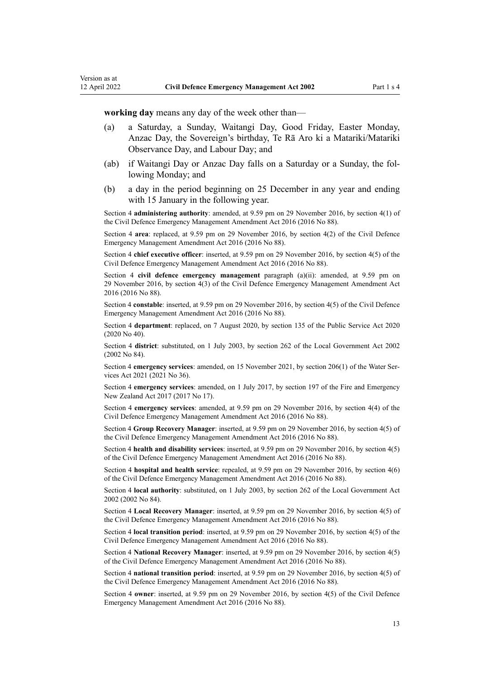**working day** means any day of the week other than—

- (a) a Saturday, a Sunday, Waitangi Day, Good Friday, Easter Monday, Anzac Day, the Sovereign's birthday, Te Rā Aro ki a Matariki/Matariki Observance Day, and Labour Day; and
- (ab) if Waitangi Day or Anzac Day falls on a Saturday or a Sunday, the fol‐ lowing Monday; and
- (b) a day in the period beginning on 25 December in any year and ending with 15 January in the following year.

Section 4 **administering authority**: amended, at 9.59 pm on 29 November 2016, by [section 4\(1\)](http://legislation.govt.nz/pdflink.aspx?id=DLM6648817) of the Civil Defence Emergency Management Amendment Act 2016 (2016 No 88).

Section 4 **area**: replaced, at 9.59 pm on 29 November 2016, by [section 4\(2\)](http://legislation.govt.nz/pdflink.aspx?id=DLM6648817) of the Civil Defence Emergency Management Amendment Act 2016 (2016 No 88).

Section 4 **chief executive officer**: inserted, at 9.59 pm on 29 November 2016, by [section 4\(5\)](http://legislation.govt.nz/pdflink.aspx?id=DLM6648817) of the Civil Defence Emergency Management Amendment Act 2016 (2016 No 88).

Section 4 **civil defence emergency management** paragraph (a)(ii): amended, at 9.59 pm on 29 November 2016, by [section 4\(3\)](http://legislation.govt.nz/pdflink.aspx?id=DLM6648817) of the Civil Defence Emergency Management Amendment Act 2016 (2016 No 88).

Section 4 **constable**: inserted, at 9.59 pm on 29 November 2016, by [section 4\(5\)](http://legislation.govt.nz/pdflink.aspx?id=DLM6648817) of the Civil Defence Emergency Management Amendment Act 2016 (2016 No 88).

Section 4 **department**: replaced, on 7 August 2020, by [section 135](http://legislation.govt.nz/pdflink.aspx?id=LMS176959) of the Public Service Act 2020 (2020 No 40).

Section 4 **district**: substituted, on 1 July 2003, by [section 262](http://legislation.govt.nz/pdflink.aspx?id=DLM174088) of the Local Government Act 2002 (2002 No 84).

Section 4 **emergency services**: amended, on 15 November 2021, by [section 206\(1\)](http://legislation.govt.nz/pdflink.aspx?id=LMS374952) of the Water Services Act 2021 (2021 No 36).

Section 4 **emergency services**: amended, on 1 July 2017, by [section 197](http://legislation.govt.nz/pdflink.aspx?id=DLM6678752) of the Fire and Emergency New Zealand Act 2017 (2017 No 17).

Section 4 **emergency services**: amended, at 9.59 pm on 29 November 2016, by [section 4\(4\)](http://legislation.govt.nz/pdflink.aspx?id=DLM6648817) of the Civil Defence Emergency Management Amendment Act 2016 (2016 No 88).

Section 4 **Group Recovery Manager**: inserted, at 9.59 pm on 29 November 2016, by [section 4\(5\)](http://legislation.govt.nz/pdflink.aspx?id=DLM6648817) of the Civil Defence Emergency Management Amendment Act 2016 (2016 No 88).

Section 4 **health and disability services**: inserted, at 9.59 pm on 29 November 2016, by [section 4\(5\)](http://legislation.govt.nz/pdflink.aspx?id=DLM6648817) of the Civil Defence Emergency Management Amendment Act 2016 (2016 No 88).

Section 4 **hospital and health service**: repealed, at 9.59 pm on 29 November 2016, by [section 4\(6\)](http://legislation.govt.nz/pdflink.aspx?id=DLM6648817) of the Civil Defence Emergency Management Amendment Act 2016 (2016 No 88).

Section 4 **local authority**: substituted, on 1 July 2003, by [section 262](http://legislation.govt.nz/pdflink.aspx?id=DLM174088) of the Local Government Act 2002 (2002 No 84).

Section 4 **Local Recovery Manager**: inserted, at 9.59 pm on 29 November 2016, by [section 4\(5\)](http://legislation.govt.nz/pdflink.aspx?id=DLM6648817) of the Civil Defence Emergency Management Amendment Act 2016 (2016 No 88).

Section 4 **local transition period**: inserted, at 9.59 pm on 29 November 2016, by [section 4\(5\)](http://legislation.govt.nz/pdflink.aspx?id=DLM6648817) of the Civil Defence Emergency Management Amendment Act 2016 (2016 No 88).

Section 4 **National Recovery Manager**: inserted, at 9.59 pm on 29 November 2016, by [section 4\(5\)](http://legislation.govt.nz/pdflink.aspx?id=DLM6648817) of the Civil Defence Emergency Management Amendment Act 2016 (2016 No 88).

Section 4 **national transition period**: inserted, at 9.59 pm on 29 November 2016, by [section 4\(5\)](http://legislation.govt.nz/pdflink.aspx?id=DLM6648817) of the Civil Defence Emergency Management Amendment Act 2016 (2016 No 88).

Section 4 **owner**: inserted, at 9.59 pm on 29 November 2016, by [section 4\(5\)](http://legislation.govt.nz/pdflink.aspx?id=DLM6648817) of the Civil Defence Emergency Management Amendment Act 2016 (2016 No 88).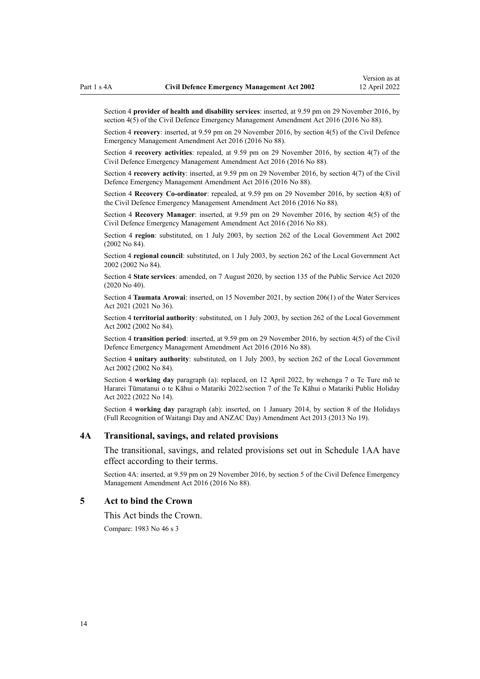<span id="page-13-0"></span>Section 4 **provider of health and disability services**: inserted, at 9.59 pm on 29 November 2016, by [section 4\(5\)](http://legislation.govt.nz/pdflink.aspx?id=DLM6648817) of the Civil Defence Emergency Management Amendment Act 2016 (2016 No 88).

Section 4 **recovery**: inserted, at 9.59 pm on 29 November 2016, by [section 4\(5\)](http://legislation.govt.nz/pdflink.aspx?id=DLM6648817) of the Civil Defence Emergency Management Amendment Act 2016 (2016 No 88).

Section 4 **recovery activities**: repealed, at 9.59 pm on 29 November 2016, by [section 4\(7\)](http://legislation.govt.nz/pdflink.aspx?id=DLM6648817) of the Civil Defence Emergency Management Amendment Act 2016 (2016 No 88).

Section 4 **recovery activity**: inserted, at 9.59 pm on 29 November 2016, by [section 4\(7\)](http://legislation.govt.nz/pdflink.aspx?id=DLM6648817) of the Civil Defence Emergency Management Amendment Act 2016 (2016 No 88).

Section 4 **Recovery Co-ordinator**: repealed, at 9.59 pm on 29 November 2016, by [section 4\(8\)](http://legislation.govt.nz/pdflink.aspx?id=DLM6648817) of the Civil Defence Emergency Management Amendment Act 2016 (2016 No 88).

Section 4 **Recovery Manager**: inserted, at 9.59 pm on 29 November 2016, by [section 4\(5\)](http://legislation.govt.nz/pdflink.aspx?id=DLM6648817) of the Civil Defence Emergency Management Amendment Act 2016 (2016 No 88).

Section 4 **region**: substituted, on 1 July 2003, by [section 262](http://legislation.govt.nz/pdflink.aspx?id=DLM174088) of the Local Government Act 2002 (2002 No 84).

Section 4 **regional council**: substituted, on 1 July 2003, by [section 262](http://legislation.govt.nz/pdflink.aspx?id=DLM174088) of the Local Government Act 2002 (2002 No 84).

Section 4 **State services**: amended, on 7 August 2020, by [section 135](http://legislation.govt.nz/pdflink.aspx?id=LMS176959) of the Public Service Act 2020 (2020 No 40).

Section 4 **Taumata Arowai**: inserted, on 15 November 2021, by [section 206\(1\)](http://legislation.govt.nz/pdflink.aspx?id=LMS374952) of the Water Services Act 2021 (2021 No 36).

Section 4 **territorial authority**: substituted, on 1 July 2003, by [section 262](http://legislation.govt.nz/pdflink.aspx?id=DLM174088) of the Local Government Act 2002 (2002 No 84).

Section 4 **transition period**: inserted, at 9.59 pm on 29 November 2016, by [section 4\(5\)](http://legislation.govt.nz/pdflink.aspx?id=DLM6648817) of the Civil Defence Emergency Management Amendment Act 2016 (2016 No 88).

Section 4 **unitary authority**: substituted, on 1 July 2003, by [section 262](http://legislation.govt.nz/pdflink.aspx?id=DLM174088) of the Local Government Act 2002 (2002 No 84).

Section 4 **working day** paragraph (a): replaced, on 12 April 2022, by [wehenga 7](http://legislation.govt.nz/pdflink.aspx?id=LMS557838) o Te Ture mō te Hararei Tūmatanui o te Kāhui o Matariki 2022/[section 7](http://legislation.govt.nz/pdflink.aspx?id=LMS557848) of the Te Kāhui o Matariki Public Holiday Act 2022 (2022 No 14).

Section 4 **working day** paragraph (ab): inserted, on 1 January 2014, by [section 8](http://legislation.govt.nz/pdflink.aspx?id=DLM4929207) of the Holidays (Full Recognition of Waitangi Day and ANZAC Day) Amendment Act 2013 (2013 No 19).

#### **4A Transitional, savings, and related provisions**

The transitional, savings, and related provisions set out in [Schedule 1AA](#page-86-0) have effect according to their terms.

Section 4A: inserted, at 9.59 pm on 29 November 2016, by [section 5](http://legislation.govt.nz/pdflink.aspx?id=DLM6648855) of the Civil Defence Emergency Management Amendment Act 2016 (2016 No 88).

#### **5 Act to bind the Crown**

This Act binds the Crown.

Compare: 1983 No 46 s 3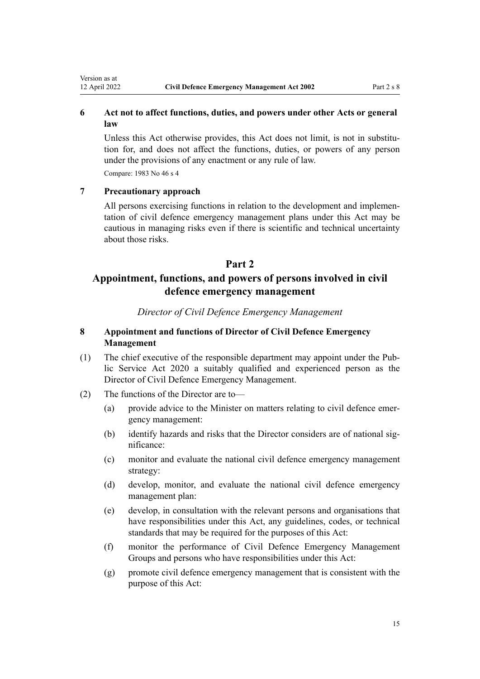### <span id="page-14-0"></span>**6 Act not to affect functions, duties, and powers under other Acts or general law**

Unless this Act otherwise provides, this Act does not limit, is not in substitution for, and does not affect the functions, duties, or powers of any person under the provisions of any enactment or any rule of law.

Compare: 1983 No 46 s 4

### **7 Precautionary approach**

All persons exercising functions in relation to the development and implementation of civil defence emergency management plans under this Act may be cautious in managing risks even if there is scientific and technical uncertainty about those risks.

### **Part 2**

## **Appointment, functions, and powers of persons involved in civil defence emergency management**

*Director of Civil Defence Emergency Management*

### **8 Appointment and functions of Director of Civil Defence Emergency Management**

- (1) The chief executive of the responsible department may appoint under the [Pub‐](http://legislation.govt.nz/pdflink.aspx?id=LMS106157) [lic Service Act 2020](http://legislation.govt.nz/pdflink.aspx?id=LMS106157) a suitably qualified and experienced person as the Director of Civil Defence Emergency Management.
- (2) The functions of the Director are to—
	- (a) provide advice to the Minister on matters relating to civil defence emer‐ gency management:
	- (b) identify hazards and risks that the Director considers are of national significance:
	- (c) monitor and evaluate the national civil defence emergency management strategy:
	- (d) develop, monitor, and evaluate the national civil defence emergency management plan:
	- (e) develop, in consultation with the relevant persons and organisations that have responsibilities under this Act, any guidelines, codes, or technical standards that may be required for the purposes of this Act:
	- (f) monitor the performance of Civil Defence Emergency Management Groups and persons who have responsibilities under this Act:
	- (g) promote civil defence emergency management that is consistent with the purpose of this Act: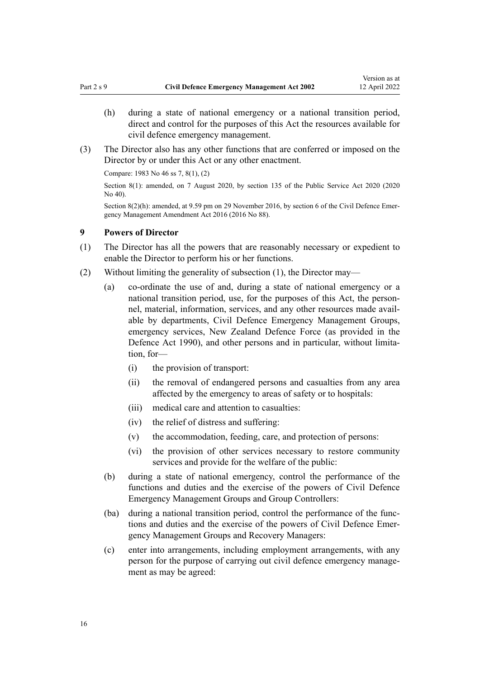- <span id="page-15-0"></span>(h) during a state of national emergency or a national transition period, direct and control for the purposes of this Act the resources available for civil defence emergency management.
- (3) The Director also has any other functions that are conferred or imposed on the Director by or under this Act or any other enactment.

Compare: 1983 No 46 ss 7, 8(1), (2)

Section 8(1): amended, on 7 August 2020, by [section 135](http://legislation.govt.nz/pdflink.aspx?id=LMS176959) of the Public Service Act 2020 (2020 No 40).

Section 8(2)(h): amended, at 9.59 pm on 29 November 2016, by [section 6](http://legislation.govt.nz/pdflink.aspx?id=DLM6648857) of the Civil Defence Emergency Management Amendment Act 2016 (2016 No 88).

#### **9 Powers of Director**

- (1) The Director has all the powers that are reasonably necessary or expedient to enable the Director to perform his or her functions.
- (2) Without limiting the generality of subsection (1), the Director may—
	- (a) co-ordinate the use of and, during a state of national emergency or a national transition period, use, for the purposes of this Act, the personnel, material, information, services, and any other resources made avail‐ able by departments, Civil Defence Emergency Management Groups, emergency services, New Zealand Defence Force (as provided in the [Defence Act 1990\)](http://legislation.govt.nz/pdflink.aspx?id=DLM204972), and other persons and in particular, without limitation, for—
		- (i) the provision of transport:
		- (ii) the removal of endangered persons and casualties from any area affected by the emergency to areas of safety or to hospitals:
		- (iii) medical care and attention to casualties:
		- (iv) the relief of distress and suffering:
		- (v) the accommodation, feeding, care, and protection of persons:
		- (vi) the provision of other services necessary to restore community services and provide for the welfare of the public:
	- (b) during a state of national emergency, control the performance of the functions and duties and the exercise of the powers of Civil Defence Emergency Management Groups and Group Controllers:
	- (ba) during a national transition period, control the performance of the func‐ tions and duties and the exercise of the powers of Civil Defence Emer‐ gency Management Groups and Recovery Managers:
	- (c) enter into arrangements, including employment arrangements, with any person for the purpose of carrying out civil defence emergency management as may be agreed: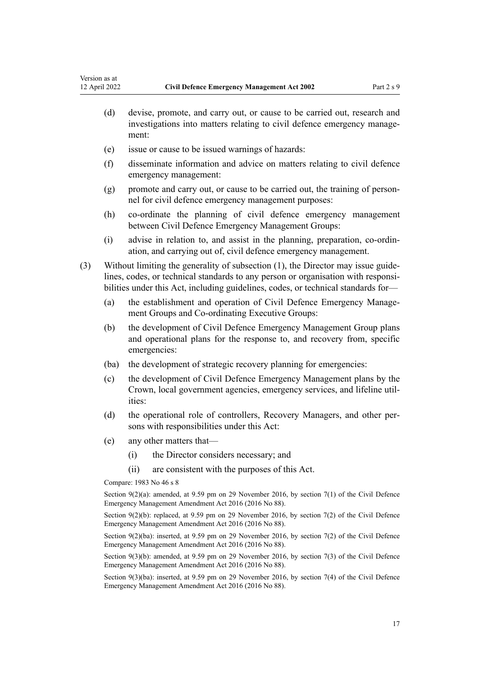- (d) devise, promote, and carry out, or cause to be carried out, research and investigations into matters relating to civil defence emergency management:
- (e) issue or cause to be issued warnings of hazards:
- (f) disseminate information and advice on matters relating to civil defence emergency management:
- (g) promote and carry out, or cause to be carried out, the training of person‐ nel for civil defence emergency management purposes:
- (h) co-ordinate the planning of civil defence emergency management between Civil Defence Emergency Management Groups:
- (i) advise in relation to, and assist in the planning, preparation, co-ordin‐ ation, and carrying out of, civil defence emergency management.
- (3) Without limiting the generality of subsection  $(1)$ , the Director may issue guidelines, codes, or technical standards to any person or organisation with responsibilities under this Act, including guidelines, codes, or technical standards for—
	- (a) the establishment and operation of Civil Defence Emergency Management Groups and Co-ordinating Executive Groups:
	- (b) the development of Civil Defence Emergency Management Group plans and operational plans for the response to, and recovery from, specific emergencies:
	- (ba) the development of strategic recovery planning for emergencies:
	- (c) the development of Civil Defence Emergency Management plans by the Crown, local government agencies, emergency services, and lifeline util‐ ities:
	- (d) the operational role of controllers, Recovery Managers, and other persons with responsibilities under this Act:
	- (e) any other matters that—
		- (i) the Director considers necessary; and
		- (ii) are consistent with the purposes of this Act.

Compare: 1983 No 46 s 8

Section 9(2)(a): amended, at 9.59 pm on 29 November 2016, by [section 7\(1\)](http://legislation.govt.nz/pdflink.aspx?id=DLM6648858) of the Civil Defence Emergency Management Amendment Act 2016 (2016 No 88).

Section 9(2)(b): replaced, at 9.59 pm on 29 November 2016, by [section 7\(2\)](http://legislation.govt.nz/pdflink.aspx?id=DLM6648858) of the Civil Defence Emergency Management Amendment Act 2016 (2016 No 88).

Section 9(2)(ba): inserted, at 9.59 pm on 29 November 2016, by [section 7\(2\)](http://legislation.govt.nz/pdflink.aspx?id=DLM6648858) of the Civil Defence Emergency Management Amendment Act 2016 (2016 No 88).

Section 9(3)(b): amended, at 9.59 pm on 29 November 2016, by [section 7\(3\)](http://legislation.govt.nz/pdflink.aspx?id=DLM6648858) of the Civil Defence Emergency Management Amendment Act 2016 (2016 No 88).

Section 9(3)(ba): inserted, at 9.59 pm on 29 November 2016, by [section 7\(4\)](http://legislation.govt.nz/pdflink.aspx?id=DLM6648858) of the Civil Defence Emergency Management Amendment Act 2016 (2016 No 88).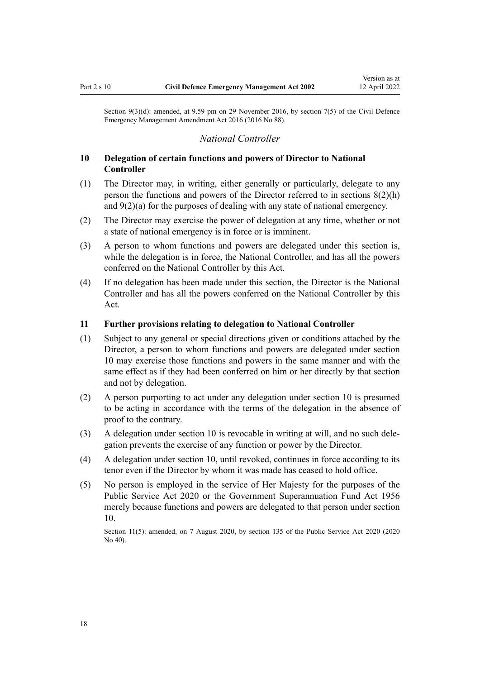<span id="page-17-0"></span>Section 9(3)(d): amended, at 9.59 pm on 29 November 2016, by [section 7\(5\)](http://legislation.govt.nz/pdflink.aspx?id=DLM6648858) of the Civil Defence Emergency Management Amendment Act 2016 (2016 No 88).

#### *National Controller*

### **10 Delegation of certain functions and powers of Director to National Controller**

- (1) The Director may, in writing, either generally or particularly, delegate to any person the functions and powers of the Director referred to in [sections 8\(2\)\(h\)](#page-14-0) and [9\(2\)\(a\)](#page-15-0) for the purposes of dealing with any state of national emergency.
- (2) The Director may exercise the power of delegation at any time, whether or not a state of national emergency is in force or is imminent.
- (3) A person to whom functions and powers are delegated under this section is, while the delegation is in force, the National Controller, and has all the powers conferred on the National Controller by this Act.
- (4) If no delegation has been made under this section, the Director is the National Controller and has all the powers conferred on the National Controller by this Act.

#### **11 Further provisions relating to delegation to National Controller**

- (1) Subject to any general or special directions given or conditions attached by the Director, a person to whom functions and powers are delegated under section 10 may exercise those functions and powers in the same manner and with the same effect as if they had been conferred on him or her directly by that section and not by delegation.
- (2) A person purporting to act under any delegation under section 10 is presumed to be acting in accordance with the terms of the delegation in the absence of proof to the contrary.
- (3) A delegation under section 10 is revocable in writing at will, and no such dele‐ gation prevents the exercise of any function or power by the Director.
- (4) A delegation under section 10, until revoked, continues in force according to its tenor even if the Director by whom it was made has ceased to hold office.
- (5) No person is employed in the service of Her Majesty for the purposes of the [Public Service Act 2020](http://legislation.govt.nz/pdflink.aspx?id=LMS106157) or the [Government Superannuation Fund Act 1956](http://legislation.govt.nz/pdflink.aspx?id=DLM446000) merely because functions and powers are delegated to that person under section 10.

Section 11(5): amended, on 7 August 2020, by [section 135](http://legislation.govt.nz/pdflink.aspx?id=LMS176959) of the Public Service Act 2020 (2020) No 40).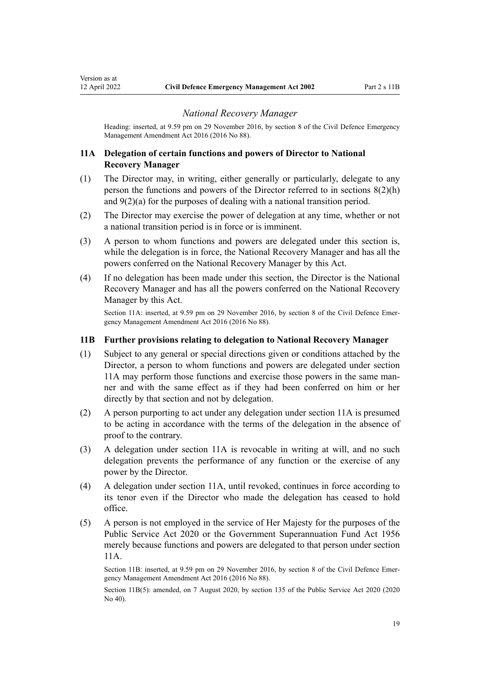Heading: inserted, at 9.59 pm on 29 November 2016, by [section 8](http://legislation.govt.nz/pdflink.aspx?id=DLM6648859) of the Civil Defence Emergency Management Amendment Act 2016 (2016 No 88).

#### **11A Delegation of certain functions and powers of Director to National Recovery Manager**

<span id="page-18-0"></span>Version as at

- (1) The Director may, in writing, either generally or particularly, delegate to any person the functions and powers of the Director referred to in [sections 8\(2\)\(h\)](#page-14-0) and [9\(2\)\(a\)](#page-15-0) for the purposes of dealing with a national transition period.
- (2) The Director may exercise the power of delegation at any time, whether or not a national transition period is in force or is imminent.
- (3) A person to whom functions and powers are delegated under this section is, while the delegation is in force, the National Recovery Manager and has all the powers conferred on the National Recovery Manager by this Act.
- (4) If no delegation has been made under this section, the Director is the National Recovery Manager and has all the powers conferred on the National Recovery Manager by this Act.

Section 11A: inserted, at 9.59 pm on 29 November 2016, by [section 8](http://legislation.govt.nz/pdflink.aspx?id=DLM6648859) of the Civil Defence Emergency Management Amendment Act 2016 (2016 No 88).

#### **11B Further provisions relating to delegation to National Recovery Manager**

- (1) Subject to any general or special directions given or conditions attached by the Director, a person to whom functions and powers are delegated under section 11A may perform those functions and exercise those powers in the same man‐ ner and with the same effect as if they had been conferred on him or her directly by that section and not by delegation.
- (2) A person purporting to act under any delegation under section 11A is presumed to be acting in accordance with the terms of the delegation in the absence of proof to the contrary.
- (3) A delegation under section 11A is revocable in writing at will, and no such delegation prevents the performance of any function or the exercise of any power by the Director.
- (4) A delegation under section 11A, until revoked, continues in force according to its tenor even if the Director who made the delegation has ceased to hold office.
- (5) A person is not employed in the service of Her Majesty for the purposes of the [Public Service Act 2020](http://legislation.govt.nz/pdflink.aspx?id=LMS106157) or the [Government Superannuation Fund Act 1956](http://legislation.govt.nz/pdflink.aspx?id=DLM446000) merely because functions and powers are delegated to that person under section 11A.

Section 11B: inserted, at 9.59 pm on 29 November 2016, by [section 8](http://legislation.govt.nz/pdflink.aspx?id=DLM6648859) of the Civil Defence Emergency Management Amendment Act 2016 (2016 No 88).

Section 11B(5): amended, on 7 August 2020, by [section 135](http://legislation.govt.nz/pdflink.aspx?id=LMS176959) of the Public Service Act 2020 (2020 No 40).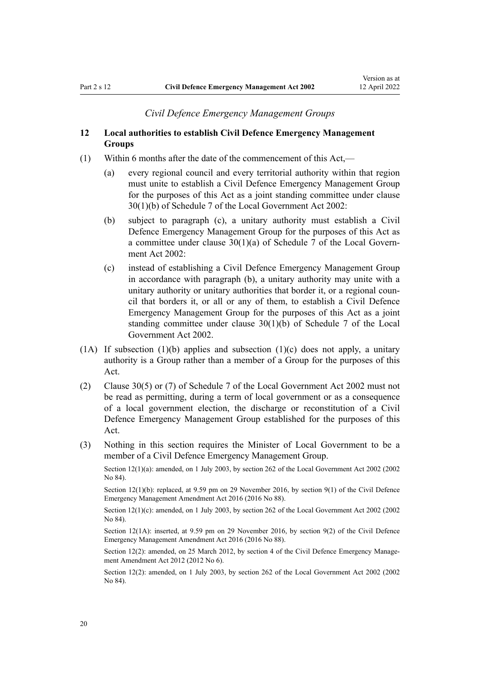#### *Civil Defence Emergency Management Groups*

### <span id="page-19-0"></span>**12 Local authorities to establish Civil Defence Emergency Management Groups**

- (1) Within 6 months after the date of the commencement of this Act,—
	- (a) every regional council and every territorial authority within that region must unite to establish a Civil Defence Emergency Management Group for the purposes of this Act as a joint standing committee under [clause](http://legislation.govt.nz/pdflink.aspx?id=DLM175699) [30\(1\)\(b\)](http://legislation.govt.nz/pdflink.aspx?id=DLM175699) of Schedule 7 of the Local Government Act 2002:
	- (b) subject to paragraph (c), a unitary authority must establish a Civil Defence Emergency Management Group for the purposes of this Act as a committee under clause  $30(1)(a)$  of Schedule 7 of the Local Government Act 2002:
	- (c) instead of establishing a Civil Defence Emergency Management Group in accordance with paragraph (b), a unitary authority may unite with a unitary authority or unitary authorities that border it, or a regional council that borders it, or all or any of them, to establish a Civil Defence Emergency Management Group for the purposes of this Act as a joint standing committee under [clause 30\(1\)\(b\)](http://legislation.govt.nz/pdflink.aspx?id=DLM175699) of Schedule 7 of the Local Government Act 2002.
- (1A) If subsection (1)(b) applies and subsection (1)(c) does not apply, a unitary authority is a Group rather than a member of a Group for the purposes of this Act.
- (2) [Clause 30\(5\) or \(7\)](http://legislation.govt.nz/pdflink.aspx?id=DLM175699) of Schedule 7 of the Local Government Act 2002 must not be read as permitting, during a term of local government or as a consequence of a local government election, the discharge or reconstitution of a Civil Defence Emergency Management Group established for the purposes of this Act.
- (3) Nothing in this section requires the Minister of Local Government to be a member of a Civil Defence Emergency Management Group.

Section 12(1)(a): amended, on 1 July 2003, by [section 262](http://legislation.govt.nz/pdflink.aspx?id=DLM174088) of the Local Government Act 2002 (2002 No 84).

Section 12(1)(b): replaced, at 9.59 pm on 29 November 2016, by [section 9\(1\)](http://legislation.govt.nz/pdflink.aspx?id=DLM6648863) of the Civil Defence Emergency Management Amendment Act 2016 (2016 No 88).

Section 12(1)(c): amended, on 1 July 2003, by [section 262](http://legislation.govt.nz/pdflink.aspx?id=DLM174088) of the Local Government Act 2002 (2002  $No$   $84$ ).

Section 12(1A): inserted, at 9.59 pm on 29 November 2016, by [section 9\(2\)](http://legislation.govt.nz/pdflink.aspx?id=DLM6648863) of the Civil Defence Emergency Management Amendment Act 2016 (2016 No 88).

Section 12(2): amended, on 25 March 2012, by [section 4](http://legislation.govt.nz/pdflink.aspx?id=DLM4013707) of the Civil Defence Emergency Management Amendment Act 2012 (2012 No 6).

Section 12(2): amended, on 1 July 2003, by [section 262](http://legislation.govt.nz/pdflink.aspx?id=DLM174088) of the Local Government Act 2002 (2002 No 84).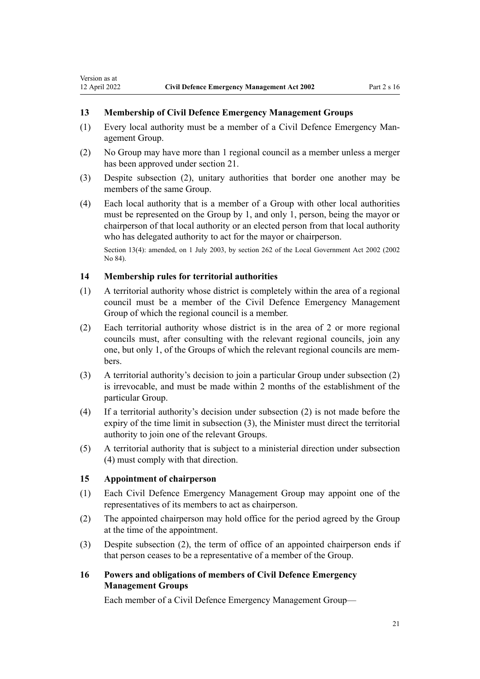### **13 Membership of Civil Defence Emergency Management Groups**

- (1) Every local authority must be a member of a Civil Defence Emergency Man‐ agement Group.
- (2) No Group may have more than 1 regional council as a member unless a merger has been approved under [section 21.](#page-24-0)
- (3) Despite subsection (2), unitary authorities that border one another may be members of the same Group.
- (4) Each local authority that is a member of a Group with other local authorities must be represented on the Group by 1, and only 1, person, being the mayor or chairperson of that local authority or an elected person from that local authority who has delegated authority to act for the mayor or chairperson.

Section 13(4): amended, on 1 July 2003, by [section 262](http://legislation.govt.nz/pdflink.aspx?id=DLM174088) of the Local Government Act 2002 (2002 No 84).

#### **14 Membership rules for territorial authorities**

<span id="page-20-0"></span>Version as at

- (1) A territorial authority whose district is completely within the area of a regional council must be a member of the Civil Defence Emergency Management Group of which the regional council is a member.
- (2) Each territorial authority whose district is in the area of 2 or more regional councils must, after consulting with the relevant regional councils, join any one, but only 1, of the Groups of which the relevant regional councils are mem‐ bers.
- (3) A territorial authority's decision to join a particular Group under subsection (2) is irrevocable, and must be made within 2 months of the establishment of the particular Group.
- (4) If a territorial authority's decision under subsection (2) is not made before the expiry of the time limit in subsection (3), the Minister must direct the territorial authority to join one of the relevant Groups.
- (5) A territorial authority that is subject to a ministerial direction under subsection (4) must comply with that direction.

#### **15 Appointment of chairperson**

- (1) Each Civil Defence Emergency Management Group may appoint one of the representatives of its members to act as chairperson.
- (2) The appointed chairperson may hold office for the period agreed by the Group at the time of the appointment.
- (3) Despite subsection (2), the term of office of an appointed chairperson ends if that person ceases to be a representative of a member of the Group.

### **16 Powers and obligations of members of Civil Defence Emergency Management Groups**

Each member of a Civil Defence Emergency Management Group—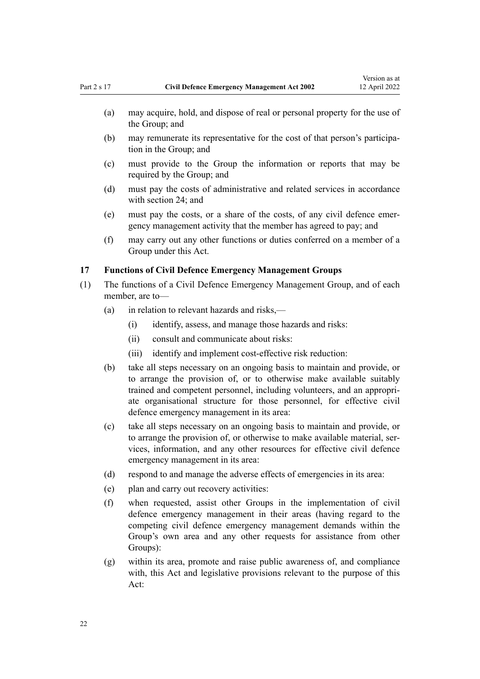- <span id="page-21-0"></span>(a) may acquire, hold, and dispose of real or personal property for the use of the Group; and
- (b) may remunerate its representative for the cost of that person's participa‐ tion in the Group; and
- (c) must provide to the Group the information or reports that may be required by the Group; and
- (d) must pay the costs of administrative and related services in accordance with [section 24](#page-26-0); and
- (e) must pay the costs, or a share of the costs, of any civil defence emer‐ gency management activity that the member has agreed to pay; and
- (f) may carry out any other functions or duties conferred on a member of a Group under this Act.

#### **17 Functions of Civil Defence Emergency Management Groups**

- (1) The functions of a Civil Defence Emergency Management Group, and of each member, are to—
	- (a) in relation to relevant hazards and risks,—
		- (i) identify, assess, and manage those hazards and risks:
		- (ii) consult and communicate about risks:
		- (iii) identify and implement cost-effective risk reduction:
	- (b) take all steps necessary on an ongoing basis to maintain and provide, or to arrange the provision of, or to otherwise make available suitably trained and competent personnel, including volunteers, and an appropri‐ ate organisational structure for those personnel, for effective civil defence emergency management in its area:
	- (c) take all steps necessary on an ongoing basis to maintain and provide, or to arrange the provision of, or otherwise to make available material, services, information, and any other resources for effective civil defence emergency management in its area:
	- (d) respond to and manage the adverse effects of emergencies in its area:
	- (e) plan and carry out recovery activities:
	- (f) when requested, assist other Groups in the implementation of civil defence emergency management in their areas (having regard to the competing civil defence emergency management demands within the Group's own area and any other requests for assistance from other Groups):
	- (g) within its area, promote and raise public awareness of, and compliance with, this Act and legislative provisions relevant to the purpose of this Act: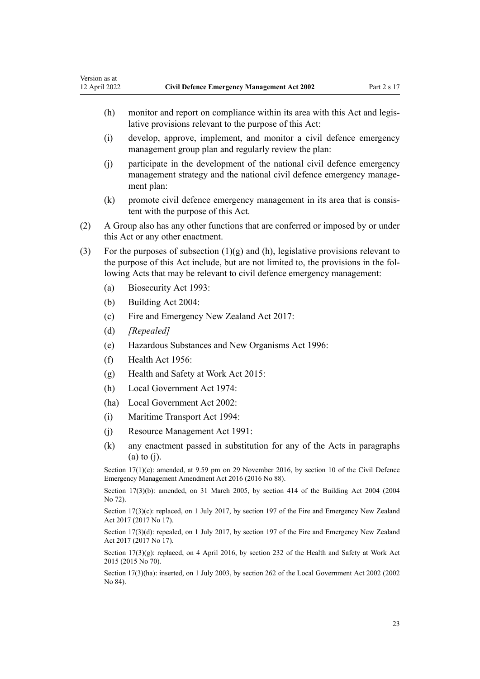- (h) monitor and report on compliance within its area with this Act and legislative provisions relevant to the purpose of this Act:
- (i) develop, approve, implement, and monitor a civil defence emergency management group plan and regularly review the plan:
- (j) participate in the development of the national civil defence emergency management strategy and the national civil defence emergency management plan:
- (k) promote civil defence emergency management in its area that is consistent with the purpose of this Act.
- (2) A Group also has any other functions that are conferred or imposed by or under this Act or any other enactment.
- (3) For the purposes of subsection  $(1)(g)$  and  $(h)$ , legislative provisions relevant to the purpose of this Act include, but are not limited to, the provisions in the fol‐ lowing Acts that may be relevant to civil defence emergency management:
	- (a) [Biosecurity Act 1993:](http://legislation.govt.nz/pdflink.aspx?id=DLM314622)
	- (b) [Building Act 2004:](http://legislation.govt.nz/pdflink.aspx?id=DLM306035)
	- (c) [Fire and Emergency New Zealand Act 2017](http://legislation.govt.nz/pdflink.aspx?id=DLM6712700):
	- (d) *[Repealed]*
	- (e) [Hazardous Substances and New Organisms Act 1996](http://legislation.govt.nz/pdflink.aspx?id=DLM381221):
	- (f) [Health Act 1956](http://legislation.govt.nz/pdflink.aspx?id=DLM305839):
	- (g) [Health and Safety at Work Act 2015](http://legislation.govt.nz/pdflink.aspx?id=DLM5976602):
	- (h) [Local Government Act 1974](http://legislation.govt.nz/pdflink.aspx?id=DLM415531):
	- (ha) [Local Government Act 2002](http://legislation.govt.nz/pdflink.aspx?id=DLM170872):
	- (i) [Maritime Transport Act 1994:](http://legislation.govt.nz/pdflink.aspx?id=DLM334659)
	- (j) [Resource Management Act 1991](http://legislation.govt.nz/pdflink.aspx?id=DLM230264):
	- (k) any enactment passed in substitution for any of the Acts in paragraphs (a) to (j).

Section  $17(1)(e)$ : amended, at 9.59 pm on 29 November 2016, by [section 10](http://legislation.govt.nz/pdflink.aspx?id=DLM6928001) of the Civil Defence Emergency Management Amendment Act 2016 (2016 No 88).

Section 17(3)(b): amended, on 31 March 2005, by [section 414](http://legislation.govt.nz/pdflink.aspx?id=DLM309090) of the Building Act 2004 (2004 No 72).

Section 17(3)(c): replaced, on 1 July 2017, by [section 197](http://legislation.govt.nz/pdflink.aspx?id=DLM6678752) of the Fire and Emergency New Zealand Act 2017 (2017 No 17).

Section 17(3)(d): repealed, on 1 July 2017, by [section 197](http://legislation.govt.nz/pdflink.aspx?id=DLM6678752) of the Fire and Emergency New Zealand Act 2017 (2017 No 17).

Section  $17(3)(g)$ : replaced, on 4 April 2016, by [section 232](http://legislation.govt.nz/pdflink.aspx?id=DLM5977236) of the Health and Safety at Work Act 2015 (2015 No 70).

Section 17(3)(ha): inserted, on 1 July 2003, by [section 262](http://legislation.govt.nz/pdflink.aspx?id=DLM174088) of the Local Government Act 2002 (2002 No 84).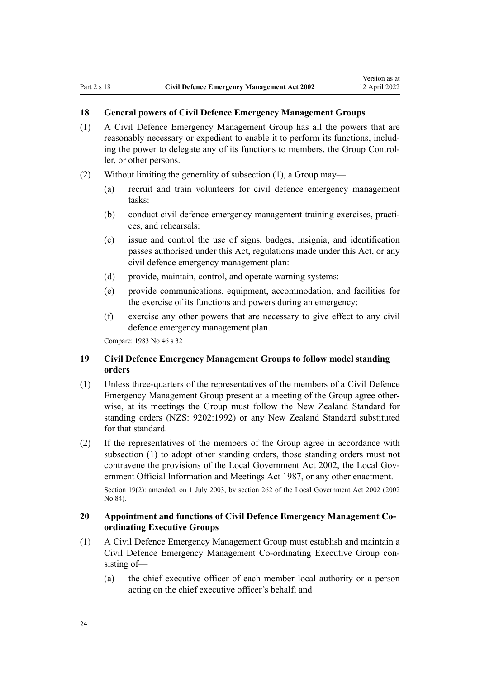### <span id="page-23-0"></span>**18 General powers of Civil Defence Emergency Management Groups**

- (1) A Civil Defence Emergency Management Group has all the powers that are reasonably necessary or expedient to enable it to perform its functions, includ‐ ing the power to delegate any of its functions to members, the Group Control‐ ler, or other persons.
- (2) Without limiting the generality of subsection (1), a Group may—
	- (a) recruit and train volunteers for civil defence emergency management tasks:
	- (b) conduct civil defence emergency management training exercises, practices, and rehearsals:
	- (c) issue and control the use of signs, badges, insignia, and identification passes authorised under this Act, regulations made under this Act, or any civil defence emergency management plan:
	- (d) provide, maintain, control, and operate warning systems:
	- (e) provide communications, equipment, accommodation, and facilities for the exercise of its functions and powers during an emergency:
	- (f) exercise any other powers that are necessary to give effect to any civil defence emergency management plan.

Compare: 1983 No 46 s 32

### **19 Civil Defence Emergency Management Groups to follow model standing orders**

- (1) Unless three-quarters of the representatives of the members of a Civil Defence Emergency Management Group present at a meeting of the Group agree other‐ wise, at its meetings the Group must follow the New Zealand Standard for standing orders (NZS: 9202:1992) or any New Zealand Standard substituted for that standard.
- (2) If the representatives of the members of the Group agree in accordance with subsection (1) to adopt other standing orders, those standing orders must not contravene the provisions of the [Local Government Act 2002](http://legislation.govt.nz/pdflink.aspx?id=DLM170872), the Local Gov[ernment Official Information and Meetings Act 1987,](http://legislation.govt.nz/pdflink.aspx?id=DLM122241) or any other enactment.

Section 19(2): amended, on 1 July 2003, by [section 262](http://legislation.govt.nz/pdflink.aspx?id=DLM174088) of the Local Government Act 2002 (2002 No 84).

### **20 Appointment and functions of Civil Defence Emergency Management Coordinating Executive Groups**

- (1) A Civil Defence Emergency Management Group must establish and maintain a Civil Defence Emergency Management Co-ordinating Executive Group con‐ sisting of—
	- (a) the chief executive officer of each member local authority or a person acting on the chief executive officer's behalf; and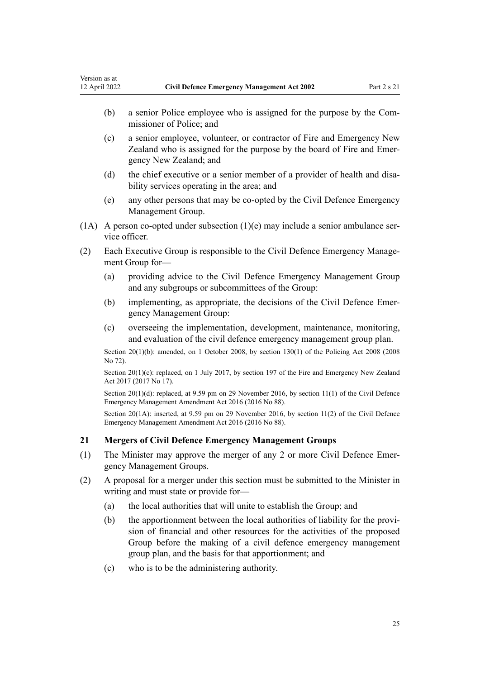- <span id="page-24-0"></span>(b) a senior Police employee who is assigned for the purpose by the Com‐ missioner of Police; and
- (c) a senior employee, volunteer, or contractor of Fire and Emergency New Zealand who is assigned for the purpose by the board of Fire and Emer‐ gency New Zealand; and
- (d) the chief executive or a senior member of a provider of health and disability services operating in the area; and
- (e) any other persons that may be co-opted by the Civil Defence Emergency Management Group.
- (1A) A person co-opted under subsection (1)(e) may include a senior ambulance service officer.
- (2) Each Executive Group is responsible to the Civil Defence Emergency Manage‐ ment Group for—
	- (a) providing advice to the Civil Defence Emergency Management Group and any subgroups or subcommittees of the Group:
	- (b) implementing, as appropriate, the decisions of the Civil Defence Emer‐ gency Management Group:
	- (c) overseeing the implementation, development, maintenance, monitoring, and evaluation of the civil defence emergency management group plan.

Section 20(1)(b): amended, on 1 October 2008, by [section 130\(1\)](http://legislation.govt.nz/pdflink.aspx?id=DLM1102383) of the Policing Act 2008 (2008) No 72).

Section 20(1)(c): replaced, on 1 July 2017, by [section 197](http://legislation.govt.nz/pdflink.aspx?id=DLM6678752) of the Fire and Emergency New Zealand Act 2017 (2017 No 17).

Section 20(1)(d): replaced, at 9.59 pm on 29 November 2016, by [section 11\(1\)](http://legislation.govt.nz/pdflink.aspx?id=DLM6648864) of the Civil Defence Emergency Management Amendment Act 2016 (2016 No 88).

Section 20(1A): inserted, at 9.59 pm on 29 November 2016, by [section 11\(2\)](http://legislation.govt.nz/pdflink.aspx?id=DLM6648864) of the Civil Defence Emergency Management Amendment Act 2016 (2016 No 88).

#### **21 Mergers of Civil Defence Emergency Management Groups**

- (1) The Minister may approve the merger of any 2 or more Civil Defence Emer‐ gency Management Groups.
- (2) A proposal for a merger under this section must be submitted to the Minister in writing and must state or provide for—
	- (a) the local authorities that will unite to establish the Group; and
	- (b) the apportionment between the local authorities of liability for the provi‐ sion of financial and other resources for the activities of the proposed Group before the making of a civil defence emergency management group plan, and the basis for that apportionment; and
	- (c) who is to be the administering authority.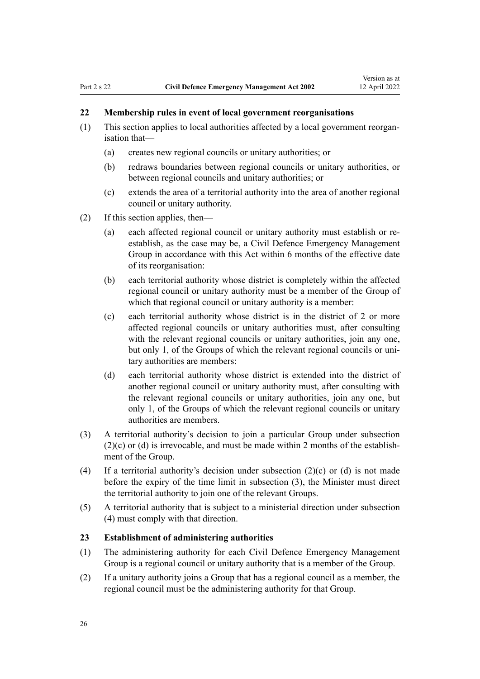### <span id="page-25-0"></span>**22 Membership rules in event of local government reorganisations**

- (1) This section applies to local authorities affected by a local government reorgan‐ isation that—
	- (a) creates new regional councils or unitary authorities; or
	- (b) redraws boundaries between regional councils or unitary authorities, or between regional councils and unitary authorities; or
	- (c) extends the area of a territorial authority into the area of another regional council or unitary authority.
- (2) If this section applies, then—
	- (a) each affected regional council or unitary authority must establish or reestablish, as the case may be, a Civil Defence Emergency Management Group in accordance with this Act within 6 months of the effective date of its reorganisation:
	- (b) each territorial authority whose district is completely within the affected regional council or unitary authority must be a member of the Group of which that regional council or unitary authority is a member:
	- (c) each territorial authority whose district is in the district of 2 or more affected regional councils or unitary authorities must, after consulting with the relevant regional councils or unitary authorities, join any one, but only 1, of the Groups of which the relevant regional councils or unitary authorities are members:
	- (d) each territorial authority whose district is extended into the district of another regional council or unitary authority must, after consulting with the relevant regional councils or unitary authorities, join any one, but only 1, of the Groups of which the relevant regional councils or unitary authorities are members.
- (3) A territorial authority's decision to join a particular Group under subsection  $(2)(c)$  or (d) is irrevocable, and must be made within 2 months of the establishment of the Group.
- (4) If a territorial authority's decision under subsection (2)(c) or (d) is not made before the expiry of the time limit in subsection (3), the Minister must direct the territorial authority to join one of the relevant Groups.
- (5) A territorial authority that is subject to a ministerial direction under subsection (4) must comply with that direction.

#### **23 Establishment of administering authorities**

- (1) The administering authority for each Civil Defence Emergency Management Group is a regional council or unitary authority that is a member of the Group.
- (2) If a unitary authority joins a Group that has a regional council as a member, the regional council must be the administering authority for that Group.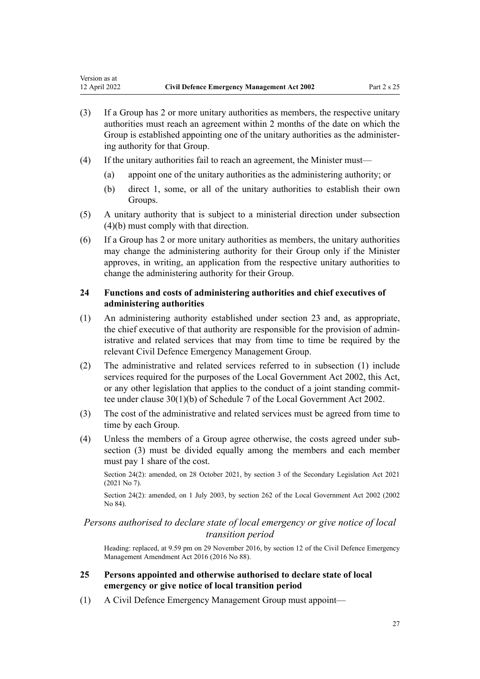- <span id="page-26-0"></span>(3) If a Group has 2 or more unitary authorities as members, the respective unitary authorities must reach an agreement within 2 months of the date on which the Group is established appointing one of the unitary authorities as the administering authority for that Group.
- (4) If the unitary authorities fail to reach an agreement, the Minister must—
	- (a) appoint one of the unitary authorities as the administering authority; or
	- (b) direct 1, some, or all of the unitary authorities to establish their own Groups.
- (5) A unitary authority that is subject to a ministerial direction under subsection (4)(b) must comply with that direction.
- (6) If a Group has 2 or more unitary authorities as members, the unitary authorities may change the administering authority for their Group only if the Minister approves, in writing, an application from the respective unitary authorities to change the administering authority for their Group.

### **24 Functions and costs of administering authorities and chief executives of administering authorities**

- (1) An administering authority established under [section 23](#page-25-0) and, as appropriate, the chief executive of that authority are responsible for the provision of admin‐ istrative and related services that may from time to time be required by the relevant Civil Defence Emergency Management Group.
- (2) The administrative and related services referred to in subsection (1) include services required for the purposes of the [Local Government Act 2002,](http://legislation.govt.nz/pdflink.aspx?id=DLM170872) this Act, or any other legislation that applies to the conduct of a joint standing committee under [clause 30\(1\)\(b\)](http://legislation.govt.nz/pdflink.aspx?id=DLM175699) of Schedule 7 of the Local Government Act 2002.
- (3) The cost of the administrative and related services must be agreed from time to time by each Group.
- (4) Unless the members of a Group agree otherwise, the costs agreed under sub‐ section (3) must be divided equally among the members and each member must pay 1 share of the cost.

Section 24(2): amended, on 28 October 2021, by [section 3](http://legislation.govt.nz/pdflink.aspx?id=LMS268932) of the Secondary Legislation Act 2021 (2021 No 7).

Section 24(2): amended, on 1 July 2003, by [section 262](http://legislation.govt.nz/pdflink.aspx?id=DLM174088) of the Local Government Act 2002 (2002 No 84).

### *Persons authorised to declare state of local emergency or give notice of local transition period*

Heading: replaced, at 9.59 pm on 29 November 2016, by [section 12](http://legislation.govt.nz/pdflink.aspx?id=DLM6648865) of the Civil Defence Emergency Management Amendment Act 2016 (2016 No 88).

### **25 Persons appointed and otherwise authorised to declare state of local emergency or give notice of local transition period**

(1) A Civil Defence Emergency Management Group must appoint—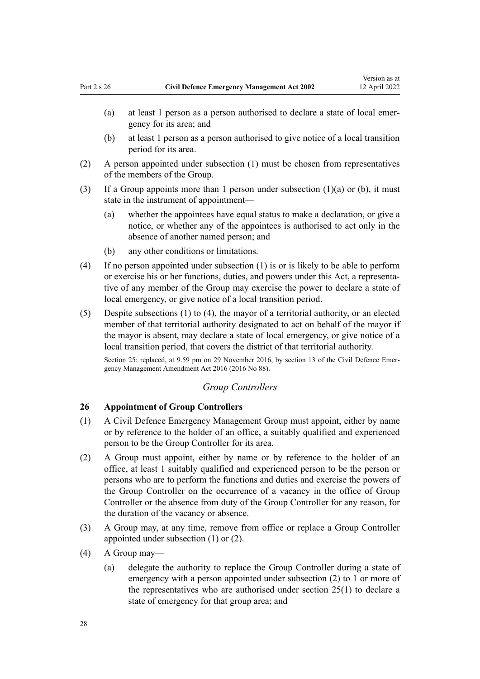- <span id="page-27-0"></span>(a) at least 1 person as a person authorised to declare a state of local emer‐ gency for its area; and
- (b) at least 1 person as a person authorised to give notice of a local transition period for its area.
- (2) A person appointed under subsection (1) must be chosen from representatives of the members of the Group.
- (3) If a Group appoints more than 1 person under subsection  $(1)(a)$  or  $(b)$ , it must state in the instrument of appointment—
	- (a) whether the appointees have equal status to make a declaration, or give a notice, or whether any of the appointees is authorised to act only in the absence of another named person; and
	- (b) any other conditions or limitations.
- (4) If no person appointed under subsection (1) is or is likely to be able to perform or exercise his or her functions, duties, and powers under this Act, a representa‐ tive of any member of the Group may exercise the power to declare a state of local emergency, or give notice of a local transition period.
- (5) Despite subsections (1) to (4), the mayor of a territorial authority, or an elected member of that territorial authority designated to act on behalf of the mayor if the mayor is absent, may declare a state of local emergency, or give notice of a local transition period, that covers the district of that territorial authority.

Section 25: replaced, at 9.59 pm on 29 November 2016, by [section 13](http://legislation.govt.nz/pdflink.aspx?id=DLM6648866) of the Civil Defence Emergency Management Amendment Act 2016 (2016 No 88).

### *Group Controllers*

#### **26 Appointment of Group Controllers**

- (1) A Civil Defence Emergency Management Group must appoint, either by name or by reference to the holder of an office, a suitably qualified and experienced person to be the Group Controller for its area.
- (2) A Group must appoint, either by name or by reference to the holder of an office, at least 1 suitably qualified and experienced person to be the person or persons who are to perform the functions and duties and exercise the powers of the Group Controller on the occurrence of a vacancy in the office of Group Controller or the absence from duty of the Group Controller for any reason, for the duration of the vacancy or absence.
- (3) A Group may, at any time, remove from office or replace a Group Controller appointed under subsection (1) or (2).
- (4) A Group may—
	- (a) delegate the authority to replace the Group Controller during a state of emergency with a person appointed under subsection (2) to 1 or more of the representatives who are authorised under [section 25\(1\)](#page-26-0) to declare a state of emergency for that group area; and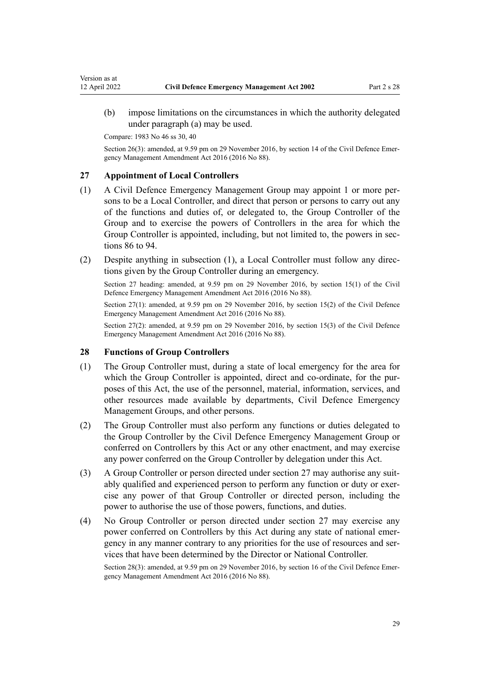<span id="page-28-0"></span>(b) impose limitations on the circumstances in which the authority delegated under paragraph (a) may be used.

Compare: 1983 No 46 ss 30, 40

Section 26(3): amended, at 9.59 pm on 29 November 2016, by [section 14](http://legislation.govt.nz/pdflink.aspx?id=DLM6648870) of the Civil Defence Emergency Management Amendment Act 2016 (2016 No 88).

#### **27 Appointment of Local Controllers**

- (1) A Civil Defence Emergency Management Group may appoint 1 or more per‐ sons to be a Local Controller, and direct that person or persons to carry out any of the functions and duties of, or delegated to, the Group Controller of the Group and to exercise the powers of Controllers in the area for which the Group Controller is appointed, including, but not limited to, the powers in sec[tions 86 to 94](#page-55-0).
- (2) Despite anything in subsection (1), a Local Controller must follow any directions given by the Group Controller during an emergency.

Section 27 heading: amended, at 9.59 pm on 29 November 2016, by [section 15\(1\)](http://legislation.govt.nz/pdflink.aspx?id=DLM6648871) of the Civil Defence Emergency Management Amendment Act 2016 (2016 No 88).

Section 27(1): amended, at 9.59 pm on 29 November 2016, by [section 15\(2\)](http://legislation.govt.nz/pdflink.aspx?id=DLM6648871) of the Civil Defence Emergency Management Amendment Act 2016 (2016 No 88).

Section 27(2): amended, at 9.59 pm on 29 November 2016, by [section 15\(3\)](http://legislation.govt.nz/pdflink.aspx?id=DLM6648871) of the Civil Defence Emergency Management Amendment Act 2016 (2016 No 88).

#### **28 Functions of Group Controllers**

- (1) The Group Controller must, during a state of local emergency for the area for which the Group Controller is appointed, direct and co-ordinate, for the purposes of this Act, the use of the personnel, material, information, services, and other resources made available by departments, Civil Defence Emergency Management Groups, and other persons.
- (2) The Group Controller must also perform any functions or duties delegated to the Group Controller by the Civil Defence Emergency Management Group or conferred on Controllers by this Act or any other enactment, and may exercise any power conferred on the Group Controller by delegation under this Act.
- (3) A Group Controller or person directed under section 27 may authorise any suit‐ ably qualified and experienced person to perform any function or duty or exercise any power of that Group Controller or directed person, including the power to authorise the use of those powers, functions, and duties.
- (4) No Group Controller or person directed under section 27 may exercise any power conferred on Controllers by this Act during any state of national emergency in any manner contrary to any priorities for the use of resources and services that have been determined by the Director or National Controller.

Section 28(3): amended, at 9.59 pm on 29 November 2016, by [section 16](http://legislation.govt.nz/pdflink.aspx?id=DLM6648872) of the Civil Defence Emergency Management Amendment Act 2016 (2016 No 88).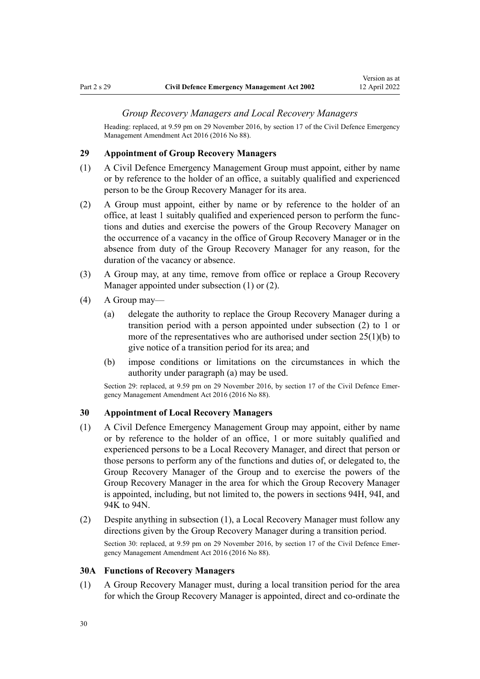#### *Group Recovery Managers and Local Recovery Managers*

<span id="page-29-0"></span>Heading: replaced, at 9.59 pm on 29 November 2016, by [section 17](http://legislation.govt.nz/pdflink.aspx?id=DLM6648873) of the Civil Defence Emergency Management Amendment Act 2016 (2016 No 88).

#### **29 Appointment of Group Recovery Managers**

- (1) A Civil Defence Emergency Management Group must appoint, either by name or by reference to the holder of an office, a suitably qualified and experienced person to be the Group Recovery Manager for its area.
- (2) A Group must appoint, either by name or by reference to the holder of an office, at least 1 suitably qualified and experienced person to perform the func‐ tions and duties and exercise the powers of the Group Recovery Manager on the occurrence of a vacancy in the office of Group Recovery Manager or in the absence from duty of the Group Recovery Manager for any reason, for the duration of the vacancy or absence.
- (3) A Group may, at any time, remove from office or replace a Group Recovery Manager appointed under subsection (1) or (2).
- (4) A Group may—
	- (a) delegate the authority to replace the Group Recovery Manager during a transition period with a person appointed under subsection (2) to 1 or more of the representatives who are authorised under section  $25(1)(b)$  to give notice of a transition period for its area; and
	- (b) impose conditions or limitations on the circumstances in which the authority under paragraph (a) may be used.

Section 29: replaced, at 9.59 pm on 29 November 2016, by [section 17](http://legislation.govt.nz/pdflink.aspx?id=DLM6648873) of the Civil Defence Emergency Management Amendment Act 2016 (2016 No 88).

### **30 Appointment of Local Recovery Managers**

- (1) A Civil Defence Emergency Management Group may appoint, either by name or by reference to the holder of an office, 1 or more suitably qualified and experienced persons to be a Local Recovery Manager, and direct that person or those persons to perform any of the functions and duties of, or delegated to, the Group Recovery Manager of the Group and to exercise the powers of the Group Recovery Manager in the area for which the Group Recovery Manager is appointed, including, but not limited to, the powers in [sections 94H](#page-67-0), [94I](#page-67-0), and [94K to 94N.](#page-68-0)
- (2) Despite anything in subsection (1), a Local Recovery Manager must follow any directions given by the Group Recovery Manager during a transition period. Section 30: replaced, at 9.59 pm on 29 November 2016, by [section 17](http://legislation.govt.nz/pdflink.aspx?id=DLM6648873) of the Civil Defence Emergency Management Amendment Act 2016 (2016 No 88).

#### **30A Functions of Recovery Managers**

(1) A Group Recovery Manager must, during a local transition period for the area for which the Group Recovery Manager is appointed, direct and co-ordinate the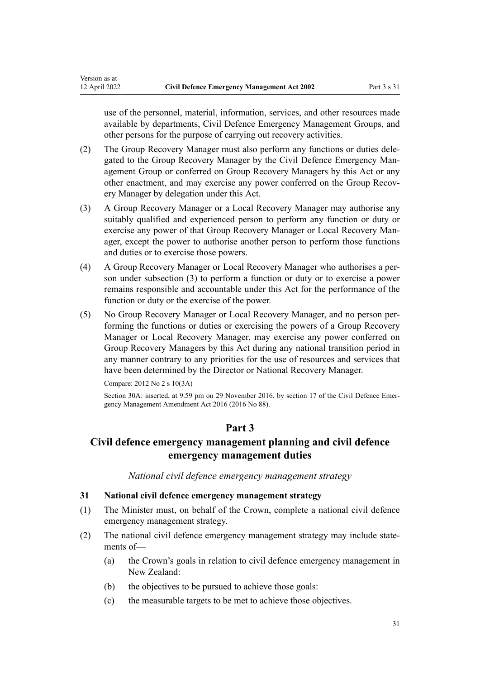use of the personnel, material, information, services, and other resources made available by departments, Civil Defence Emergency Management Groups, and other persons for the purpose of carrying out recovery activities.

- (2) The Group Recovery Manager must also perform any functions or duties dele‐ gated to the Group Recovery Manager by the Civil Defence Emergency Management Group or conferred on Group Recovery Managers by this Act or any other enactment, and may exercise any power conferred on the Group Recovery Manager by delegation under this Act.
- (3) A Group Recovery Manager or a Local Recovery Manager may authorise any suitably qualified and experienced person to perform any function or duty or exercise any power of that Group Recovery Manager or Local Recovery Manager, except the power to authorise another person to perform those functions and duties or to exercise those powers.
- (4) A Group Recovery Manager or Local Recovery Manager who authorises a per‐ son under subsection (3) to perform a function or duty or to exercise a power remains responsible and accountable under this Act for the performance of the function or duty or the exercise of the power.
- (5) No Group Recovery Manager or Local Recovery Manager, and no person per‐ forming the functions or duties or exercising the powers of a Group Recovery Manager or Local Recovery Manager, may exercise any power conferred on Group Recovery Managers by this Act during any national transition period in any manner contrary to any priorities for the use of resources and services that have been determined by the Director or National Recovery Manager.

Compare: 2012 No 2 [s 10\(3A\)](http://legislation.govt.nz/pdflink.aspx?id=DLM3732689)

<span id="page-30-0"></span>Version as at<br>12 April 2022

Section 30A: inserted, at 9.59 pm on 29 November 2016, by [section 17](http://legislation.govt.nz/pdflink.aspx?id=DLM6648873) of the Civil Defence Emergency Management Amendment Act 2016 (2016 No 88).

## **Part 3**

## **Civil defence emergency management planning and civil defence emergency management duties**

*National civil defence emergency management strategy*

#### **31 National civil defence emergency management strategy**

- (1) The Minister must, on behalf of the Crown, complete a national civil defence emergency management strategy.
- (2) The national civil defence emergency management strategy may include state‐ ments of—
	- (a) the Crown's goals in relation to civil defence emergency management in New Zealand:
	- (b) the objectives to be pursued to achieve those goals:
	- (c) the measurable targets to be met to achieve those objectives.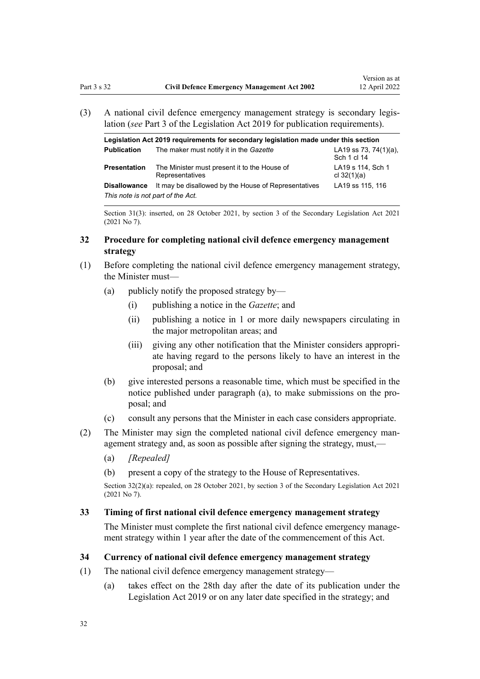<span id="page-31-0"></span>(3) A national civil defence emergency management strategy is secondary legis‐ lation (*see* [Part 3](http://legislation.govt.nz/pdflink.aspx?id=DLM7298343) of the Legislation Act 2019 for publication requirements).

| Legislation Act 2019 requirements for secondary legislation made under this section |                                                                 |                                      |  |
|-------------------------------------------------------------------------------------|-----------------------------------------------------------------|--------------------------------------|--|
| <b>Publication</b>                                                                  | The maker must notify it in the Gazette                         | LA19 ss 73, 74(1)(a),<br>Sch 1 cl 14 |  |
| <b>Presentation</b>                                                                 | The Minister must present it to the House of<br>Representatives | LA19 s 114, Sch 1<br>cl $32(1)(a)$   |  |
| <b>Disallowance</b>                                                                 | It may be disallowed by the House of Representatives            | LA19 ss 115, 116                     |  |
| This note is not part of the Act.                                                   |                                                                 |                                      |  |

Section 31(3): inserted, on 28 October 2021, by [section 3](http://legislation.govt.nz/pdflink.aspx?id=LMS268932) of the Secondary Legislation Act 2021 (2021 No 7).

#### **32 Procedure for completing national civil defence emergency management strategy**

- (1) Before completing the national civil defence emergency management strategy, the Minister must—
	- (a) publicly notify the proposed strategy by—
		- (i) publishing a notice in the *Gazette*; and
		- (ii) publishing a notice in 1 or more daily newspapers circulating in the major metropolitan areas; and
		- (iii) giving any other notification that the Minister considers appropri‐ ate having regard to the persons likely to have an interest in the proposal; and
	- (b) give interested persons a reasonable time, which must be specified in the notice published under paragraph (a), to make submissions on the pro‐ posal; and
	- (c) consult any persons that the Minister in each case considers appropriate.
- (2) The Minister may sign the completed national civil defence emergency man‐ agement strategy and, as soon as possible after signing the strategy, must,—
	- (a) *[Repealed]*
	- (b) present a copy of the strategy to the House of Representatives.

Section 32(2)(a): repealed, on 28 October 2021, by [section 3](http://legislation.govt.nz/pdflink.aspx?id=LMS268932) of the Secondary Legislation Act 2021 (2021 No 7).

#### **33 Timing of first national civil defence emergency management strategy**

The Minister must complete the first national civil defence emergency management strategy within 1 year after the date of the commencement of this Act.

#### **34 Currency of national civil defence emergency management strategy**

- (1) The national civil defence emergency management strategy—
	- (a) takes effect on the 28th day after the date of its publication under the [Legislation Act 2019](http://legislation.govt.nz/pdflink.aspx?id=DLM7298104) or on any later date specified in the strategy; and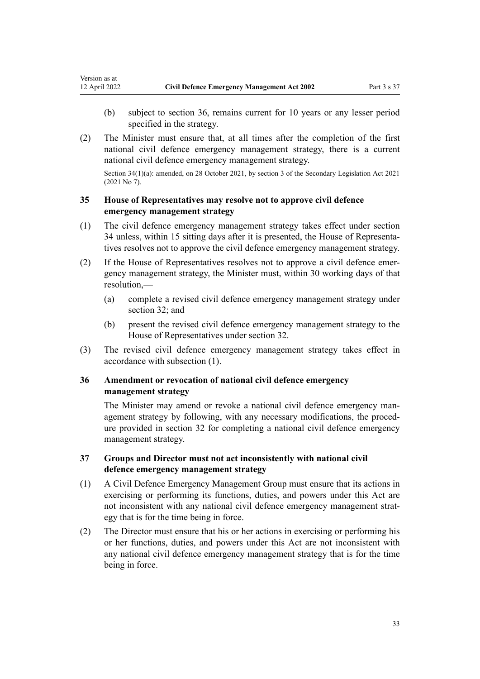<span id="page-32-0"></span>Version as at<br>12 April 2022

- (b) subject to section 36, remains current for 10 years or any lesser period specified in the strategy.
- (2) The Minister must ensure that, at all times after the completion of the first national civil defence emergency management strategy, there is a current national civil defence emergency management strategy.

Section 34(1)(a): amended, on 28 October 2021, by [section 3](http://legislation.govt.nz/pdflink.aspx?id=LMS268932) of the Secondary Legislation Act 2021 (2021 No 7).

### **35 House of Representatives may resolve not to approve civil defence emergency management strategy**

- (1) The civil defence emergency management strategy takes effect under [section](#page-31-0) [34](#page-31-0) unless, within 15 sitting days after it is presented, the House of Representa‐ tives resolves not to approve the civil defence emergency management strategy.
- (2) If the House of Representatives resolves not to approve a civil defence emer‐ gency management strategy, the Minister must, within 30 working days of that resolution,—
	- (a) complete a revised civil defence emergency management strategy under [section 32](#page-31-0); and
	- (b) present the revised civil defence emergency management strategy to the House of Representatives under [section 32.](#page-31-0)
- (3) The revised civil defence emergency management strategy takes effect in accordance with subsection (1).

### **36 Amendment or revocation of national civil defence emergency management strategy**

The Minister may amend or revoke a national civil defence emergency management strategy by following, with any necessary modifications, the proced‐ ure provided in [section 32](#page-31-0) for completing a national civil defence emergency management strategy.

### **37 Groups and Director must not act inconsistently with national civil defence emergency management strategy**

- (1) A Civil Defence Emergency Management Group must ensure that its actions in exercising or performing its functions, duties, and powers under this Act are not inconsistent with any national civil defence emergency management strategy that is for the time being in force.
- (2) The Director must ensure that his or her actions in exercising or performing his or her functions, duties, and powers under this Act are not inconsistent with any national civil defence emergency management strategy that is for the time being in force.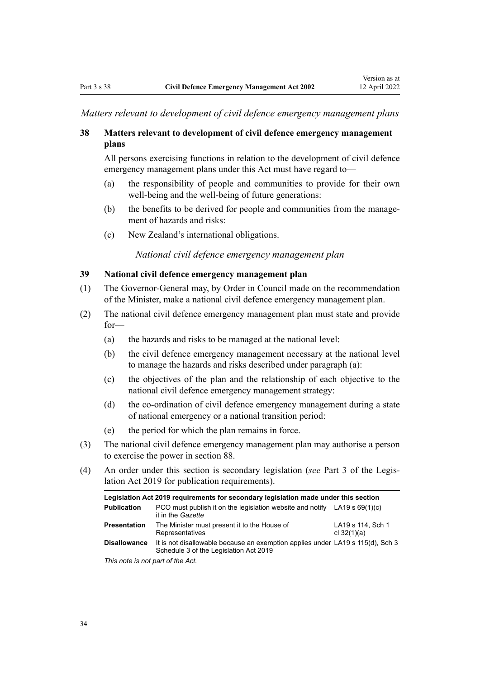<span id="page-33-0"></span>*Matters relevant to development of civil defence emergency management plans*

### **38 Matters relevant to development of civil defence emergency management plans**

All persons exercising functions in relation to the development of civil defence emergency management plans under this Act must have regard to—

- (a) the responsibility of people and communities to provide for their own well-being and the well-being of future generations:
- (b) the benefits to be derived for people and communities from the management of hazards and risks:
- (c) New Zealand's international obligations.

*National civil defence emergency management plan*

### **39 National civil defence emergency management plan**

- (1) The Governor-General may, by Order in Council made on the recommendation of the Minister, make a national civil defence emergency management plan.
- (2) The national civil defence emergency management plan must state and provide for—
	- (a) the hazards and risks to be managed at the national level:
	- (b) the civil defence emergency management necessary at the national level to manage the hazards and risks described under paragraph (a):
	- (c) the objectives of the plan and the relationship of each objective to the national civil defence emergency management strategy:
	- (d) the co-ordination of civil defence emergency management during a state of national emergency or a national transition period:
	- (e) the period for which the plan remains in force.
- (3) The national civil defence emergency management plan may authorise a person to exercise the power in [section 88.](#page-56-0)
- (4) An order under this section is secondary legislation (*see* [Part 3](http://legislation.govt.nz/pdflink.aspx?id=DLM7298343) of the Legis‐ lation Act 2019 for publication requirements).

| Legislation Act 2019 requirements for secondary legislation made under this section |                                                                                                                          |                                    |  |
|-------------------------------------------------------------------------------------|--------------------------------------------------------------------------------------------------------------------------|------------------------------------|--|
| <b>Publication</b>                                                                  | PCO must publish it on the legislation website and notify LA19 s $69(1)(c)$<br>it in the Gazette                         |                                    |  |
| <b>Presentation</b>                                                                 | The Minister must present it to the House of<br>Representatives                                                          | LA19 s 114, Sch 1<br>cl $32(1)(a)$ |  |
| <b>Disallowance</b>                                                                 | It is not disallowable because an exemption applies under LA19 s 115(d), Sch 3<br>Schedule 3 of the Legislation Act 2019 |                                    |  |
| This note is not part of the Act.                                                   |                                                                                                                          |                                    |  |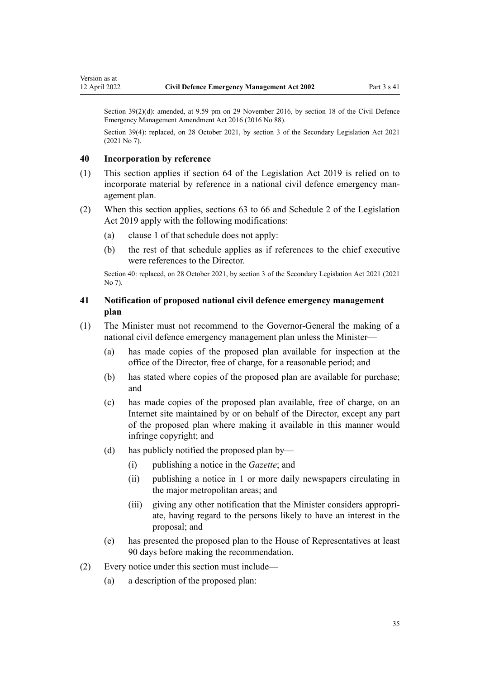Section 39(2)(d): amended, at 9.59 pm on 29 November 2016, by [section 18](http://legislation.govt.nz/pdflink.aspx?id=DLM6648878) of the Civil Defence Emergency Management Amendment Act 2016 (2016 No 88).

Section 39(4): replaced, on 28 October 2021, by [section 3](http://legislation.govt.nz/pdflink.aspx?id=LMS268932) of the Secondary Legislation Act 2021 (2021 No 7).

#### **40 Incorporation by reference**

<span id="page-34-0"></span>Version as at<br>12 April 2022

- (1) This section applies if [section 64](http://legislation.govt.nz/pdflink.aspx?id=DLM7298339) of the Legislation Act 2019 is relied on to incorporate material by reference in a national civil defence emergency management plan.
- (2) When this section applies, [sections 63 to 66](http://legislation.govt.nz/pdflink.aspx?id=DLM7298334) and [Schedule 2](http://legislation.govt.nz/pdflink.aspx?id=DLM7298598) of the Legislation Act 2019 apply with the following modifications:
	- (a) [clause 1](http://legislation.govt.nz/pdflink.aspx?id=DLM7298599) of that schedule does not apply:
	- (b) the rest of that schedule applies as if references to the chief executive were references to the Director.

Section 40: replaced, on 28 October 2021, by [section 3](http://legislation.govt.nz/pdflink.aspx?id=LMS268932) of the Secondary Legislation Act 2021 (2021 No 7).

### **41 Notification of proposed national civil defence emergency management plan**

- (1) The Minister must not recommend to the Governor-General the making of a national civil defence emergency management plan unless the Minister—
	- (a) has made copies of the proposed plan available for inspection at the office of the Director, free of charge, for a reasonable period; and
	- (b) has stated where copies of the proposed plan are available for purchase; and
	- (c) has made copies of the proposed plan available, free of charge, on an Internet site maintained by or on behalf of the Director, except any part of the proposed plan where making it available in this manner would infringe copyright; and
	- (d) has publicly notified the proposed plan by—
		- (i) publishing a notice in the *Gazette*; and
		- (ii) publishing a notice in 1 or more daily newspapers circulating in the major metropolitan areas; and
		- (iii) giving any other notification that the Minister considers appropri‐ ate, having regard to the persons likely to have an interest in the proposal; and
	- (e) has presented the proposed plan to the House of Representatives at least 90 days before making the recommendation.
- (2) Every notice under this section must include—
	- (a) a description of the proposed plan: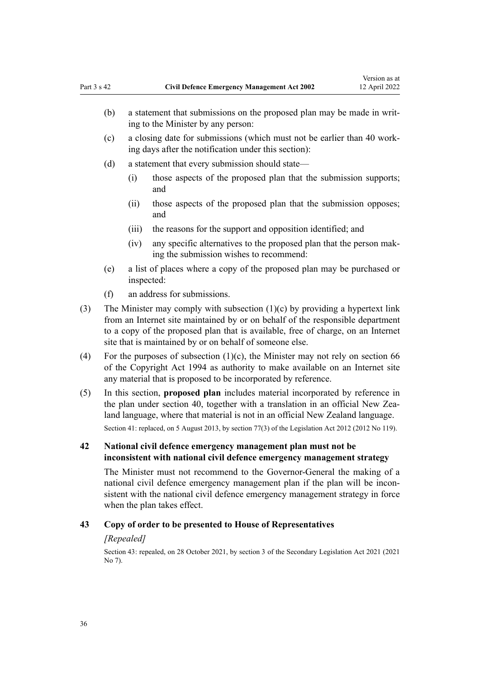- <span id="page-35-0"></span>(b) a statement that submissions on the proposed plan may be made in writing to the Minister by any person:
- (c) a closing date for submissions (which must not be earlier than 40 work‐ ing days after the notification under this section):
- (d) a statement that every submission should state—
	- (i) those aspects of the proposed plan that the submission supports; and
	- (ii) those aspects of the proposed plan that the submission opposes; and
	- (iii) the reasons for the support and opposition identified; and
	- (iv) any specific alternatives to the proposed plan that the person mak‐ ing the submission wishes to recommend:
- (e) a list of places where a copy of the proposed plan may be purchased or inspected:
- (f) an address for submissions.
- (3) The Minister may comply with subsection (1)(c) by providing a hypertext link from an Internet site maintained by or on behalf of the responsible department to a copy of the proposed plan that is available, free of charge, on an Internet site that is maintained by or on behalf of someone else.
- (4) For the purposes of subsection  $(1)(c)$ , the Minister may not rely on [section 66](http://legislation.govt.nz/pdflink.aspx?id=DLM346207) of the Copyright Act 1994 as authority to make available on an Internet site any material that is proposed to be incorporated by reference.
- (5) In this section, **proposed plan** includes material incorporated by reference in the plan under [section 40](#page-34-0), together with a translation in an official New Zealand language, where that material is not in an official New Zealand language. Section 41: replaced, on 5 August 2013, by [section 77\(3\)](http://legislation.govt.nz/pdflink.aspx?id=DLM2998633) of the Legislation Act 2012 (2012 No 119).

### **42 National civil defence emergency management plan must not be inconsistent with national civil defence emergency management strategy**

The Minister must not recommend to the Governor-General the making of a national civil defence emergency management plan if the plan will be inconsistent with the national civil defence emergency management strategy in force when the plan takes effect.

#### **43 Copy of order to be presented to House of Representatives**

#### *[Repealed]*

Section 43: repealed, on 28 October 2021, by [section 3](http://legislation.govt.nz/pdflink.aspx?id=LMS268932) of the Secondary Legislation Act 2021 (2021 No 7).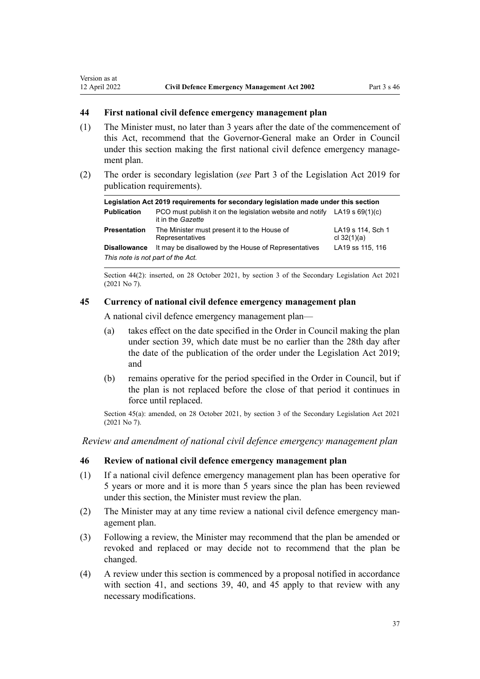<span id="page-36-0"></span>Version as at<br>12 April 2022

- (1) The Minister must, no later than 3 years after the date of the commencement of this Act, recommend that the Governor-General make an Order in Council under this section making the first national civil defence emergency management plan.
- (2) The order is secondary legislation (*see* [Part 3](http://legislation.govt.nz/pdflink.aspx?id=DLM7298343) of the Legislation Act 2019 for publication requirements).

| Legislation Act 2019 requirements for secondary legislation made under this section |                                                                                                  |                                    |  |  |
|-------------------------------------------------------------------------------------|--------------------------------------------------------------------------------------------------|------------------------------------|--|--|
| <b>Publication</b>                                                                  | PCO must publish it on the legislation website and notify LA19 s $69(1)(c)$<br>it in the Gazette |                                    |  |  |
| <b>Presentation</b>                                                                 | The Minister must present it to the House of<br>Representatives                                  | LA19 s 114, Sch 1<br>cl $32(1)(a)$ |  |  |
| <b>Disallowance</b>                                                                 | It may be disallowed by the House of Representatives                                             | LA19 ss 115, 116                   |  |  |
| This note is not part of the Act.                                                   |                                                                                                  |                                    |  |  |

Section 44(2): inserted, on 28 October 2021, by [section 3](http://legislation.govt.nz/pdflink.aspx?id=LMS268932) of the Secondary Legislation Act 2021 (2021 No 7).

#### **45 Currency of national civil defence emergency management plan**

A national civil defence emergency management plan—

- (a) takes effect on the date specified in the Order in Council making the plan under [section 39](#page-33-0), which date must be no earlier than the 28th day after the date of the publication of the order under the [Legislation Act 2019;](http://legislation.govt.nz/pdflink.aspx?id=DLM7298104) and
- (b) remains operative for the period specified in the Order in Council, but if the plan is not replaced before the close of that period it continues in force until replaced.

Section 45(a): amended, on 28 October 2021, by [section 3](http://legislation.govt.nz/pdflink.aspx?id=LMS268932) of the Secondary Legislation Act 2021 (2021 No 7).

*Review and amendment of national civil defence emergency management plan*

#### **46 Review of national civil defence emergency management plan**

- (1) If a national civil defence emergency management plan has been operative for 5 years or more and it is more than 5 years since the plan has been reviewed under this section, the Minister must review the plan.
- (2) The Minister may at any time review a national civil defence emergency man‐ agement plan.
- (3) Following a review, the Minister may recommend that the plan be amended or revoked and replaced or may decide not to recommend that the plan be changed.
- (4) A review under this section is commenced by a proposal notified in accordance with [section 41,](#page-34-0) and [sections 39](#page-33-0), [40,](#page-34-0) and 45 apply to that review with any necessary modifications.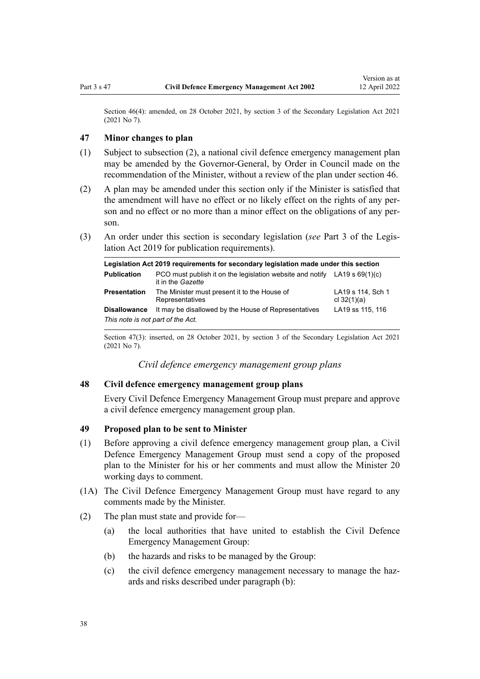<span id="page-37-0"></span>Section 46(4): amended, on 28 October 2021, by [section 3](http://legislation.govt.nz/pdflink.aspx?id=LMS268932) of the Secondary Legislation Act 2021 (2021 No 7).

### **47 Minor changes to plan**

- (1) Subject to subsection (2), a national civil defence emergency management plan may be amended by the Governor-General, by Order in Council made on the recommendation of the Minister, without a review of the plan under [section 46](#page-36-0).
- (2) A plan may be amended under this section only if the Minister is satisfied that the amendment will have no effect or no likely effect on the rights of any person and no effect or no more than a minor effect on the obligations of any person.
- (3) An order under this section is secondary legislation (*see* [Part 3](http://legislation.govt.nz/pdflink.aspx?id=DLM7298343) of the Legis‐ lation Act 2019 for publication requirements).

| Legislation Act 2019 requirements for secondary legislation made under this section |                                                                                                  |                                    |  |  |
|-------------------------------------------------------------------------------------|--------------------------------------------------------------------------------------------------|------------------------------------|--|--|
| <b>Publication</b>                                                                  | PCO must publish it on the legislation website and notify LA19 s $69(1)(c)$<br>it in the Gazette |                                    |  |  |
| <b>Presentation</b>                                                                 | The Minister must present it to the House of<br>Representatives                                  | LA19 s 114, Sch 1<br>cl $32(1)(a)$ |  |  |
| <b>Disallowance</b>                                                                 | It may be disallowed by the House of Representatives                                             | LA19 ss 115, 116                   |  |  |
| This note is not part of the Act.                                                   |                                                                                                  |                                    |  |  |

Section 47(3): inserted, on 28 October 2021, by [section 3](http://legislation.govt.nz/pdflink.aspx?id=LMS268932) of the Secondary Legislation Act 2021 (2021 No 7).

*Civil defence emergency management group plans*

# **48 Civil defence emergency management group plans**

Every Civil Defence Emergency Management Group must prepare and approve a civil defence emergency management group plan.

# **49 Proposed plan to be sent to Minister**

- (1) Before approving a civil defence emergency management group plan, a Civil Defence Emergency Management Group must send a copy of the proposed plan to the Minister for his or her comments and must allow the Minister 20 working days to comment.
- (1A) The Civil Defence Emergency Management Group must have regard to any comments made by the Minister.
- (2) The plan must state and provide for—
	- (a) the local authorities that have united to establish the Civil Defence Emergency Management Group:
	- (b) the hazards and risks to be managed by the Group:
	- (c) the civil defence emergency management necessary to manage the hazards and risks described under paragraph (b):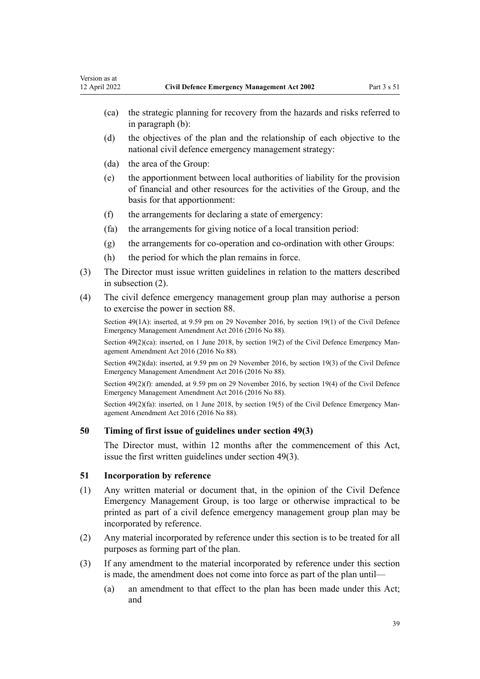- <span id="page-38-0"></span>(ca) the strategic planning for recovery from the hazards and risks referred to in paragraph (b):
- (d) the objectives of the plan and the relationship of each objective to the national civil defence emergency management strategy:
- (da) the area of the Group:
- (e) the apportionment between local authorities of liability for the provision of financial and other resources for the activities of the Group, and the basis for that apportionment:
- (f) the arrangements for declaring a state of emergency:
- (fa) the arrangements for giving notice of a local transition period:
- (g) the arrangements for co-operation and co-ordination with other Groups:
- (h) the period for which the plan remains in force.
- (3) The Director must issue written guidelines in relation to the matters described in subsection (2).
- (4) The civil defence emergency management group plan may authorise a person to exercise the power in [section 88.](#page-56-0)

Section 49(1A): inserted, at 9.59 pm on 29 November 2016, by [section 19\(1\)](http://legislation.govt.nz/pdflink.aspx?id=DLM6648879) of the Civil Defence Emergency Management Amendment Act 2016 (2016 No 88).

Section  $49(2)(ca)$ : inserted, on 1 June 2018, by [section 19\(2\)](http://legislation.govt.nz/pdflink.aspx?id=DLM6648879) of the Civil Defence Emergency Management Amendment Act 2016 (2016 No 88).

Section 49(2)(da): inserted, at 9.59 pm on 29 November 2016, by [section 19\(3\)](http://legislation.govt.nz/pdflink.aspx?id=DLM6648879) of the Civil Defence Emergency Management Amendment Act 2016 (2016 No 88).

Section 49(2)(f): amended, at 9.59 pm on 29 November 2016, by [section 19\(4\)](http://legislation.govt.nz/pdflink.aspx?id=DLM6648879) of the Civil Defence Emergency Management Amendment Act 2016 (2016 No 88).

Section  $49(2)(fa)$ : inserted, on 1 June 2018, by [section 19\(5\)](http://legislation.govt.nz/pdflink.aspx?id=DLM6648879) of the Civil Defence Emergency Management Amendment Act 2016 (2016 No 88).

# **50 Timing of first issue of guidelines under section 49(3)**

The Director must, within 12 months after the commencement of this Act, issue the first written guidelines under [section 49\(3\)](#page-37-0).

# **51 Incorporation by reference**

- (1) Any written material or document that, in the opinion of the Civil Defence Emergency Management Group, is too large or otherwise impractical to be printed as part of a civil defence emergency management group plan may be incorporated by reference.
- (2) Any material incorporated by reference under this section is to be treated for all purposes as forming part of the plan.
- (3) If any amendment to the material incorporated by reference under this section is made, the amendment does not come into force as part of the plan until—
	- (a) an amendment to that effect to the plan has been made under this Act; and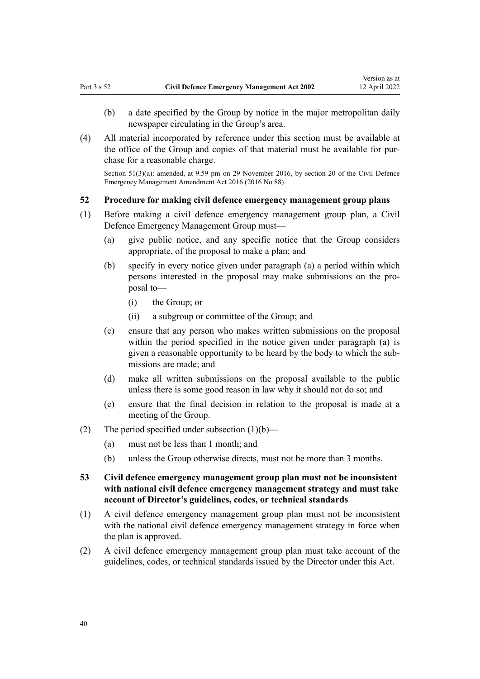- <span id="page-39-0"></span>(b) a date specified by the Group by notice in the major metropolitan daily newspaper circulating in the Group's area.
- (4) All material incorporated by reference under this section must be available at the office of the Group and copies of that material must be available for pur‐ chase for a reasonable charge.

Section 51(3)(a): amended, at 9.59 pm on 29 November 2016, by [section 20](http://legislation.govt.nz/pdflink.aspx?id=DLM6928004) of the Civil Defence Emergency Management Amendment Act 2016 (2016 No 88).

# **52 Procedure for making civil defence emergency management group plans**

- (1) Before making a civil defence emergency management group plan, a Civil Defence Emergency Management Group must—
	- (a) give public notice, and any specific notice that the Group considers appropriate, of the proposal to make a plan; and
	- (b) specify in every notice given under paragraph (a) a period within which persons interested in the proposal may make submissions on the pro‐ posal to—
		- (i) the Group; or
		- (ii) a subgroup or committee of the Group; and
	- (c) ensure that any person who makes written submissions on the proposal within the period specified in the notice given under paragraph (a) is given a reasonable opportunity to be heard by the body to which the sub‐ missions are made; and
	- (d) make all written submissions on the proposal available to the public unless there is some good reason in law why it should not do so; and
	- (e) ensure that the final decision in relation to the proposal is made at a meeting of the Group.
- (2) The period specified under subsection (1)(b)—
	- (a) must not be less than 1 month; and
	- (b) unless the Group otherwise directs, must not be more than 3 months.
- **53 Civil defence emergency management group plan must not be inconsistent with national civil defence emergency management strategy and must take account of Director's guidelines, codes, or technical standards**
- (1) A civil defence emergency management group plan must not be inconsistent with the national civil defence emergency management strategy in force when the plan is approved.
- (2) A civil defence emergency management group plan must take account of the guidelines, codes, or technical standards issued by the Director under this Act.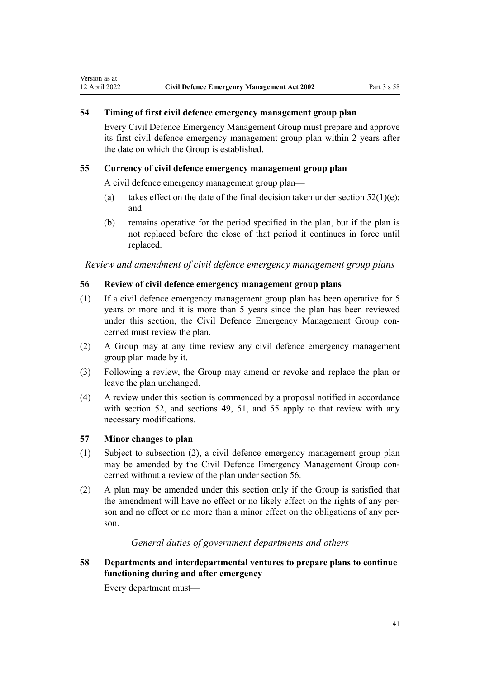# **54 Timing of first civil defence emergency management group plan**

Every Civil Defence Emergency Management Group must prepare and approve its first civil defence emergency management group plan within 2 years after the date on which the Group is established.

### **55 Currency of civil defence emergency management group plan**

A civil defence emergency management group plan—

- (a) takes effect on the date of the final decision taken under section  $52(1)(e)$ ; and
- (b) remains operative for the period specified in the plan, but if the plan is not replaced before the close of that period it continues in force until replaced.

*Review and amendment of civil defence emergency management group plans*

# **56 Review of civil defence emergency management group plans**

- (1) If a civil defence emergency management group plan has been operative for 5 years or more and it is more than 5 years since the plan has been reviewed under this section, the Civil Defence Emergency Management Group concerned must review the plan.
- (2) A Group may at any time review any civil defence emergency management group plan made by it.
- (3) Following a review, the Group may amend or revoke and replace the plan or leave the plan unchanged.
- (4) A review under this section is commenced by a proposal notified in accordance with [section 52,](#page-39-0) and [sections 49](#page-37-0), [51,](#page-38-0) and 55 apply to that review with any necessary modifications.

## **57 Minor changes to plan**

Version as at

- (1) Subject to subsection (2), a civil defence emergency management group plan may be amended by the Civil Defence Emergency Management Group concerned without a review of the plan under section 56.
- (2) A plan may be amended under this section only if the Group is satisfied that the amendment will have no effect or no likely effect on the rights of any person and no effect or no more than a minor effect on the obligations of any person.

# *General duties of government departments and others*

**58 Departments and interdepartmental ventures to prepare plans to continue functioning during and after emergency**

Every department must—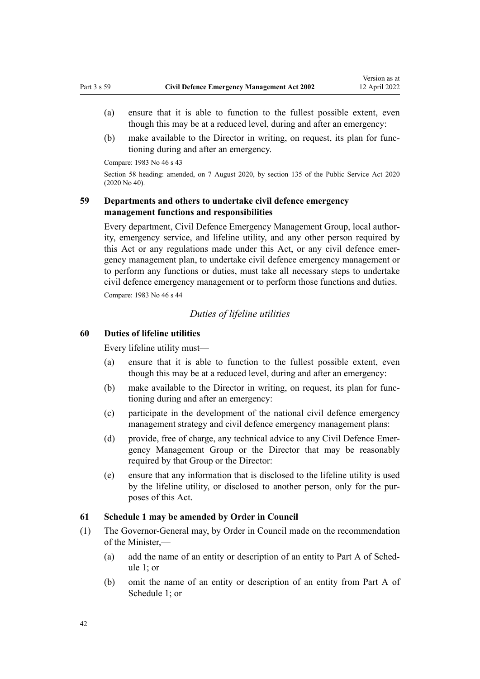- <span id="page-41-0"></span>(a) ensure that it is able to function to the fullest possible extent, even though this may be at a reduced level, during and after an emergency:
- (b) make available to the Director in writing, on request, its plan for func‐ tioning during and after an emergency.

Compare: 1983 No 46 s 43

Section 58 heading: amended, on 7 August 2020, by [section 135](http://legislation.govt.nz/pdflink.aspx?id=LMS176959) of the Public Service Act 2020 (2020 No 40).

# **59 Departments and others to undertake civil defence emergency management functions and responsibilities**

Every department, Civil Defence Emergency Management Group, local author‐ ity, emergency service, and lifeline utility, and any other person required by this Act or any regulations made under this Act, or any civil defence emergency management plan, to undertake civil defence emergency management or to perform any functions or duties, must take all necessary steps to undertake civil defence emergency management or to perform those functions and duties. Compare: 1983 No 46 s 44

# *Duties of lifeline utilities*

# **60 Duties of lifeline utilities**

Every lifeline utility must—

- (a) ensure that it is able to function to the fullest possible extent, even though this may be at a reduced level, during and after an emergency:
- (b) make available to the Director in writing, on request, its plan for func‐ tioning during and after an emergency:
- (c) participate in the development of the national civil defence emergency management strategy and civil defence emergency management plans:
- (d) provide, free of charge, any technical advice to any Civil Defence Emergency Management Group or the Director that may be reasonably required by that Group or the Director:
- (e) ensure that any information that is disclosed to the lifeline utility is used by the lifeline utility, or disclosed to another person, only for the pur‐ poses of this Act.

# **61 Schedule 1 may be amended by Order in Council**

- (1) The Governor-General may, by Order in Council made on the recommendation of the Minister,—
	- (a) add the name of an entity or description of an entity to [Part A](#page-88-0) of Schedule 1; or
	- (b) omit the name of an entity or description of an entity from [Part A](#page-88-0) of Schedule 1; or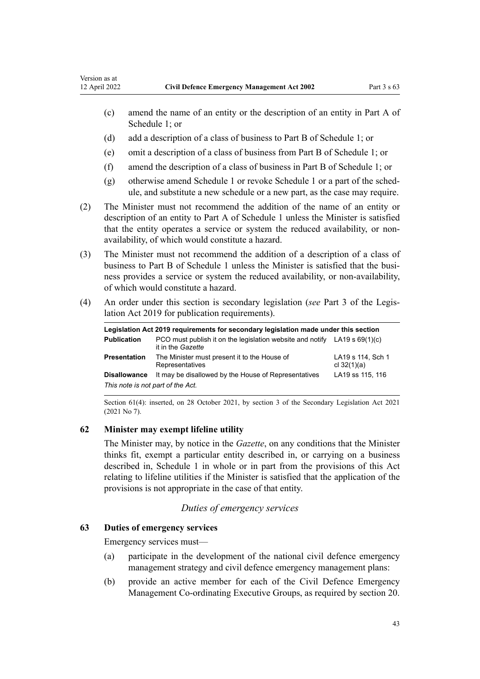- (c) amend the name of an entity or the description of an entity in [Part A](#page-88-0) of Schedule 1; or
- (d) add a description of a class of business to [Part B](#page-88-0) of Schedule 1; or
- (e) omit a description of a class of business from [Part B](#page-88-0) of Schedule 1; or
- (f) amend the description of a class of business in [Part B](#page-88-0) of Schedule 1; or
- (g) otherwise amend [Schedule 1](#page-88-0) or revoke Schedule 1 or a part of the sched‐ ule, and substitute a new schedule or a new part, as the case may require.
- (2) The Minister must not recommend the addition of the name of an entity or description of an entity to [Part A](#page-88-0) of Schedule 1 unless the Minister is satisfied that the entity operates a service or system the reduced availability, or nonavailability, of which would constitute a hazard.
- (3) The Minister must not recommend the addition of a description of a class of business to [Part B](#page-88-0) of Schedule 1 unless the Minister is satisfied that the business provides a service or system the reduced availability, or non-availability, of which would constitute a hazard.
- (4) An order under this section is secondary legislation (*see* [Part 3](http://legislation.govt.nz/pdflink.aspx?id=DLM7298343) of the Legis‐ lation Act 2019 for publication requirements).

| Legislation Act 2019 reguirements for secondary legislation made under this section |                                                                                                  |                                    |  |  |
|-------------------------------------------------------------------------------------|--------------------------------------------------------------------------------------------------|------------------------------------|--|--|
| <b>Publication</b>                                                                  | PCO must publish it on the legislation website and notify $LA19 s 69(1)(c)$<br>it in the Gazette |                                    |  |  |
| Presentation                                                                        | The Minister must present it to the House of<br>Representatives                                  | LA19 s 114, Sch 1<br>cl $32(1)(a)$ |  |  |
| <b>Disallowance</b>                                                                 | It may be disallowed by the House of Representatives                                             | LA19 ss 115, 116                   |  |  |
| This note is not part of the Act.                                                   |                                                                                                  |                                    |  |  |

Section 61(4): inserted, on 28 October 2021, by [section 3](http://legislation.govt.nz/pdflink.aspx?id=LMS268932) of the Secondary Legislation Act 2021 (2021 No 7).

# **62 Minister may exempt lifeline utility**

The Minister may, by notice in the *Gazette*, on any conditions that the Minister thinks fit, exempt a particular entity described in, or carrying on a business described in, [Schedule 1](#page-88-0) in whole or in part from the provisions of this Act relating to lifeline utilities if the Minister is satisfied that the application of the provisions is not appropriate in the case of that entity.

# *Duties of emergency services*

# **63 Duties of emergency services**

Emergency services must—

- (a) participate in the development of the national civil defence emergency management strategy and civil defence emergency management plans:
- (b) provide an active member for each of the Civil Defence Emergency Management Co-ordinating Executive Groups, as required by [section 20.](#page-23-0)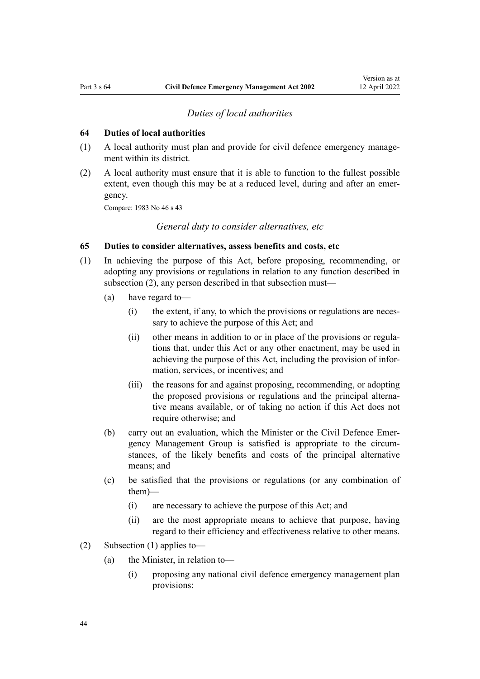#### *Duties of local authorities*

### **64 Duties of local authorities**

- (1) A local authority must plan and provide for civil defence emergency manage‐ ment within its district.
- (2) A local authority must ensure that it is able to function to the fullest possible extent, even though this may be at a reduced level, during and after an emergency.

Compare: 1983 No 46 s 43

*General duty to consider alternatives, etc*

# **65 Duties to consider alternatives, assess benefits and costs, etc**

- (1) In achieving the purpose of this Act, before proposing, recommending, or adopting any provisions or regulations in relation to any function described in subsection (2), any person described in that subsection must—
	- (a) have regard to—
		- (i) the extent, if any, to which the provisions or regulations are neces‐ sary to achieve the purpose of this Act; and
		- (ii) other means in addition to or in place of the provisions or regulations that, under this Act or any other enactment, may be used in achieving the purpose of this Act, including the provision of infor‐ mation, services, or incentives; and
		- (iii) the reasons for and against proposing, recommending, or adopting the proposed provisions or regulations and the principal alternative means available, or of taking no action if this Act does not require otherwise; and
	- (b) carry out an evaluation, which the Minister or the Civil Defence Emer‐ gency Management Group is satisfied is appropriate to the circum‐ stances, of the likely benefits and costs of the principal alternative means; and
	- (c) be satisfied that the provisions or regulations (or any combination of them)—
		- (i) are necessary to achieve the purpose of this Act; and
		- (ii) are the most appropriate means to achieve that purpose, having regard to their efficiency and effectiveness relative to other means.
- (2) Subsection (1) applies to—
	- (a) the Minister, in relation to—
		- (i) proposing any national civil defence emergency management plan provisions: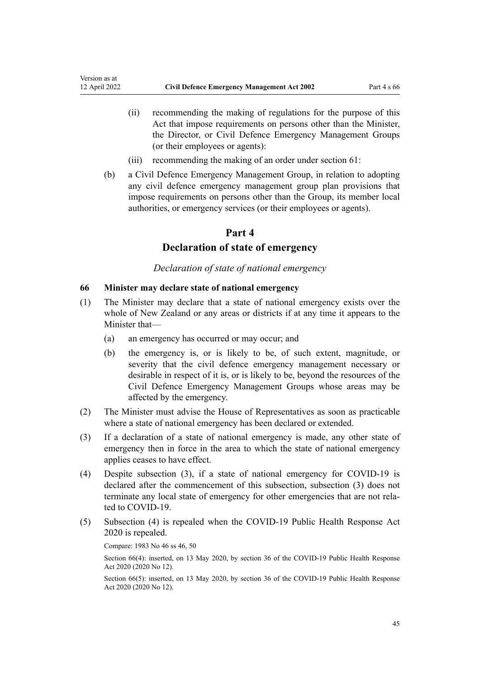- (ii) recommending the making of regulations for the purpose of this Act that impose requirements on persons other than the Minister, the Director, or Civil Defence Emergency Management Groups (or their employees or agents):
- (iii) recommending the making of an order under [section 61:](#page-41-0)
- (b) a Civil Defence Emergency Management Group, in relation to adopting any civil defence emergency management group plan provisions that impose requirements on persons other than the Group, its member local authorities, or emergency services (or their employees or agents).

# **Part 4**

# **Declaration of state of emergency**

*Declaration of state of national emergency*

## **66 Minister may declare state of national emergency**

- (1) The Minister may declare that a state of national emergency exists over the whole of New Zealand or any areas or districts if at any time it appears to the Minister that—
	- (a) an emergency has occurred or may occur; and
	- (b) the emergency is, or is likely to be, of such extent, magnitude, or severity that the civil defence emergency management necessary or desirable in respect of it is, or is likely to be, beyond the resources of the Civil Defence Emergency Management Groups whose areas may be affected by the emergency.
- (2) The Minister must advise the House of Representatives as soon as practicable where a state of national emergency has been declared or extended.
- (3) If a declaration of a state of national emergency is made, any other state of emergency then in force in the area to which the state of national emergency applies ceases to have effect.
- (4) Despite subsection (3), if a state of national emergency for COVID-19 is declared after the commencement of this subsection, subsection (3) does not terminate any local state of emergency for other emergencies that are not related to COVID-19.
- (5) Subsection (4) is repealed when the [COVID-19 Public Health Response Act](http://legislation.govt.nz/pdflink.aspx?id=LMS344121) [2020](http://legislation.govt.nz/pdflink.aspx?id=LMS344121) is repealed.

Compare: 1983 No 46 ss 46, 50

Section 66(4): inserted, on 13 May 2020, by [section 36](http://legislation.govt.nz/pdflink.aspx?id=LMS344214) of the COVID-19 Public Health Response Act 2020 (2020 No 12).

Section 66(5): inserted, on 13 May 2020, by [section 36](http://legislation.govt.nz/pdflink.aspx?id=LMS344214) of the COVID-19 Public Health Response Act 2020 (2020 No 12).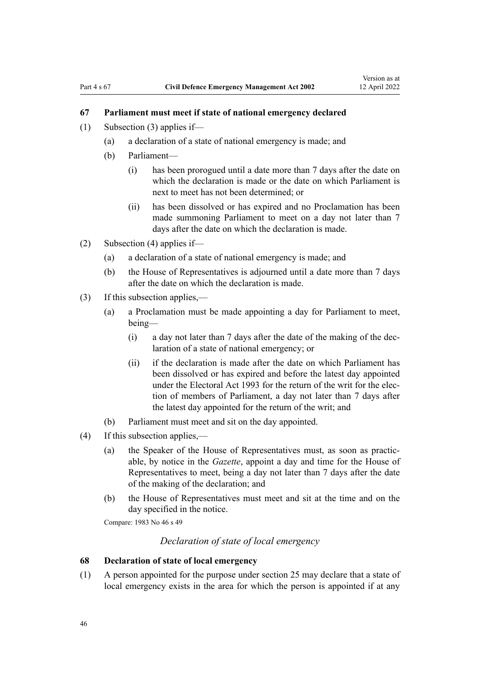# <span id="page-45-0"></span>**67 Parliament must meet if state of national emergency declared**

- (1) Subsection (3) applies if—
	- (a) a declaration of a state of national emergency is made; and
	- (b) Parliament—
		- (i) has been prorogued until a date more than 7 days after the date on which the declaration is made or the date on which Parliament is next to meet has not been determined; or
		- (ii) has been dissolved or has expired and no Proclamation has been made summoning Parliament to meet on a day not later than 7 days after the date on which the declaration is made.
- (2) Subsection (4) applies if—
	- (a) a declaration of a state of national emergency is made; and
	- (b) the House of Representatives is adjourned until a date more than 7 days after the date on which the declaration is made.
- (3) If this subsection applies,—
	- (a) a Proclamation must be made appointing a day for Parliament to meet, being—
		- (i) a day not later than 7 days after the date of the making of the dec‐ laration of a state of national emergency; or
		- (ii) if the declaration is made after the date on which Parliament has been dissolved or has expired and before the latest day appointed under the [Electoral Act 1993](http://legislation.govt.nz/pdflink.aspx?id=DLM307518) for the return of the writ for the election of members of Parliament, a day not later than 7 days after the latest day appointed for the return of the writ; and
	- (b) Parliament must meet and sit on the day appointed.
- (4) If this subsection applies,—
	- (a) the Speaker of the House of Representatives must, as soon as practic‐ able, by notice in the *Gazette*, appoint a day and time for the House of Representatives to meet, being a day not later than 7 days after the date of the making of the declaration; and
	- (b) the House of Representatives must meet and sit at the time and on the day specified in the notice.

Compare: 1983 No 46 s 49

# *Declaration of state of local emergency*

# **68 Declaration of state of local emergency**

(1) A person appointed for the purpose under [section 25](#page-26-0) may declare that a state of local emergency exists in the area for which the person is appointed if at any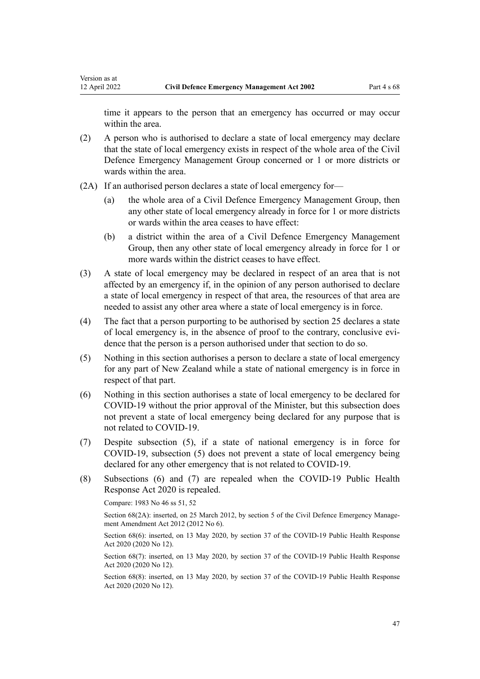time it appears to the person that an emergency has occurred or may occur within the area.

- (2) A person who is authorised to declare a state of local emergency may declare that the state of local emergency exists in respect of the whole area of the Civil Defence Emergency Management Group concerned or 1 or more districts or wards within the area.
- (2A) If an authorised person declares a state of local emergency for—
	- (a) the whole area of a Civil Defence Emergency Management Group, then any other state of local emergency already in force for 1 or more districts or wards within the area ceases to have effect:
	- (b) a district within the area of a Civil Defence Emergency Management Group, then any other state of local emergency already in force for 1 or more wards within the district ceases to have effect.
- (3) A state of local emergency may be declared in respect of an area that is not affected by an emergency if, in the opinion of any person authorised to declare a state of local emergency in respect of that area, the resources of that area are needed to assist any other area where a state of local emergency is in force.
- (4) The fact that a person purporting to be authorised by [section 25](#page-26-0) declares a state of local emergency is, in the absence of proof to the contrary, conclusive evi‐ dence that the person is a person authorised under that section to do so.
- (5) Nothing in this section authorises a person to declare a state of local emergency for any part of New Zealand while a state of national emergency is in force in respect of that part.
- (6) Nothing in this section authorises a state of local emergency to be declared for COVID-19 without the prior approval of the Minister, but this subsection does not prevent a state of local emergency being declared for any purpose that is not related to COVID-19.
- (7) Despite subsection (5), if a state of national emergency is in force for COVID-19, subsection (5) does not prevent a state of local emergency being declared for any other emergency that is not related to COVID-19.
- (8) Subsections (6) and (7) are repealed when the [COVID-19 Public Health](http://legislation.govt.nz/pdflink.aspx?id=LMS344121) [Response Act 2020](http://legislation.govt.nz/pdflink.aspx?id=LMS344121) is repealed.

Compare: 1983 No 46 ss 51, 52

Section 68(2A): inserted, on 25 March 2012, by [section 5](http://legislation.govt.nz/pdflink.aspx?id=DLM4013708) of the Civil Defence Emergency Management Amendment Act 2012 (2012 No 6).

Section 68(6): inserted, on 13 May 2020, by [section 37](http://legislation.govt.nz/pdflink.aspx?id=LMS344215) of the COVID-19 Public Health Response Act 2020 (2020 No 12).

Section 68(7): inserted, on 13 May 2020, by [section 37](http://legislation.govt.nz/pdflink.aspx?id=LMS344215) of the COVID-19 Public Health Response Act 2020 (2020 No 12).

Section 68(8): inserted, on 13 May 2020, by [section 37](http://legislation.govt.nz/pdflink.aspx?id=LMS344215) of the COVID-19 Public Health Response Act 2020 (2020 No 12).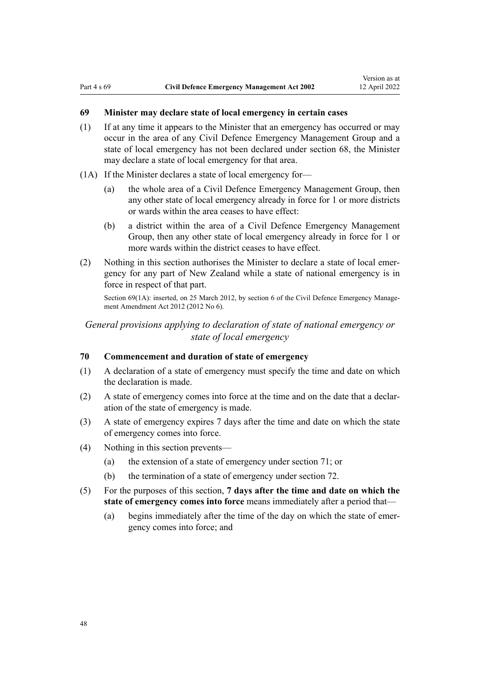# <span id="page-47-0"></span>**69 Minister may declare state of local emergency in certain cases**

- (1) If at any time it appears to the Minister that an emergency has occurred or may occur in the area of any Civil Defence Emergency Management Group and a state of local emergency has not been declared under [section 68](#page-45-0), the Minister may declare a state of local emergency for that area.
- (1A) If the Minister declares a state of local emergency for—
	- (a) the whole area of a Civil Defence Emergency Management Group, then any other state of local emergency already in force for 1 or more districts or wards within the area ceases to have effect:
	- (b) a district within the area of a Civil Defence Emergency Management Group, then any other state of local emergency already in force for 1 or more wards within the district ceases to have effect.
- (2) Nothing in this section authorises the Minister to declare a state of local emergency for any part of New Zealand while a state of national emergency is in force in respect of that part.

Section 69(1A): inserted, on 25 March 2012, by [section 6](http://legislation.govt.nz/pdflink.aspx?id=DLM4013709) of the Civil Defence Emergency Management Amendment Act 2012 (2012 No 6).

*General provisions applying to declaration of state of national emergency or state of local emergency*

## **70 Commencement and duration of state of emergency**

- (1) A declaration of a state of emergency must specify the time and date on which the declaration is made.
- (2) A state of emergency comes into force at the time and on the date that a declar‐ ation of the state of emergency is made.
- (3) A state of emergency expires 7 days after the time and date on which the state of emergency comes into force.
- (4) Nothing in this section prevents—
	- (a) the extension of a state of emergency under [section 71](#page-48-0); or
	- (b) the termination of a state of emergency under [section 72.](#page-48-0)
- (5) For the purposes of this section, **7 days after the time and date on which the state of emergency comes into force** means immediately after a period that—
	- (a) begins immediately after the time of the day on which the state of emergency comes into force; and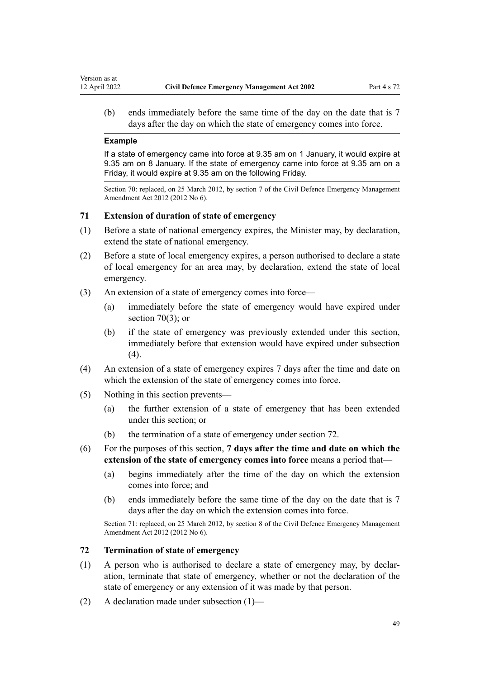<span id="page-48-0"></span>(b) ends immediately before the same time of the day on the date that is 7 days after the day on which the state of emergency comes into force.

#### **Example**

If a state of emergency came into force at 9.35 am on 1 January, it would expire at 9.35 am on 8 January. If the state of emergency came into force at 9.35 am on a Friday, it would expire at 9.35 am on the following Friday.

Section 70: replaced, on 25 March 2012, by [section 7](http://legislation.govt.nz/pdflink.aspx?id=DLM4013710) of the Civil Defence Emergency Management Amendment Act 2012 (2012 No 6).

# **71 Extension of duration of state of emergency**

- (1) Before a state of national emergency expires, the Minister may, by declaration, extend the state of national emergency.
- (2) Before a state of local emergency expires, a person authorised to declare a state of local emergency for an area may, by declaration, extend the state of local emergency.
- (3) An extension of a state of emergency comes into force—
	- (a) immediately before the state of emergency would have expired under [section 70\(3\);](#page-47-0) or
	- (b) if the state of emergency was previously extended under this section, immediately before that extension would have expired under subsection (4).
- (4) An extension of a state of emergency expires 7 days after the time and date on which the extension of the state of emergency comes into force.
- (5) Nothing in this section prevents—
	- (a) the further extension of a state of emergency that has been extended under this section; or
	- (b) the termination of a state of emergency under section 72.
- (6) For the purposes of this section, **7 days after the time and date on which the extension of the state of emergency comes into force** means a period that—
	- (a) begins immediately after the time of the day on which the extension comes into force; and
	- (b) ends immediately before the same time of the day on the date that is 7 days after the day on which the extension comes into force.

Section 71: replaced, on 25 March 2012, by [section 8](http://legislation.govt.nz/pdflink.aspx?id=DLM4013712) of the Civil Defence Emergency Management Amendment Act 2012 (2012 No 6).

# **72 Termination of state of emergency**

- (1) A person who is authorised to declare a state of emergency may, by declar‐ ation, terminate that state of emergency, whether or not the declaration of the state of emergency or any extension of it was made by that person.
- (2) A declaration made under subsection (1)—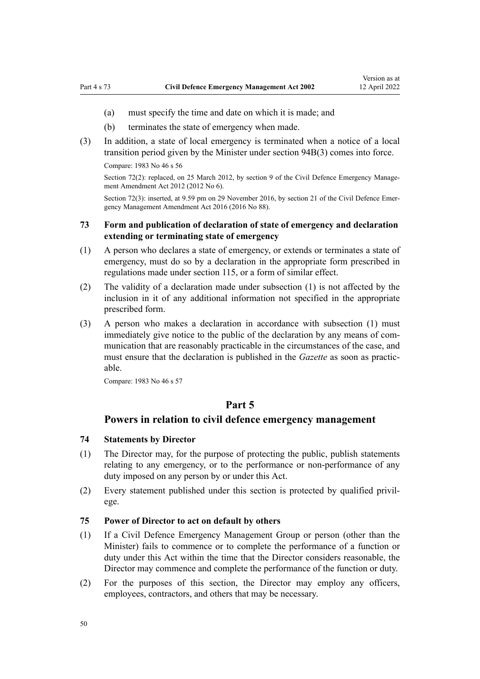- <span id="page-49-0"></span>(a) must specify the time and date on which it is made; and
- (b) terminates the state of emergency when made.
- (3) In addition, a state of local emergency is terminated when a notice of a local transition period given by the Minister under [section 94B\(3\)](#page-61-0) comes into force.

Compare: 1983 No 46 s 56

Section 72(2): replaced, on 25 March 2012, by [section 9](http://legislation.govt.nz/pdflink.aspx?id=DLM4013714) of the Civil Defence Emergency Management Amendment Act 2012 (2012 No 6).

Section 72(3): inserted, at 9.59 pm on 29 November 2016, by [section 21](http://legislation.govt.nz/pdflink.aspx?id=DLM6928005) of the Civil Defence Emergency Management Amendment Act 2016 (2016 No 88).

# **73 Form and publication of declaration of state of emergency and declaration extending or terminating state of emergency**

- (1) A person who declares a state of emergency, or extends or terminates a state of emergency, must do so by a declaration in the appropriate form prescribed in regulations made under [section 115](#page-82-0), or a form of similar effect.
- (2) The validity of a declaration made under subsection (1) is not affected by the inclusion in it of any additional information not specified in the appropriate prescribed form.
- (3) A person who makes a declaration in accordance with subsection (1) must immediately give notice to the public of the declaration by any means of communication that are reasonably practicable in the circumstances of the case, and must ensure that the declaration is published in the *Gazette* as soon as practicable.

Compare: 1983 No 46 s 57

# **Part 5**

# **Powers in relation to civil defence emergency management**

### **74 Statements by Director**

- (1) The Director may, for the purpose of protecting the public, publish statements relating to any emergency, or to the performance or non-performance of any duty imposed on any person by or under this Act.
- (2) Every statement published under this section is protected by qualified privil‐ ege.

#### **75 Power of Director to act on default by others**

- (1) If a Civil Defence Emergency Management Group or person (other than the Minister) fails to commence or to complete the performance of a function or duty under this Act within the time that the Director considers reasonable, the Director may commence and complete the performance of the function or duty.
- (2) For the purposes of this section, the Director may employ any officers, employees, contractors, and others that may be necessary.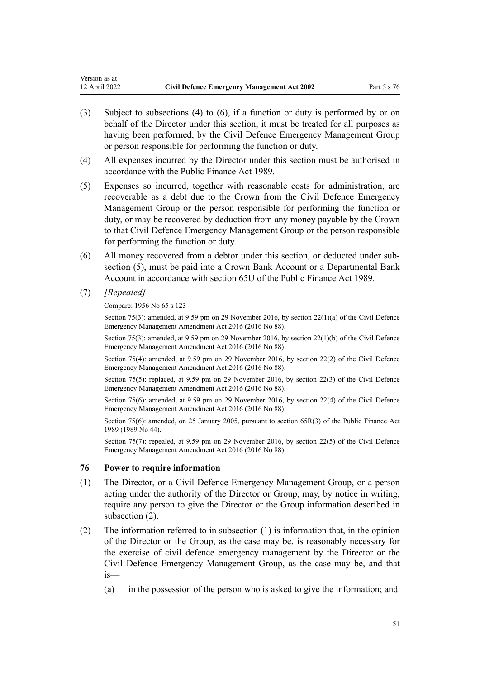- (3) Subject to subsections (4) to (6), if a function or duty is performed by or on behalf of the Director under this section, it must be treated for all purposes as having been performed, by the Civil Defence Emergency Management Group or person responsible for performing the function or duty.
- (4) All expenses incurred by the Director under this section must be authorised in accordance with the Public Finance Act 1989.
- (5) Expenses so incurred, together with reasonable costs for administration, are recoverable as a debt due to the Crown from the Civil Defence Emergency Management Group or the person responsible for performing the function or duty, or may be recovered by deduction from any money payable by the Crown to that Civil Defence Emergency Management Group or the person responsible for performing the function or duty.
- (6) All money recovered from a debtor under this section, or deducted under sub‐ section (5), must be paid into a Crown Bank Account or a Departmental Bank Account in accordance with [section 65U](http://legislation.govt.nz/pdflink.aspx?id=DLM162950) of the Public Finance Act 1989.
- (7) *[Repealed]*

<span id="page-50-0"></span>Version as at

### Compare: 1956 No 65 [s 123](http://legislation.govt.nz/pdflink.aspx?id=DLM308449)

Section 75(3): amended, at 9.59 pm on 29 November 2016, by [section 22\(1\)\(a\)](http://legislation.govt.nz/pdflink.aspx?id=DLM6648885) of the Civil Defence Emergency Management Amendment Act 2016 (2016 No 88).

Section 75(3): amended, at 9.59 pm on 29 November 2016, by [section 22\(1\)\(b\)](http://legislation.govt.nz/pdflink.aspx?id=DLM6648885) of the Civil Defence Emergency Management Amendment Act 2016 (2016 No 88).

Section 75(4): amended, at 9.59 pm on 29 November 2016, by [section 22\(2\)](http://legislation.govt.nz/pdflink.aspx?id=DLM6648885) of the Civil Defence Emergency Management Amendment Act 2016 (2016 No 88).

Section 75(5): replaced, at 9.59 pm on 29 November 2016, by [section 22\(3\)](http://legislation.govt.nz/pdflink.aspx?id=DLM6648885) of the Civil Defence Emergency Management Amendment Act 2016 (2016 No 88).

Section 75(6): amended, at 9.59 pm on 29 November 2016, by [section 22\(4\)](http://legislation.govt.nz/pdflink.aspx?id=DLM6648885) of the Civil Defence Emergency Management Amendment Act 2016 (2016 No 88).

Section 75(6): amended, on 25 January 2005, pursuant to [section 65R\(3\)](http://legislation.govt.nz/pdflink.aspx?id=DLM162942) of the Public Finance Act 1989 (1989 No 44).

Section 75(7): repealed, at 9.59 pm on 29 November 2016, by [section 22\(5\)](http://legislation.govt.nz/pdflink.aspx?id=DLM6648885) of the Civil Defence Emergency Management Amendment Act 2016 (2016 No 88).

# **76 Power to require information**

- (1) The Director, or a Civil Defence Emergency Management Group, or a person acting under the authority of the Director or Group, may, by notice in writing, require any person to give the Director or the Group information described in subsection (2).
- (2) The information referred to in subsection (1) is information that, in the opinion of the Director or the Group, as the case may be, is reasonably necessary for the exercise of civil defence emergency management by the Director or the Civil Defence Emergency Management Group, as the case may be, and that is—
	- (a) in the possession of the person who is asked to give the information; and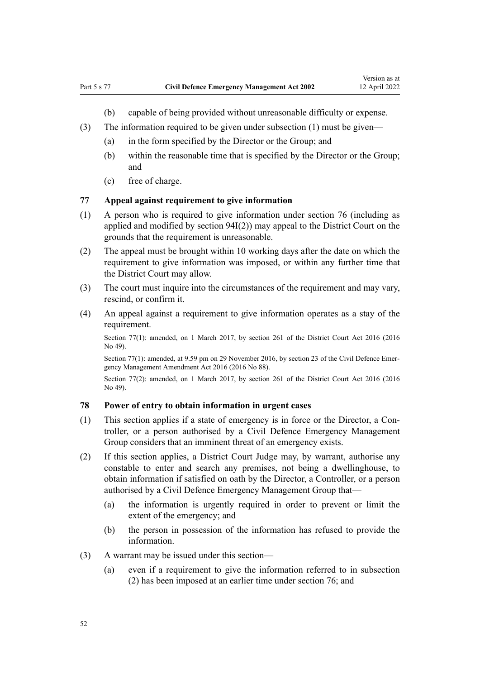- (b) capable of being provided without unreasonable difficulty or expense.
- <span id="page-51-0"></span>(3) The information required to be given under subsection  $(1)$  must be given—
	- (a) in the form specified by the Director or the Group; and
	- (b) within the reasonable time that is specified by the Director or the Group; and
	- (c) free of charge.

## **77 Appeal against requirement to give information**

- (1) A person who is required to give information under [section 76](#page-50-0) (including as applied and modified by [section 94I\(2\)](#page-67-0)) may appeal to the District Court on the grounds that the requirement is unreasonable.
- (2) The appeal must be brought within 10 working days after the date on which the requirement to give information was imposed, or within any further time that the District Court may allow.
- (3) The court must inquire into the circumstances of the requirement and may vary, rescind, or confirm it.
- (4) An appeal against a requirement to give information operates as a stay of the requirement.

Section 77(1): amended, on 1 March 2017, by [section 261](http://legislation.govt.nz/pdflink.aspx?id=DLM6942680) of the District Court Act 2016 (2016 No 49).

Section 77(1): amended, at 9.59 pm on 29 November 2016, by [section 23](http://legislation.govt.nz/pdflink.aspx?id=DLM6648886) of the Civil Defence Emergency Management Amendment Act 2016 (2016 No 88).

Section 77(2): amended, on 1 March 2017, by [section 261](http://legislation.govt.nz/pdflink.aspx?id=DLM6942680) of the District Court Act 2016 (2016) No 49).

# **78 Power of entry to obtain information in urgent cases**

- (1) This section applies if a state of emergency is in force or the Director, a Con‐ troller, or a person authorised by a Civil Defence Emergency Management Group considers that an imminent threat of an emergency exists.
- (2) If this section applies, a District Court Judge may, by warrant, authorise any constable to enter and search any premises, not being a dwellinghouse, to obtain information if satisfied on oath by the Director, a Controller, or a person authorised by a Civil Defence Emergency Management Group that—
	- (a) the information is urgently required in order to prevent or limit the extent of the emergency; and
	- (b) the person in possession of the information has refused to provide the information.
- (3) A warrant may be issued under this section—
	- (a) even if a requirement to give the information referred to in subsection (2) has been imposed at an earlier time under [section 76;](#page-50-0) and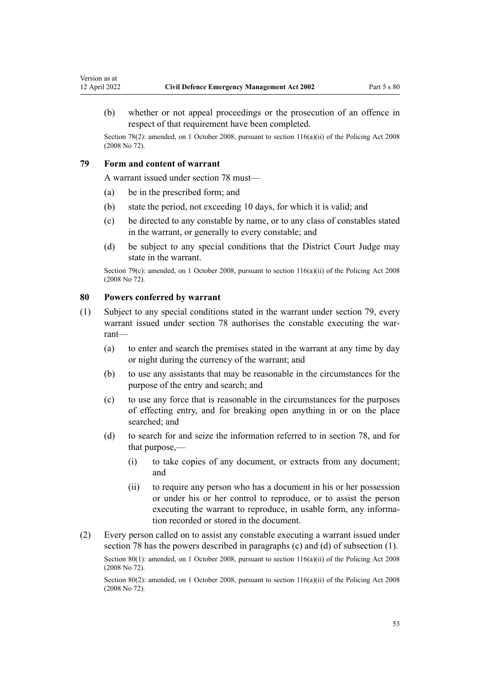Section 78(2): amended, on 1 October 2008, pursuant to [section 116\(a\)\(ii\)](http://legislation.govt.nz/pdflink.aspx?id=DLM1102349) of the Policing Act 2008 (2008 No 72).

# **79 Form and content of warrant**

<span id="page-52-0"></span>Version as at<br>12 April 2022

A warrant issued under [section 78](#page-51-0) must—

- (a) be in the prescribed form; and
- (b) state the period, not exceeding 10 days, for which it is valid; and
- (c) be directed to any constable by name, or to any class of constables stated in the warrant, or generally to every constable; and
- (d) be subject to any special conditions that the District Court Judge may state in the warrant.

Section 79(c): amended, on 1 October 2008, pursuant to [section 116\(a\)\(ii\)](http://legislation.govt.nz/pdflink.aspx?id=DLM1102349) of the Policing Act 2008 (2008 No 72).

# **80 Powers conferred by warrant**

- (1) Subject to any special conditions stated in the warrant under section 79, every warrant issued under [section 78](#page-51-0) authorises the constable executing the warrant—
	- (a) to enter and search the premises stated in the warrant at any time by day or night during the currency of the warrant; and
	- (b) to use any assistants that may be reasonable in the circumstances for the purpose of the entry and search; and
	- (c) to use any force that is reasonable in the circumstances for the purposes of effecting entry, and for breaking open anything in or on the place searched; and
	- (d) to search for and seize the information referred to in [section 78](#page-51-0), and for that purpose,—
		- (i) to take copies of any document, or extracts from any document; and
		- (ii) to require any person who has a document in his or her possession or under his or her control to reproduce, or to assist the person executing the warrant to reproduce, in usable form, any information recorded or stored in the document.
- (2) Every person called on to assist any constable executing a warrant issued under [section 78](#page-51-0) has the powers described in paragraphs (c) and (d) of subsection (1).

Section 80(1): amended, on 1 October 2008, pursuant to [section 116\(a\)\(ii\)](http://legislation.govt.nz/pdflink.aspx?id=DLM1102349) of the Policing Act 2008 (2008 No 72).

Section 80(2): amended, on 1 October 2008, pursuant to [section 116\(a\)\(ii\)](http://legislation.govt.nz/pdflink.aspx?id=DLM1102349) of the Policing Act 2008 (2008 No 72).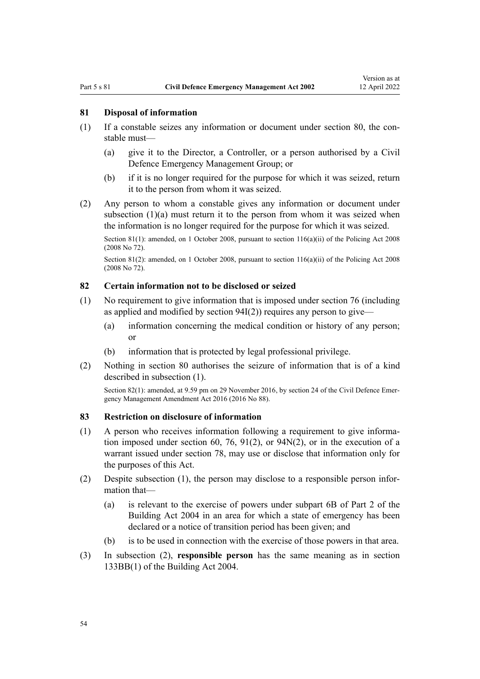### <span id="page-53-0"></span>**81 Disposal of information**

- $(1)$  If a constable seizes any information or document under [section 80](#page-52-0), the constable must—
	- (a) give it to the Director, a Controller, or a person authorised by a Civil Defence Emergency Management Group; or
	- (b) if it is no longer required for the purpose for which it was seized, return it to the person from whom it was seized.
- (2) Any person to whom a constable gives any information or document under subsection  $(1)(a)$  must return it to the person from whom it was seized when the information is no longer required for the purpose for which it was seized.

Section 81(1): amended, on 1 October 2008, pursuant to [section 116\(a\)\(ii\)](http://legislation.govt.nz/pdflink.aspx?id=DLM1102349) of the Policing Act 2008 (2008 No 72).

Section 81(2): amended, on 1 October 2008, pursuant to [section 116\(a\)\(ii\)](http://legislation.govt.nz/pdflink.aspx?id=DLM1102349) of the Policing Act 2008 (2008 No 72).

# **82 Certain information not to be disclosed or seized**

- (1) No requirement to give information that is imposed under [section 76](#page-50-0) (including as applied and modified by section  $94I(2)$ ) requires any person to give—
	- (a) information concerning the medical condition or history of any person; or
	- (b) information that is protected by legal professional privilege.
- (2) Nothing in [section 80](#page-52-0) authorises the seizure of information that is of a kind described in subsection (1).

Section 82(1): amended, at 9.59 pm on 29 November 2016, by [section 24](http://legislation.govt.nz/pdflink.aspx?id=DLM6648887) of the Civil Defence Emergency Management Amendment Act 2016 (2016 No 88).

#### **83 Restriction on disclosure of information**

- (1) A person who receives information following a requirement to give informa‐ tion imposed under [section 60,](#page-41-0) [76](#page-50-0), [91\(2\),](#page-58-0) or [94N\(2\),](#page-69-0) or in the execution of a warrant issued under [section 78,](#page-51-0) may use or disclose that information only for the purposes of this Act.
- (2) Despite subsection (1), the person may disclose to a responsible person infor‐ mation that—
	- (a) is relevant to the exercise of powers under [subpart 6B](http://legislation.govt.nz/pdflink.aspx?id=LMS297730) of Part 2 of the Building Act 2004 in an area for which a state of emergency has been declared or a notice of transition period has been given; and
	- (b) is to be used in connection with the exercise of those powers in that area.
- (3) In subsection (2), **responsible person** has the same meaning as in [section](http://legislation.govt.nz/pdflink.aspx?id=LMS297693) [133BB\(1\)](http://legislation.govt.nz/pdflink.aspx?id=LMS297693) of the Building Act 2004.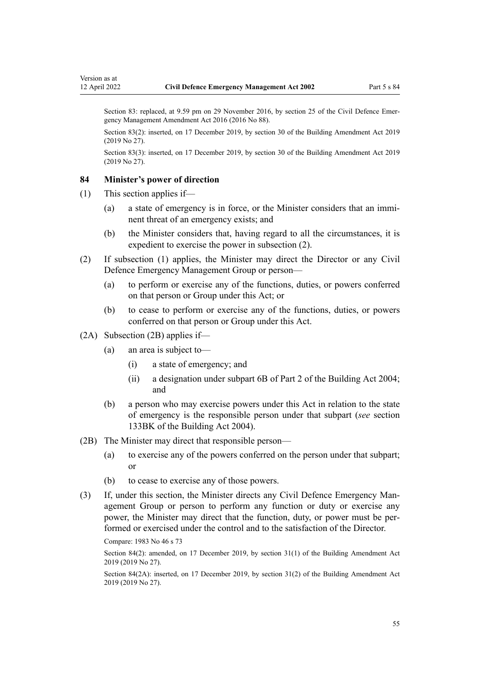Section 83(2): inserted, on 17 December 2019, by [section 30](http://legislation.govt.nz/pdflink.aspx?id=LMS73769) of the Building Amendment Act 2019 (2019 No 27).

Section 83(3): inserted, on 17 December 2019, by [section 30](http://legislation.govt.nz/pdflink.aspx?id=LMS73769) of the Building Amendment Act 2019 (2019 No 27).

#### **84 Minister's power of direction**

- (1) This section applies if—
	- (a) a state of emergency is in force, or the Minister considers that an immi‐ nent threat of an emergency exists; and
	- (b) the Minister considers that, having regard to all the circumstances, it is expedient to exercise the power in subsection (2).
- (2) If subsection (1) applies, the Minister may direct the Director or any Civil Defence Emergency Management Group or person—
	- (a) to perform or exercise any of the functions, duties, or powers conferred on that person or Group under this Act; or
	- (b) to cease to perform or exercise any of the functions, duties, or powers conferred on that person or Group under this Act.

#### (2A) Subsection (2B) applies if—

- (a) an area is subject to—
	- (i) a state of emergency; and
	- (ii) a designation under [subpart 6B](http://legislation.govt.nz/pdflink.aspx?id=LMS297730) of Part 2 of the Building Act 2004; and
- (b) a person who may exercise powers under this Act in relation to the state of emergency is the responsible person under that subpart (*see* [section](http://legislation.govt.nz/pdflink.aspx?id=LMS297709) [133BK](http://legislation.govt.nz/pdflink.aspx?id=LMS297709) of the Building Act 2004).
- (2B) The Minister may direct that responsible person—
	- (a) to exercise any of the powers conferred on the person under that subpart; or
	- (b) to cease to exercise any of those powers.
- (3) If, under this section, the Minister directs any Civil Defence Emergency Man‐ agement Group or person to perform any function or duty or exercise any power, the Minister may direct that the function, duty, or power must be per‐ formed or exercised under the control and to the satisfaction of the Director.

Compare: 1983 No 46 s 73

Section 84(2): amended, on 17 December 2019, by [section 31\(1\)](http://legislation.govt.nz/pdflink.aspx?id=LMS73770) of the Building Amendment Act 2019 (2019 No 27).

Section 84(2A): inserted, on 17 December 2019, by [section 31\(2\)](http://legislation.govt.nz/pdflink.aspx?id=LMS73770) of the Building Amendment Act 2019 (2019 No 27).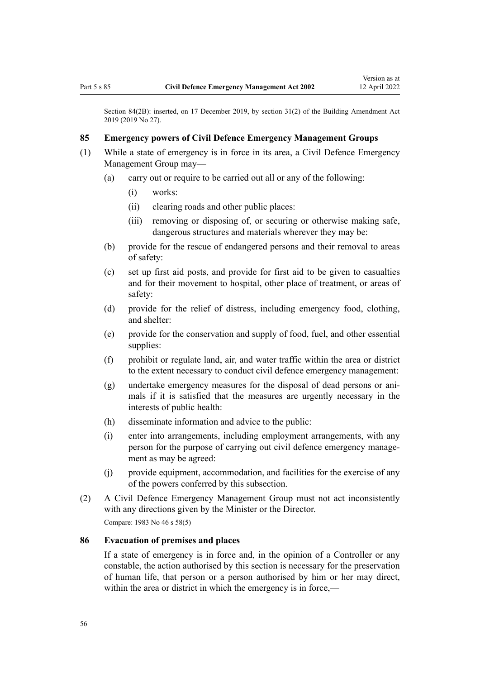Section 84(2B): inserted, on 17 December 2019, by [section 31\(2\)](http://legislation.govt.nz/pdflink.aspx?id=LMS73770) of the Building Amendment Act 2019 (2019 No 27).

# **85 Emergency powers of Civil Defence Emergency Management Groups**

- (1) While a state of emergency is in force in its area, a Civil Defence Emergency Management Group may—
	- (a) carry out or require to be carried out all or any of the following:
		- (i) works:
		- (ii) clearing roads and other public places:
		- (iii) removing or disposing of, or securing or otherwise making safe, dangerous structures and materials wherever they may be:
	- (b) provide for the rescue of endangered persons and their removal to areas of safety:
	- (c) set up first aid posts, and provide for first aid to be given to casualties and for their movement to hospital, other place of treatment, or areas of safety:
	- (d) provide for the relief of distress, including emergency food, clothing, and shelter:
	- (e) provide for the conservation and supply of food, fuel, and other essential supplies:
	- (f) prohibit or regulate land, air, and water traffic within the area or district to the extent necessary to conduct civil defence emergency management:
	- (g) undertake emergency measures for the disposal of dead persons or ani‐ mals if it is satisfied that the measures are urgently necessary in the interests of public health:
	- (h) disseminate information and advice to the public:
	- (i) enter into arrangements, including employment arrangements, with any person for the purpose of carrying out civil defence emergency management as may be agreed:
	- (j) provide equipment, accommodation, and facilities for the exercise of any of the powers conferred by this subsection.
- (2) A Civil Defence Emergency Management Group must not act inconsistently with any directions given by the Minister or the Director.

Compare: 1983 No 46 s 58(5)

#### **86 Evacuation of premises and places**

If a state of emergency is in force and, in the opinion of a Controller or any constable, the action authorised by this section is necessary for the preservation of human life, that person or a person authorised by him or her may direct, within the area or district in which the emergency is in force,—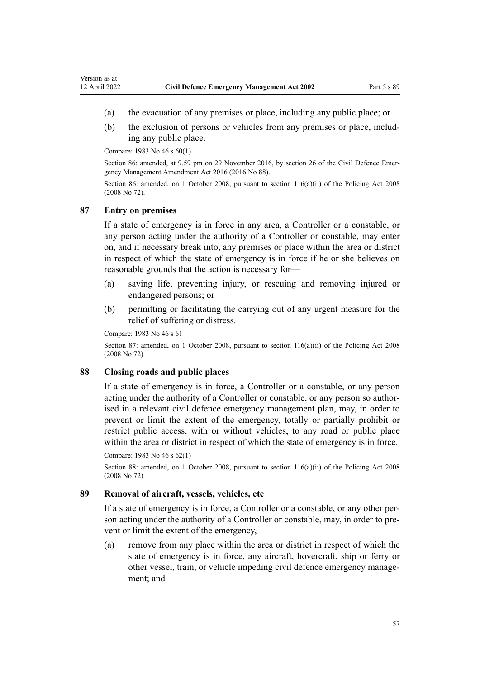- <span id="page-56-0"></span>(a) the evacuation of any premises or place, including any public place; or
- (b) the exclusion of persons or vehicles from any premises or place, including any public place.

Compare: 1983 No 46 s 60(1)

Section 86: amended, at 9.59 pm on 29 November 2016, by [section 26](http://legislation.govt.nz/pdflink.aspx?id=DLM6648890) of the Civil Defence Emergency Management Amendment Act 2016 (2016 No 88).

Section 86: amended, on 1 October 2008, pursuant to [section 116\(a\)\(ii\)](http://legislation.govt.nz/pdflink.aspx?id=DLM1102349) of the Policing Act 2008 (2008 No 72).

#### **87 Entry on premises**

If a state of emergency is in force in any area, a Controller or a constable, or any person acting under the authority of a Controller or constable, may enter on, and if necessary break into, any premises or place within the area or district in respect of which the state of emergency is in force if he or she believes on reasonable grounds that the action is necessary for—

- (a) saving life, preventing injury, or rescuing and removing injured or endangered persons; or
- (b) permitting or facilitating the carrying out of any urgent measure for the relief of suffering or distress.

Compare: 1983 No 46 s 61

Section 87: amended, on 1 October 2008, pursuant to [section 116\(a\)\(ii\)](http://legislation.govt.nz/pdflink.aspx?id=DLM1102349) of the Policing Act 2008 (2008 No 72).

#### **88 Closing roads and public places**

If a state of emergency is in force, a Controller or a constable, or any person acting under the authority of a Controller or constable, or any person so authorised in a relevant civil defence emergency management plan, may, in order to prevent or limit the extent of the emergency, totally or partially prohibit or restrict public access, with or without vehicles, to any road or public place within the area or district in respect of which the state of emergency is in force.

Compare: 1983 No 46 s 62(1)

Section 88: amended, on 1 October 2008, pursuant to [section 116\(a\)\(ii\)](http://legislation.govt.nz/pdflink.aspx?id=DLM1102349) of the Policing Act 2008 (2008 No 72).

#### **89 Removal of aircraft, vessels, vehicles, etc**

If a state of emergency is in force, a Controller or a constable, or any other per‐ son acting under the authority of a Controller or constable, may, in order to prevent or limit the extent of the emergency,—

(a) remove from any place within the area or district in respect of which the state of emergency is in force, any aircraft, hovercraft, ship or ferry or other vessel, train, or vehicle impeding civil defence emergency manage‐ ment; and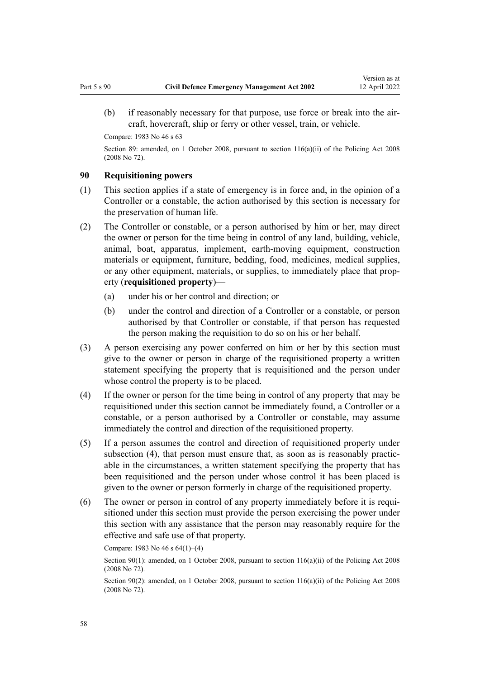Compare: 1983 No 46 s 63

Section 89: amended, on 1 October 2008, pursuant to section  $116(a)(ii)$  of the Policing Act 2008 (2008 No 72).

# **90 Requisitioning powers**

- (1) This section applies if a state of emergency is in force and, in the opinion of a Controller or a constable, the action authorised by this section is necessary for the preservation of human life.
- (2) The Controller or constable, or a person authorised by him or her, may direct the owner or person for the time being in control of any land, building, vehicle, animal, boat, apparatus, implement, earth-moving equipment, construction materials or equipment, furniture, bedding, food, medicines, medical supplies, or any other equipment, materials, or supplies, to immediately place that prop‐ erty (**requisitioned property**)—
	- (a) under his or her control and direction; or
	- (b) under the control and direction of a Controller or a constable, or person authorised by that Controller or constable, if that person has requested the person making the requisition to do so on his or her behalf.
- (3) A person exercising any power conferred on him or her by this section must give to the owner or person in charge of the requisitioned property a written statement specifying the property that is requisitioned and the person under whose control the property is to be placed.
- (4) If the owner or person for the time being in control of any property that may be requisitioned under this section cannot be immediately found, a Controller or a constable, or a person authorised by a Controller or constable, may assume immediately the control and direction of the requisitioned property.
- (5) If a person assumes the control and direction of requisitioned property under subsection (4), that person must ensure that, as soon as is reasonably practicable in the circumstances, a written statement specifying the property that has been requisitioned and the person under whose control it has been placed is given to the owner or person formerly in charge of the requisitioned property.
- (6) The owner or person in control of any property immediately before it is requi‐ sitioned under this section must provide the person exercising the power under this section with any assistance that the person may reasonably require for the effective and safe use of that property.

Compare: 1983 No 46 s 64(1)–(4)

Section 90(1): amended, on 1 October 2008, pursuant to [section 116\(a\)\(ii\)](http://legislation.govt.nz/pdflink.aspx?id=DLM1102349) of the Policing Act 2008 (2008 No 72).

Section 90(2): amended, on 1 October 2008, pursuant to [section 116\(a\)\(ii\)](http://legislation.govt.nz/pdflink.aspx?id=DLM1102349) of the Policing Act 2008 (2008 No 72).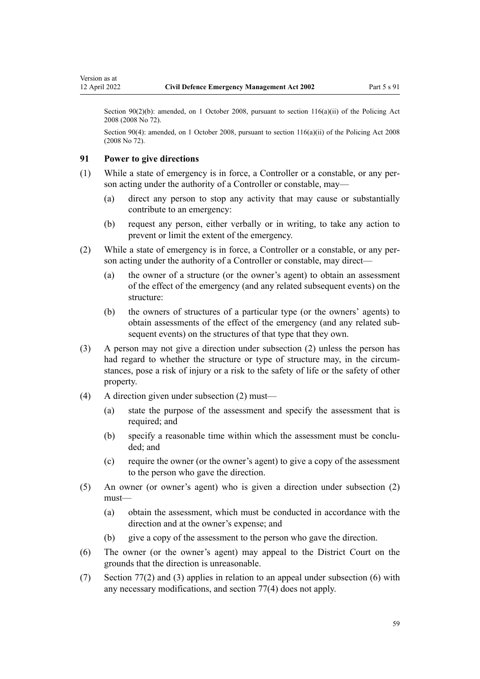<span id="page-58-0"></span>Section 90(2)(b): amended, on 1 October 2008, pursuant to [section 116\(a\)\(ii\)](http://legislation.govt.nz/pdflink.aspx?id=DLM1102349) of the Policing Act 2008 (2008 No 72).

Section 90(4): amended, on 1 October 2008, pursuant to [section 116\(a\)\(ii\)](http://legislation.govt.nz/pdflink.aspx?id=DLM1102349) of the Policing Act 2008 (2008 No 72).

## **91 Power to give directions**

- (1) While a state of emergency is in force, a Controller or a constable, or any per‐ son acting under the authority of a Controller or constable, may—
	- (a) direct any person to stop any activity that may cause or substantially contribute to an emergency:
	- (b) request any person, either verbally or in writing, to take any action to prevent or limit the extent of the emergency.
- (2) While a state of emergency is in force, a Controller or a constable, or any per‐ son acting under the authority of a Controller or constable, may direct—
	- (a) the owner of a structure (or the owner's agent) to obtain an assessment of the effect of the emergency (and any related subsequent events) on the structure:
	- (b) the owners of structures of a particular type (or the owners' agents) to obtain assessments of the effect of the emergency (and any related sub‐ sequent events) on the structures of that type that they own.
- (3) A person may not give a direction under subsection (2) unless the person has had regard to whether the structure or type of structure may, in the circumstances, pose a risk of injury or a risk to the safety of life or the safety of other property.
- (4) A direction given under subsection (2) must—
	- (a) state the purpose of the assessment and specify the assessment that is required; and
	- (b) specify a reasonable time within which the assessment must be concluded; and
	- (c) require the owner (or the owner's agent) to give a copy of the assessment to the person who gave the direction.
- (5) An owner (or owner's agent) who is given a direction under subsection (2) must—
	- (a) obtain the assessment, which must be conducted in accordance with the direction and at the owner's expense; and
	- (b) give a copy of the assessment to the person who gave the direction.
- (6) The owner (or the owner's agent) may appeal to the District Court on the grounds that the direction is unreasonable.
- (7) [Section 77\(2\) and \(3\)](#page-51-0) applies in relation to an appeal under subsection (6) with any necessary modifications, and section 77(4) does not apply.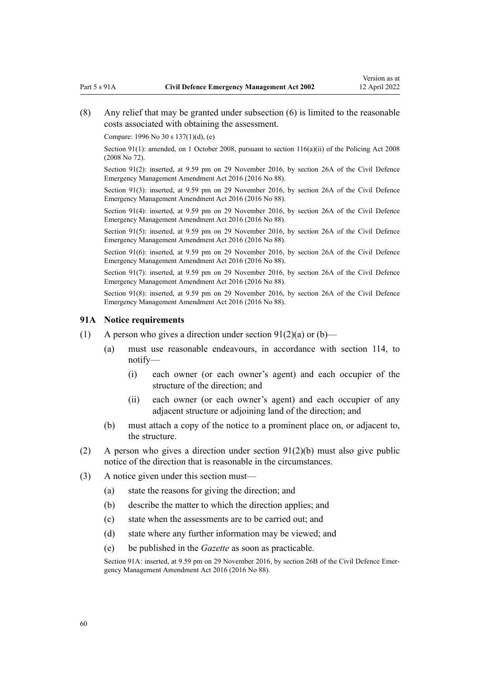(8) Any relief that may be granted under subsection (6) is limited to the reasonable costs associated with obtaining the assessment.

Compare: 1996 No 30 [s 137\(1\)\(d\), \(e\)](http://legislation.govt.nz/pdflink.aspx?id=DLM385101)

Section 91(1): amended, on 1 October 2008, pursuant to [section 116\(a\)\(ii\)](http://legislation.govt.nz/pdflink.aspx?id=DLM1102349) of the Policing Act 2008 (2008 No 72).

Section 91(2): inserted, at 9.59 pm on 29 November 2016, by [section 26A](http://legislation.govt.nz/pdflink.aspx?id=DLM7050908) of the Civil Defence Emergency Management Amendment Act 2016 (2016 No 88).

Section 91(3): inserted, at 9.59 pm on 29 November 2016, by [section 26A](http://legislation.govt.nz/pdflink.aspx?id=DLM7050908) of the Civil Defence Emergency Management Amendment Act 2016 (2016 No 88).

Section 91(4): inserted, at 9.59 pm on 29 November 2016, by [section 26A](http://legislation.govt.nz/pdflink.aspx?id=DLM7050908) of the Civil Defence Emergency Management Amendment Act 2016 (2016 No 88).

Section 91(5): inserted, at 9.59 pm on 29 November 2016, by [section 26A](http://legislation.govt.nz/pdflink.aspx?id=DLM7050908) of the Civil Defence Emergency Management Amendment Act 2016 (2016 No 88).

Section 91(6): inserted, at 9.59 pm on 29 November 2016, by [section 26A](http://legislation.govt.nz/pdflink.aspx?id=DLM7050908) of the Civil Defence Emergency Management Amendment Act 2016 (2016 No 88).

Section 91(7): inserted, at 9.59 pm on 29 November 2016, by [section 26A](http://legislation.govt.nz/pdflink.aspx?id=DLM7050908) of the Civil Defence Emergency Management Amendment Act 2016 (2016 No 88).

Section 91(8): inserted, at 9.59 pm on 29 November 2016, by [section 26A](http://legislation.govt.nz/pdflink.aspx?id=DLM7050908) of the Civil Defence Emergency Management Amendment Act 2016 (2016 No 88).

#### **91A Notice requirements**

- (1) A person who gives a direction under section  $91(2)(a)$  or  $(b)$ 
	- (a) must use reasonable endeavours, in accordance with [section 114](#page-81-0), to notify—
		- (i) each owner (or each owner's agent) and each occupier of the structure of the direction; and
		- (ii) each owner (or each owner's agent) and each occupier of any adjacent structure or adjoining land of the direction; and
	- (b) must attach a copy of the notice to a prominent place on, or adjacent to, the structure.
- (2) A person who gives a direction under [section 91\(2\)\(b\)](#page-58-0) must also give public notice of the direction that is reasonable in the circumstances.
- (3) A notice given under this section must—
	- (a) state the reasons for giving the direction; and
	- (b) describe the matter to which the direction applies; and
	- (c) state when the assessments are to be carried out; and
	- (d) state where any further information may be viewed; and
	- (e) be published in the *Gazette* as soon as practicable.

Section 91A: inserted, at 9.59 pm on 29 November 2016, by [section 26B](http://legislation.govt.nz/pdflink.aspx?id=DLM7050911) of the Civil Defence Emergency Management Amendment Act 2016 (2016 No 88).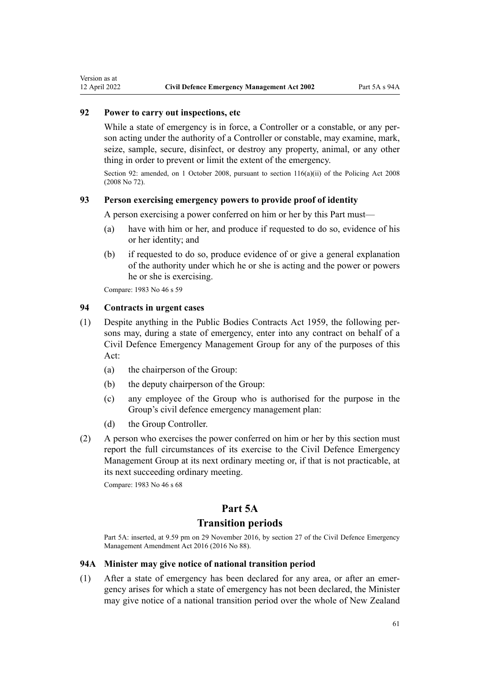# **92 Power to carry out inspections, etc**

While a state of emergency is in force, a Controller or a constable, or any person acting under the authority of a Controller or constable, may examine, mark, seize, sample, secure, disinfect, or destroy any property, animal, or any other thing in order to prevent or limit the extent of the emergency.

Section 92: amended, on 1 October 2008, pursuant to [section 116\(a\)\(ii\)](http://legislation.govt.nz/pdflink.aspx?id=DLM1102349) of the Policing Act 2008 (2008 No 72).

## **93 Person exercising emergency powers to provide proof of identity**

A person exercising a power conferred on him or her by this Part must—

- (a) have with him or her, and produce if requested to do so, evidence of his or her identity; and
- (b) if requested to do so, produce evidence of or give a general explanation of the authority under which he or she is acting and the power or powers he or she is exercising.

Compare: 1983 No 46 s 59

# **94 Contracts in urgent cases**

- (1) Despite anything in the [Public Bodies Contracts Act 1959](http://legislation.govt.nz/pdflink.aspx?id=DLM324218), the following per‐ sons may, during a state of emergency, enter into any contract on behalf of a Civil Defence Emergency Management Group for any of the purposes of this Act:
	- (a) the chairperson of the Group:
	- (b) the deputy chairperson of the Group:
	- (c) any employee of the Group who is authorised for the purpose in the Group's civil defence emergency management plan:
	- (d) the Group Controller.
- (2) A person who exercises the power conferred on him or her by this section must report the full circumstances of its exercise to the Civil Defence Emergency Management Group at its next ordinary meeting or, if that is not practicable, at its next succeeding ordinary meeting.

Compare: 1983 No 46 s 68

# **Part 5A**

#### **Transition periods**

Part 5A: inserted, at 9.59 pm on 29 November 2016, by [section 27](http://legislation.govt.nz/pdflink.aspx?id=DLM6648891) of the Civil Defence Emergency Management Amendment Act 2016 (2016 No 88).

### **94A Minister may give notice of national transition period**

(1) After a state of emergency has been declared for any area, or after an emer‐ gency arises for which a state of emergency has not been declared, the Minister may give notice of a national transition period over the whole of New Zealand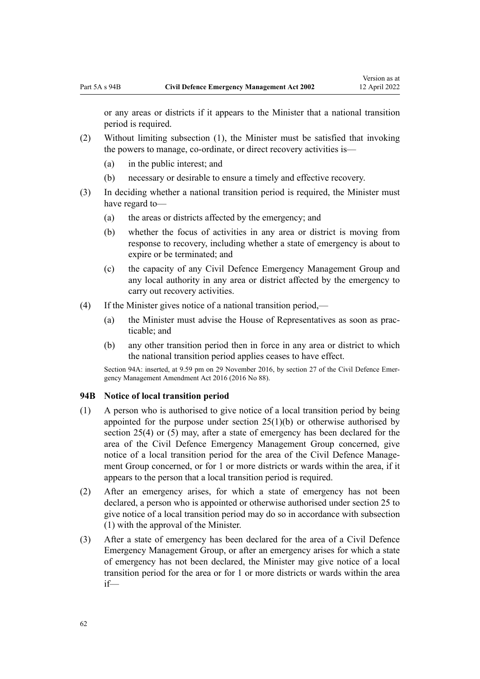<span id="page-61-0"></span>or any areas or districts if it appears to the Minister that a national transition period is required.

- (2) Without limiting subsection (1), the Minister must be satisfied that invoking the powers to manage, co-ordinate, or direct recovery activities is—
	- (a) in the public interest; and
	- (b) necessary or desirable to ensure a timely and effective recovery.
- (3) In deciding whether a national transition period is required, the Minister must have regard to—
	- (a) the areas or districts affected by the emergency; and
	- (b) whether the focus of activities in any area or district is moving from response to recovery, including whether a state of emergency is about to expire or be terminated; and
	- (c) the capacity of any Civil Defence Emergency Management Group and any local authority in any area or district affected by the emergency to carry out recovery activities.
- (4) If the Minister gives notice of a national transition period,—
	- (a) the Minister must advise the House of Representatives as soon as practicable; and
	- (b) any other transition period then in force in any area or district to which the national transition period applies ceases to have effect.

Section 94A: inserted, at 9.59 pm on 29 November 2016, by [section 27](http://legislation.govt.nz/pdflink.aspx?id=DLM6648891) of the Civil Defence Emergency Management Amendment Act 2016 (2016 No 88).

#### **94B Notice of local transition period**

- (1) A person who is authorised to give notice of a local transition period by being appointed for the purpose under section  $25(1)(b)$  or otherwise authorised by section 25(4) or (5) may, after a state of emergency has been declared for the area of the Civil Defence Emergency Management Group concerned, give notice of a local transition period for the area of the Civil Defence Management Group concerned, or for 1 or more districts or wards within the area, if it appears to the person that a local transition period is required.
- (2) After an emergency arises, for which a state of emergency has not been declared, a person who is appointed or otherwise authorised under [section 25](#page-26-0) to give notice of a local transition period may do so in accordance with subsection (1) with the approval of the Minister.
- (3) After a state of emergency has been declared for the area of a Civil Defence Emergency Management Group, or after an emergency arises for which a state of emergency has not been declared, the Minister may give notice of a local transition period for the area or for 1 or more districts or wards within the area if—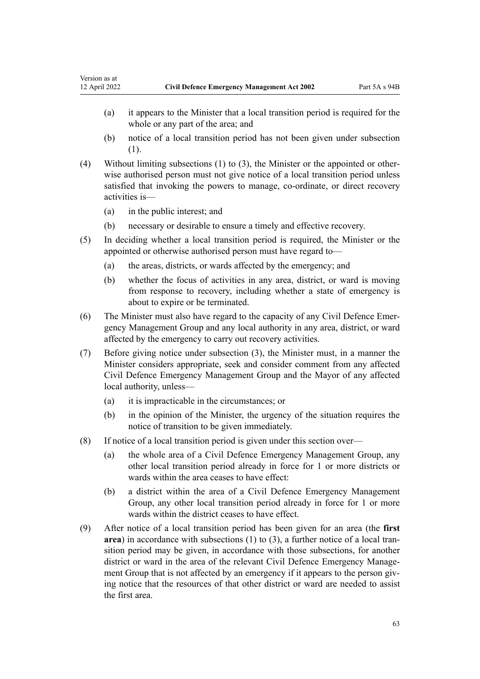- (a) it appears to the Minister that a local transition period is required for the whole or any part of the area; and
- (b) notice of a local transition period has not been given under subsection (1).
- (4) Without limiting subsections (1) to (3), the Minister or the appointed or other‐ wise authorised person must not give notice of a local transition period unless satisfied that invoking the powers to manage, co-ordinate, or direct recovery activities is—
	- (a) in the public interest; and
	- (b) necessary or desirable to ensure a timely and effective recovery.
- (5) In deciding whether a local transition period is required, the Minister or the appointed or otherwise authorised person must have regard to—
	- (a) the areas, districts, or wards affected by the emergency; and
	- (b) whether the focus of activities in any area, district, or ward is moving from response to recovery, including whether a state of emergency is about to expire or be terminated.
- (6) The Minister must also have regard to the capacity of any Civil Defence Emer‐ gency Management Group and any local authority in any area, district, or ward affected by the emergency to carry out recovery activities.
- (7) Before giving notice under subsection (3), the Minister must, in a manner the Minister considers appropriate, seek and consider comment from any affected Civil Defence Emergency Management Group and the Mayor of any affected local authority, unless—
	- (a) it is impracticable in the circumstances; or
	- (b) in the opinion of the Minister, the urgency of the situation requires the notice of transition to be given immediately.
- (8) If notice of a local transition period is given under this section over—
	- (a) the whole area of a Civil Defence Emergency Management Group, any other local transition period already in force for 1 or more districts or wards within the area ceases to have effect:
	- (b) a district within the area of a Civil Defence Emergency Management Group, any other local transition period already in force for 1 or more wards within the district ceases to have effect.
- (9) After notice of a local transition period has been given for an area (the **first** area) in accordance with subsections (1) to (3), a further notice of a local transition period may be given, in accordance with those subsections, for another district or ward in the area of the relevant Civil Defence Emergency Management Group that is not affected by an emergency if it appears to the person giving notice that the resources of that other district or ward are needed to assist the first area.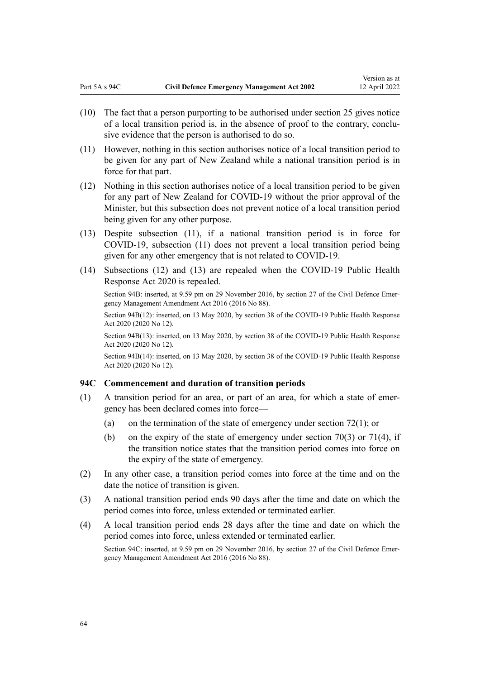- (10) The fact that a person purporting to be authorised under [section 25](#page-26-0) gives notice of a local transition period is, in the absence of proof to the contrary, conclu‐ sive evidence that the person is authorised to do so.
- (11) However, nothing in this section authorises notice of a local transition period to be given for any part of New Zealand while a national transition period is in force for that part.
- (12) Nothing in this section authorises notice of a local transition period to be given for any part of New Zealand for COVID-19 without the prior approval of the Minister, but this subsection does not prevent notice of a local transition period being given for any other purpose.
- (13) Despite subsection (11), if a national transition period is in force for COVID-19, subsection (11) does not prevent a local transition period being given for any other emergency that is not related to COVID-19.
- (14) Subsections (12) and (13) are repealed when the [COVID-19 Public Health](http://legislation.govt.nz/pdflink.aspx?id=LMS344121) [Response Act 2020](http://legislation.govt.nz/pdflink.aspx?id=LMS344121) is repealed.

Section 94B(12): inserted, on 13 May 2020, by [section 38](http://legislation.govt.nz/pdflink.aspx?id=LMS344216) of the COVID-19 Public Health Response Act 2020 (2020 No 12).

Section 94B(13): inserted, on 13 May 2020, by [section 38](http://legislation.govt.nz/pdflink.aspx?id=LMS344216) of the COVID-19 Public Health Response Act 2020 (2020 No 12).

Section 94B(14): inserted, on 13 May 2020, by [section 38](http://legislation.govt.nz/pdflink.aspx?id=LMS344216) of the COVID-19 Public Health Response Act 2020 (2020 No 12).

### **94C Commencement and duration of transition periods**

- (1) A transition period for an area, or part of an area, for which a state of emer‐ gency has been declared comes into force—
	- (a) on the termination of the state of emergency under section  $72(1)$ ; or
	- (b) on the expiry of the state of emergency under section  $70(3)$  or  $71(4)$ , if the transition notice states that the transition period comes into force on the expiry of the state of emergency.
- (2) In any other case, a transition period comes into force at the time and on the date the notice of transition is given.
- (3) A national transition period ends 90 days after the time and date on which the period comes into force, unless extended or terminated earlier.
- (4) A local transition period ends 28 days after the time and date on which the period comes into force, unless extended or terminated earlier. Section 94C: inserted, at 9.59 pm on 29 November 2016, by [section 27](http://legislation.govt.nz/pdflink.aspx?id=DLM6648891) of the Civil Defence Emergency Management Amendment Act 2016 (2016 No 88).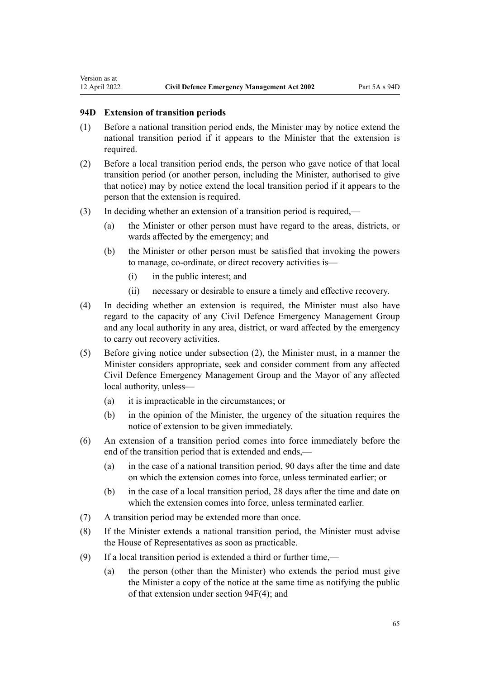# **94D Extension of transition periods**

- (1) Before a national transition period ends, the Minister may by notice extend the national transition period if it appears to the Minister that the extension is required.
- (2) Before a local transition period ends, the person who gave notice of that local transition period (or another person, including the Minister, authorised to give that notice) may by notice extend the local transition period if it appears to the person that the extension is required.
- (3) In deciding whether an extension of a transition period is required,—
	- (a) the Minister or other person must have regard to the areas, districts, or wards affected by the emergency; and
	- (b) the Minister or other person must be satisfied that invoking the powers to manage, co-ordinate, or direct recovery activities is—
		- (i) in the public interest; and
		- (ii) necessary or desirable to ensure a timely and effective recovery.
- (4) In deciding whether an extension is required, the Minister must also have regard to the capacity of any Civil Defence Emergency Management Group and any local authority in any area, district, or ward affected by the emergency to carry out recovery activities.
- (5) Before giving notice under subsection (2), the Minister must, in a manner the Minister considers appropriate, seek and consider comment from any affected Civil Defence Emergency Management Group and the Mayor of any affected local authority, unless—
	- (a) it is impracticable in the circumstances; or
	- (b) in the opinion of the Minister, the urgency of the situation requires the notice of extension to be given immediately.
- (6) An extension of a transition period comes into force immediately before the end of the transition period that is extended and ends,—
	- (a) in the case of a national transition period, 90 days after the time and date on which the extension comes into force, unless terminated earlier; or
	- (b) in the case of a local transition period, 28 days after the time and date on which the extension comes into force, unless terminated earlier.
- (7) A transition period may be extended more than once.
- (8) If the Minister extends a national transition period, the Minister must advise the House of Representatives as soon as practicable.
- (9) If a local transition period is extended a third or further time,—
	- (a) the person (other than the Minister) who extends the period must give the Minister a copy of the notice at the same time as notifying the public of that extension under [section 94F\(4\);](#page-66-0) and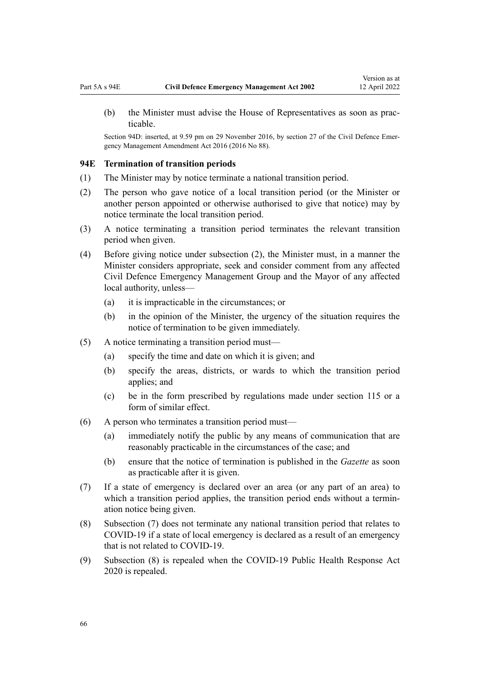(b) the Minister must advise the House of Representatives as soon as prac‐ ticable.

Section 94D: inserted, at 9.59 pm on 29 November 2016, by [section 27](http://legislation.govt.nz/pdflink.aspx?id=DLM6648891) of the Civil Defence Emergency Management Amendment Act 2016 (2016 No 88).

#### **94E Termination of transition periods**

- (1) The Minister may by notice terminate a national transition period.
- (2) The person who gave notice of a local transition period (or the Minister or another person appointed or otherwise authorised to give that notice) may by notice terminate the local transition period.
- (3) A notice terminating a transition period terminates the relevant transition period when given.
- (4) Before giving notice under subsection (2), the Minister must, in a manner the Minister considers appropriate, seek and consider comment from any affected Civil Defence Emergency Management Group and the Mayor of any affected local authority, unless—
	- (a) it is impracticable in the circumstances; or
	- (b) in the opinion of the Minister, the urgency of the situation requires the notice of termination to be given immediately.
- (5) A notice terminating a transition period must—
	- (a) specify the time and date on which it is given; and
	- (b) specify the areas, districts, or wards to which the transition period applies; and
	- (c) be in the form prescribed by regulations made under [section 115](#page-82-0) or a form of similar effect.
- (6) A person who terminates a transition period must—
	- (a) immediately notify the public by any means of communication that are reasonably practicable in the circumstances of the case; and
	- (b) ensure that the notice of termination is published in the *Gazette* as soon as practicable after it is given.
- (7) If a state of emergency is declared over an area (or any part of an area) to which a transition period applies, the transition period ends without a termination notice being given.
- (8) Subsection (7) does not terminate any national transition period that relates to COVID-19 if a state of local emergency is declared as a result of an emergency that is not related to COVID-19.
- (9) Subsection (8) is repealed when the [COVID-19 Public Health Response Act](http://legislation.govt.nz/pdflink.aspx?id=LMS344121) [2020](http://legislation.govt.nz/pdflink.aspx?id=LMS344121) is repealed.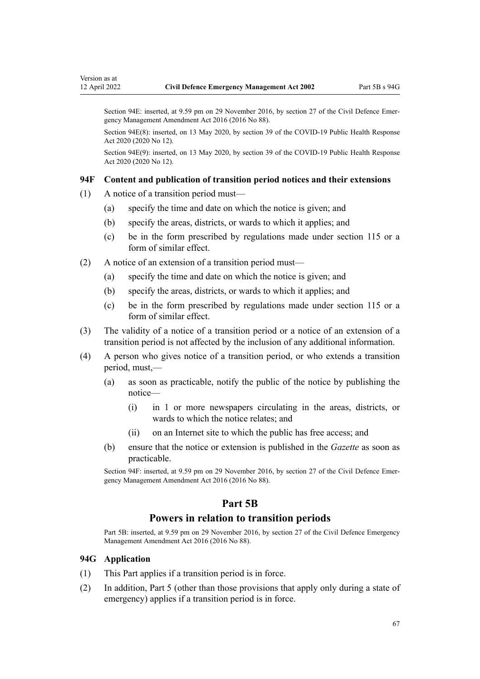<span id="page-66-0"></span>Section 94E(8): inserted, on 13 May 2020, by [section 39](http://legislation.govt.nz/pdflink.aspx?id=LMS344217) of the COVID-19 Public Health Response Act 2020 (2020 No 12).

Section 94E(9): inserted, on 13 May 2020, by [section 39](http://legislation.govt.nz/pdflink.aspx?id=LMS344217) of the COVID-19 Public Health Response Act 2020 (2020 No 12).

#### **94F Content and publication of transition period notices and their extensions**

- (1) A notice of a transition period must—
	- (a) specify the time and date on which the notice is given; and
	- (b) specify the areas, districts, or wards to which it applies; and
	- (c) be in the form prescribed by regulations made under [section 115](#page-82-0) or a form of similar effect.
- (2) A notice of an extension of a transition period must—
	- (a) specify the time and date on which the notice is given; and
	- (b) specify the areas, districts, or wards to which it applies; and
	- (c) be in the form prescribed by regulations made under [section 115](#page-82-0) or a form of similar effect.
- (3) The validity of a notice of a transition period or a notice of an extension of a transition period is not affected by the inclusion of any additional information.
- (4) A person who gives notice of a transition period, or who extends a transition period, must,—
	- (a) as soon as practicable, notify the public of the notice by publishing the notice—
		- (i) in 1 or more newspapers circulating in the areas, districts, or wards to which the notice relates; and
		- (ii) on an Internet site to which the public has free access; and
	- (b) ensure that the notice or extension is published in the *Gazette* as soon as practicable.

Section 94F: inserted, at 9.59 pm on 29 November 2016, by [section 27](http://legislation.govt.nz/pdflink.aspx?id=DLM6648891) of the Civil Defence Emergency Management Amendment Act 2016 (2016 No 88).

# **Part 5B**

# **Powers in relation to transition periods**

Part 5B: inserted, at 9.59 pm on 29 November 2016, by [section 27](http://legislation.govt.nz/pdflink.aspx?id=DLM6648891) of the Civil Defence Emergency Management Amendment Act 2016 (2016 No 88).

# **94G Application**

- (1) This Part applies if a transition period is in force.
- (2) In addition, [Part 5](#page-49-0) (other than those provisions that apply only during a state of emergency) applies if a transition period is in force.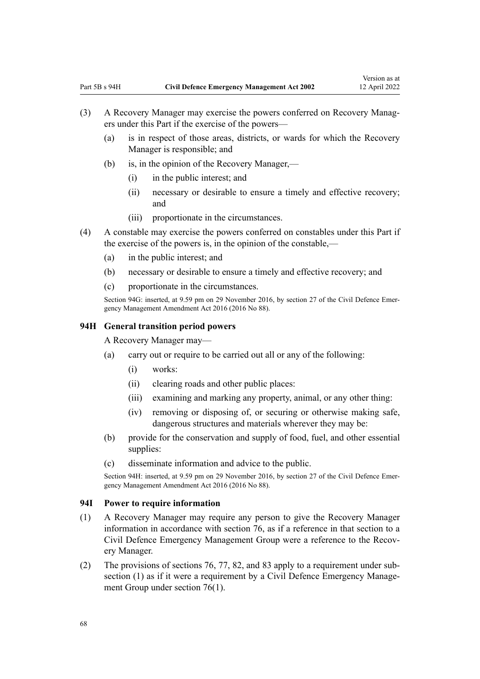- <span id="page-67-0"></span>(3) A Recovery Manager may exercise the powers conferred on Recovery Manag‐ ers under this Part if the exercise of the powers—
	- (a) is in respect of those areas, districts, or wards for which the Recovery Manager is responsible; and
	- (b) is, in the opinion of the Recovery Manager,—
		- (i) in the public interest; and
		- (ii) necessary or desirable to ensure a timely and effective recovery; and
		- (iii) proportionate in the circumstances.
- (4) A constable may exercise the powers conferred on constables under this Part if the exercise of the powers is, in the opinion of the constable,—
	- (a) in the public interest; and
	- (b) necessary or desirable to ensure a timely and effective recovery; and
	- (c) proportionate in the circumstances.

#### **94H General transition period powers**

A Recovery Manager may—

- (a) carry out or require to be carried out all or any of the following:
	- (i) works:
	- (ii) clearing roads and other public places:
	- (iii) examining and marking any property, animal, or any other thing:
	- (iv) removing or disposing of, or securing or otherwise making safe, dangerous structures and materials wherever they may be:
- (b) provide for the conservation and supply of food, fuel, and other essential supplies:
- (c) disseminate information and advice to the public.

Section 94H: inserted, at 9.59 pm on 29 November 2016, by [section 27](http://legislation.govt.nz/pdflink.aspx?id=DLM6648891) of the Civil Defence Emergency Management Amendment Act 2016 (2016 No 88).

### **94I Power to require information**

- (1) A Recovery Manager may require any person to give the Recovery Manager information in accordance with [section 76,](#page-50-0) as if a reference in that section to a Civil Defence Emergency Management Group were a reference to the Recov‐ ery Manager.
- (2) The provisions of [sections 76](#page-50-0), [77,](#page-51-0) [82,](#page-53-0) and [83](#page-53-0) apply to a requirement under sub‐ section (1) as if it were a requirement by a Civil Defence Emergency Management Group under section 76(1).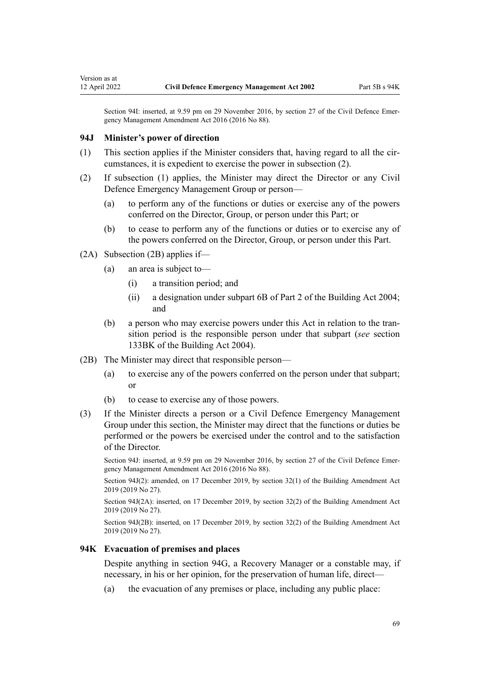#### **94J Minister's power of direction**

Version as at

- (1) This section applies if the Minister considers that, having regard to all the circumstances, it is expedient to exercise the power in subsection (2).
- (2) If subsection (1) applies, the Minister may direct the Director or any Civil Defence Emergency Management Group or person—
	- (a) to perform any of the functions or duties or exercise any of the powers conferred on the Director, Group, or person under this Part; or
	- (b) to cease to perform any of the functions or duties or to exercise any of the powers conferred on the Director, Group, or person under this Part.
- (2A) Subsection (2B) applies if—
	- (a) an area is subject to—
		- (i) a transition period; and
		- (ii) a designation under [subpart 6B](http://legislation.govt.nz/pdflink.aspx?id=LMS297730) of Part 2 of the Building Act 2004; and
	- (b) a person who may exercise powers under this Act in relation to the tran‐ sition period is the responsible person under that subpart (*see* [section](http://legislation.govt.nz/pdflink.aspx?id=LMS297709) [133BK](http://legislation.govt.nz/pdflink.aspx?id=LMS297709) of the Building Act 2004).
- (2B) The Minister may direct that responsible person—
	- (a) to exercise any of the powers conferred on the person under that subpart; or
	- (b) to cease to exercise any of those powers.
- (3) If the Minister directs a person or a Civil Defence Emergency Management Group under this section, the Minister may direct that the functions or duties be performed or the powers be exercised under the control and to the satisfaction of the Director.

Section 94J: inserted, at 9.59 pm on 29 November 2016, by [section 27](http://legislation.govt.nz/pdflink.aspx?id=DLM6648891) of the Civil Defence Emergency Management Amendment Act 2016 (2016 No 88).

Section 94J(2): amended, on 17 December 2019, by [section 32\(1\)](http://legislation.govt.nz/pdflink.aspx?id=LMS73771) of the Building Amendment Act 2019 (2019 No 27).

Section 94J(2A): inserted, on 17 December 2019, by [section 32\(2\)](http://legislation.govt.nz/pdflink.aspx?id=LMS73771) of the Building Amendment Act 2019 (2019 No 27).

Section 94J(2B): inserted, on 17 December 2019, by [section 32\(2\)](http://legislation.govt.nz/pdflink.aspx?id=LMS73771) of the Building Amendment Act 2019 (2019 No 27).

## **94K Evacuation of premises and places**

Despite anything in [section 94G,](#page-66-0) a Recovery Manager or a constable may, if necessary, in his or her opinion, for the preservation of human life, direct—

(a) the evacuation of any premises or place, including any public place: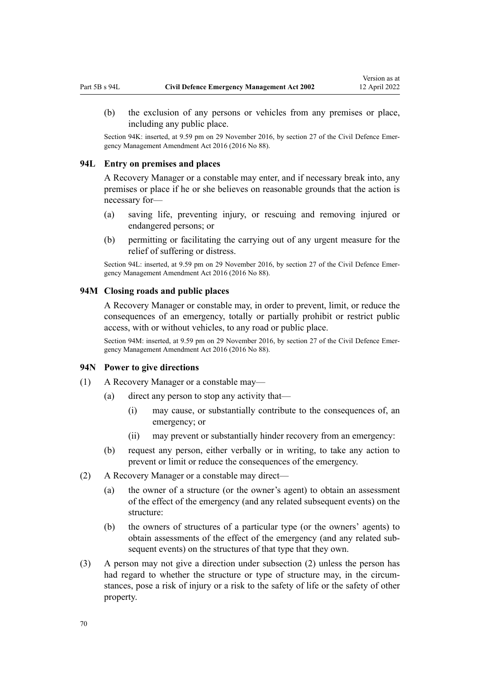<span id="page-69-0"></span>(b) the exclusion of any persons or vehicles from any premises or place, including any public place.

Section 94K: inserted, at 9.59 pm on 29 November 2016, by [section 27](http://legislation.govt.nz/pdflink.aspx?id=DLM6648891) of the Civil Defence Emergency Management Amendment Act 2016 (2016 No 88).

## **94L Entry on premises and places**

A Recovery Manager or a constable may enter, and if necessary break into, any premises or place if he or she believes on reasonable grounds that the action is necessary for—

- (a) saving life, preventing injury, or rescuing and removing injured or endangered persons; or
- (b) permitting or facilitating the carrying out of any urgent measure for the relief of suffering or distress.

Section 94L: inserted, at 9.59 pm on 29 November 2016, by [section 27](http://legislation.govt.nz/pdflink.aspx?id=DLM6648891) of the Civil Defence Emergency Management Amendment Act 2016 (2016 No 88).

#### **94M Closing roads and public places**

A Recovery Manager or constable may, in order to prevent, limit, or reduce the consequences of an emergency, totally or partially prohibit or restrict public access, with or without vehicles, to any road or public place.

Section 94M: inserted, at 9.59 pm on 29 November 2016, by [section 27](http://legislation.govt.nz/pdflink.aspx?id=DLM6648891) of the Civil Defence Emergency Management Amendment Act 2016 (2016 No 88).

### **94N Power to give directions**

- (1) A Recovery Manager or a constable may—
	- (a) direct any person to stop any activity that—
		- (i) may cause, or substantially contribute to the consequences of, an emergency; or
		- (ii) may prevent or substantially hinder recovery from an emergency:
	- (b) request any person, either verbally or in writing, to take any action to prevent or limit or reduce the consequences of the emergency.
- (2) A Recovery Manager or a constable may direct—
	- (a) the owner of a structure (or the owner's agent) to obtain an assessment of the effect of the emergency (and any related subsequent events) on the structure:
	- (b) the owners of structures of a particular type (or the owners' agents) to obtain assessments of the effect of the emergency (and any related sub‐ sequent events) on the structures of that type that they own.
- (3) A person may not give a direction under subsection (2) unless the person has had regard to whether the structure or type of structure may, in the circumstances, pose a risk of injury or a risk to the safety of life or the safety of other property.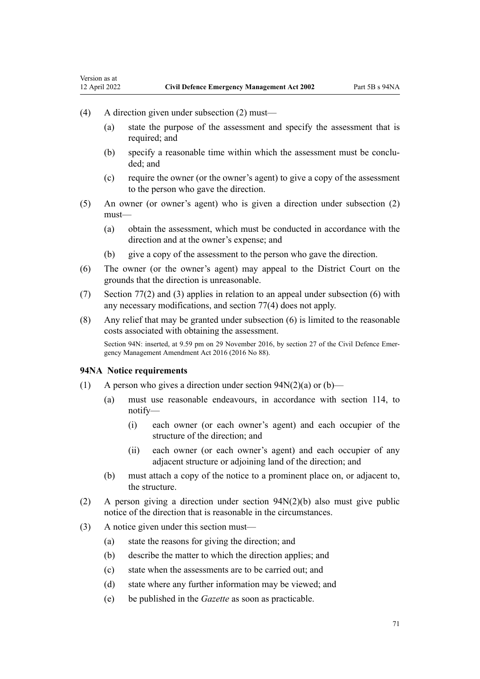- (4) A direction given under subsection (2) must—
	- (a) state the purpose of the assessment and specify the assessment that is required: and
	- (b) specify a reasonable time within which the assessment must be conclu‐ ded; and
	- (c) require the owner (or the owner's agent) to give a copy of the assessment to the person who gave the direction.
- (5) An owner (or owner's agent) who is given a direction under subsection (2) must—
	- (a) obtain the assessment, which must be conducted in accordance with the direction and at the owner's expense; and
	- (b) give a copy of the assessment to the person who gave the direction.
- (6) The owner (or the owner's agent) may appeal to the District Court on the grounds that the direction is unreasonable.
- (7) [Section 77\(2\)](#page-51-0) and (3) applies in relation to an appeal under subsection (6) with any necessary modifications, and section 77(4) does not apply.
- (8) Any relief that may be granted under subsection (6) is limited to the reasonable costs associated with obtaining the assessment.

### **94NA Notice requirements**

- (1) A person who gives a direction under section  $94N(2)(a)$  or  $(b)$ 
	- (a) must use reasonable endeavours, in accordance with [section 114](#page-81-0), to notify—
		- (i) each owner (or each owner's agent) and each occupier of the structure of the direction; and
		- (ii) each owner (or each owner's agent) and each occupier of any adjacent structure or adjoining land of the direction; and
	- (b) must attach a copy of the notice to a prominent place on, or adjacent to, the structure.
- (2) A person giving a direction under [section 94N\(2\)\(b\)](#page-69-0) also must give public notice of the direction that is reasonable in the circumstances.
- (3) A notice given under this section must—
	- (a) state the reasons for giving the direction; and
	- (b) describe the matter to which the direction applies; and
	- (c) state when the assessments are to be carried out; and
	- (d) state where any further information may be viewed; and
	- (e) be published in the *Gazette* as soon as practicable.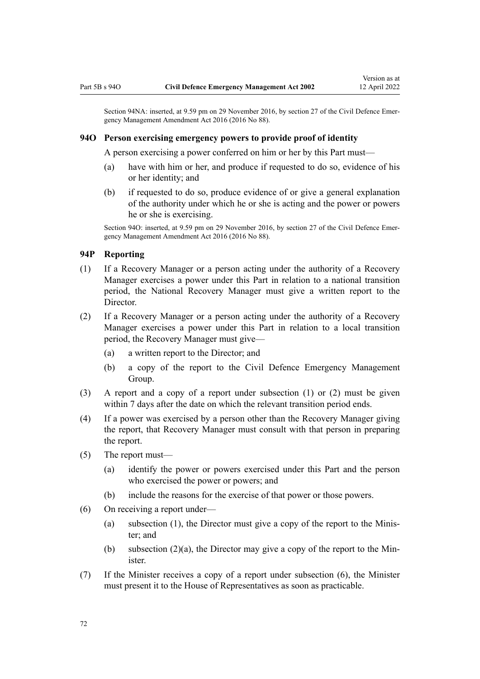#### **94O Person exercising emergency powers to provide proof of identity**

A person exercising a power conferred on him or her by this Part must—

- (a) have with him or her, and produce if requested to do so, evidence of his or her identity; and
- (b) if requested to do so, produce evidence of or give a general explanation of the authority under which he or she is acting and the power or powers he or she is exercising.

Section 94O: inserted, at 9.59 pm on 29 November 2016, by [section 27](http://legislation.govt.nz/pdflink.aspx?id=DLM6648891) of the Civil Defence Emergency Management Amendment Act 2016 (2016 No 88).

### **94P Reporting**

- (1) If a Recovery Manager or a person acting under the authority of a Recovery Manager exercises a power under this Part in relation to a national transition period, the National Recovery Manager must give a written report to the Director.
- (2) If a Recovery Manager or a person acting under the authority of a Recovery Manager exercises a power under this Part in relation to a local transition period, the Recovery Manager must give—
	- (a) a written report to the Director; and
	- (b) a copy of the report to the Civil Defence Emergency Management Group.
- (3) A report and a copy of a report under subsection (1) or (2) must be given within 7 days after the date on which the relevant transition period ends.
- (4) If a power was exercised by a person other than the Recovery Manager giving the report, that Recovery Manager must consult with that person in preparing the report.
- (5) The report must—
	- (a) identify the power or powers exercised under this Part and the person who exercised the power or powers; and
	- (b) include the reasons for the exercise of that power or those powers.
- (6) On receiving a report under—
	- (a) subsection (1), the Director must give a copy of the report to the Minis‐ ter; and
	- (b) subsection  $(2)(a)$ , the Director may give a copy of the report to the Minister.
- (7) If the Minister receives a copy of a report under subsection (6), the Minister must present it to the House of Representatives as soon as practicable.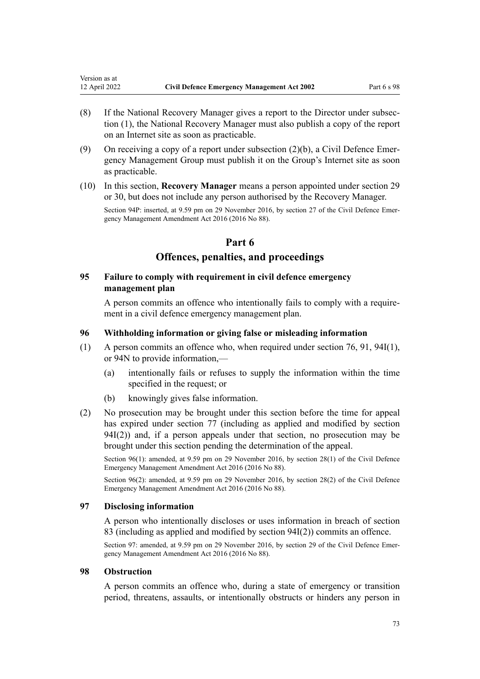Version as at

- (8) If the National Recovery Manager gives a report to the Director under subsec‐ tion (1), the National Recovery Manager must also publish a copy of the report on an Internet site as soon as practicable.
- (9) On receiving a copy of a report under subsection  $(2)(b)$ , a Civil Defence Emergency Management Group must publish it on the Group's Internet site as soon as practicable.
- (10) In this section, **Recovery Manager** means a person appointed under [section 29](#page-29-0) or [30](#page-29-0), but does not include any person authorised by the Recovery Manager.

Section 94P: inserted, at 9.59 pm on 29 November 2016, by [section 27](http://legislation.govt.nz/pdflink.aspx?id=DLM6648891) of the Civil Defence Emergency Management Amendment Act 2016 (2016 No 88).

# **Part 6**

# **Offences, penalties, and proceedings**

## **95 Failure to comply with requirement in civil defence emergency management plan**

A person commits an offence who intentionally fails to comply with a require‐ ment in a civil defence emergency management plan.

### **96 Withholding information or giving false or misleading information**

- (1) A person commits an offence who, when required under [section 76,](#page-50-0) [91](#page-58-0), [94I\(1\)](#page-67-0), or [94N](#page-69-0) to provide information,—
	- (a) intentionally fails or refuses to supply the information within the time specified in the request; or
	- (b) knowingly gives false information.
- (2) No prosecution may be brought under this section before the time for appeal has expired under [section 77](#page-51-0) (including as applied and modified by [section](#page-67-0) [94I\(2\)\)](#page-67-0) and, if a person appeals under that section, no prosecution may be brought under this section pending the determination of the appeal.

Section 96(1): amended, at 9.59 pm on 29 November 2016, by [section 28\(1\)](http://legislation.govt.nz/pdflink.aspx?id=DLM6648911) of the Civil Defence Emergency Management Amendment Act 2016 (2016 No 88).

Section 96(2): amended, at 9.59 pm on 29 November 2016, by [section 28\(2\)](http://legislation.govt.nz/pdflink.aspx?id=DLM6648911) of the Civil Defence Emergency Management Amendment Act 2016 (2016 No 88).

## **97 Disclosing information**

A person who intentionally discloses or uses information in breach of [section](#page-53-0) [83](#page-53-0) (including as applied and modified by [section 94I\(2\)](#page-67-0)) commits an offence.

Section 97: amended, at 9.59 pm on 29 November 2016, by [section 29](http://legislation.govt.nz/pdflink.aspx?id=DLM6648912) of the Civil Defence Emergency Management Amendment Act 2016 (2016 No 88).

#### **98 Obstruction**

A person commits an offence who, during a state of emergency or transition period, threatens, assaults, or intentionally obstructs or hinders any person in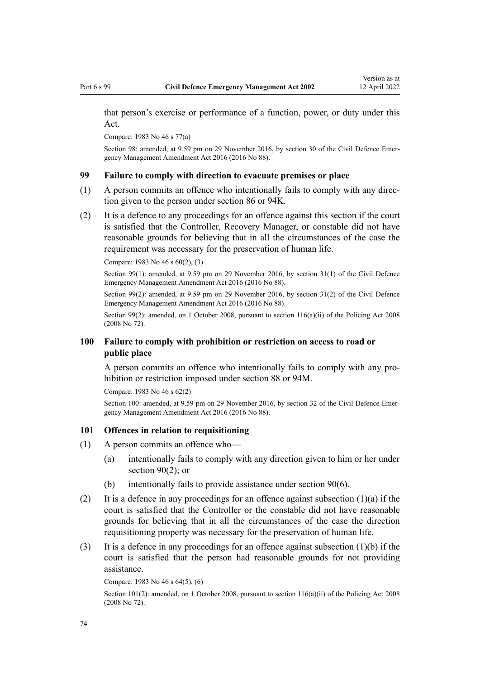that person's exercise or performance of a function, power, or duty under this Act.

Compare: 1983 No 46 s 77(a)

Section 98: amended, at 9.59 pm on 29 November 2016, by [section 30](http://legislation.govt.nz/pdflink.aspx?id=DLM6648913) of the Civil Defence Emergency Management Amendment Act 2016 (2016 No 88).

# **99 Failure to comply with direction to evacuate premises or place**

- (1) A person commits an offence who intentionally fails to comply with any direc‐ tion given to the person under [section 86](#page-55-0) or [94K.](#page-68-0)
- (2) It is a defence to any proceedings for an offence against this section if the court is satisfied that the Controller, Recovery Manager, or constable did not have reasonable grounds for believing that in all the circumstances of the case the requirement was necessary for the preservation of human life.

Compare: 1983 No 46 s 60(2), (3)

Section 99(1): amended, at 9.59 pm on 29 November 2016, by [section 31\(1\)](http://legislation.govt.nz/pdflink.aspx?id=DLM6648914) of the Civil Defence Emergency Management Amendment Act 2016 (2016 No 88).

Section 99(2): amended, at 9.59 pm on 29 November 2016, by [section 31\(2\)](http://legislation.govt.nz/pdflink.aspx?id=DLM6648914) of the Civil Defence Emergency Management Amendment Act 2016 (2016 No 88).

Section 99(2): amended, on 1 October 2008, pursuant to section  $116(a)(ii)$  of the Policing Act 2008 (2008 No 72).

# **100 Failure to comply with prohibition or restriction on access to road or public place**

A person commits an offence who intentionally fails to comply with any pro‐ hibition or restriction imposed under [section 88](#page-56-0) or [94M.](#page-69-0)

Compare: 1983 No 46 s 62(2)

Section 100: amended, at 9.59 pm on 29 November 2016, by [section 32](http://legislation.govt.nz/pdflink.aspx?id=DLM6648915) of the Civil Defence Emergency Management Amendment Act 2016 (2016 No 88).

### **101 Offences in relation to requisitioning**

- (1) A person commits an offence who—
	- (a) intentionally fails to comply with any direction given to him or her under [section 90\(2\);](#page-57-0) or
	- (b) intentionally fails to provide assistance under [section 90\(6\).](#page-57-0)
- (2) It is a defence in any proceedings for an offence against subsection  $(1)(a)$  if the court is satisfied that the Controller or the constable did not have reasonable grounds for believing that in all the circumstances of the case the direction requisitioning property was necessary for the preservation of human life.
- (3) It is a defence in any proceedings for an offence against subsection (1)(b) if the court is satisfied that the person had reasonable grounds for not providing assistance.

Compare: 1983 No 46 s 64(5), (6)

Section 101(2): amended, on 1 October 2008, pursuant to [section 116\(a\)\(ii\)](http://legislation.govt.nz/pdflink.aspx?id=DLM1102349) of the Policing Act 2008 (2008 No 72).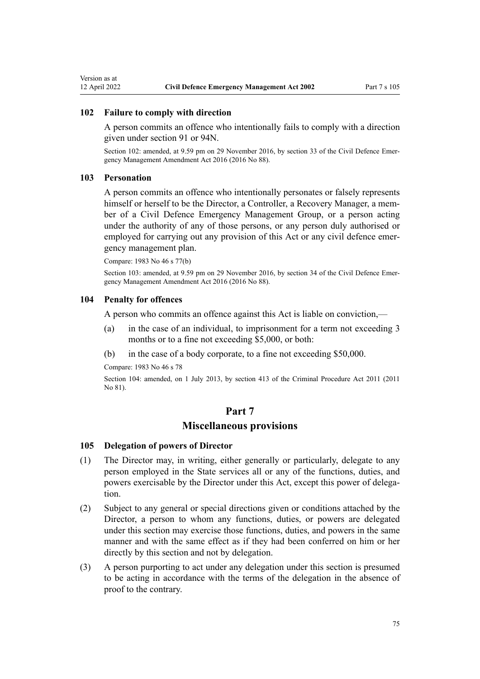#### **102 Failure to comply with direction**

A person commits an offence who intentionally fails to comply with a direction given under section [91](#page-58-0) or [94N.](#page-69-0)

Section 102: amended, at 9.59 pm on 29 November 2016, by [section 33](http://legislation.govt.nz/pdflink.aspx?id=DLM6648916) of the Civil Defence Emergency Management Amendment Act 2016 (2016 No 88).

### **103 Personation**

A person commits an offence who intentionally personates or falsely represents himself or herself to be the Director, a Controller, a Recovery Manager, a member of a Civil Defence Emergency Management Group, or a person acting under the authority of any of those persons, or any person duly authorised or employed for carrying out any provision of this Act or any civil defence emergency management plan.

Compare: 1983 No 46 s 77(b)

Section 103: amended, at 9.59 pm on 29 November 2016, by [section 34](http://legislation.govt.nz/pdflink.aspx?id=DLM6648917) of the Civil Defence Emergency Management Amendment Act 2016 (2016 No 88).

## **104 Penalty for offences**

A person who commits an offence against this Act is liable on conviction,—

- (a) in the case of an individual, to imprisonment for a term not exceeding 3 months or to a fine not exceeding \$5,000, or both:
- (b) in the case of a body corporate, to a fine not exceeding \$50,000.

Compare: 1983 No 46 s 78

Section 104: amended, on 1 July 2013, by [section 413](http://legislation.govt.nz/pdflink.aspx?id=DLM3360714) of the Criminal Procedure Act 2011 (2011 No 81).

## **Part 7**

## **Miscellaneous provisions**

## **105 Delegation of powers of Director**

- (1) The Director may, in writing, either generally or particularly, delegate to any person employed in the State services all or any of the functions, duties, and powers exercisable by the Director under this Act, except this power of delegation.
- (2) Subject to any general or special directions given or conditions attached by the Director, a person to whom any functions, duties, or powers are delegated under this section may exercise those functions, duties, and powers in the same manner and with the same effect as if they had been conferred on him or her directly by this section and not by delegation.
- (3) A person purporting to act under any delegation under this section is presumed to be acting in accordance with the terms of the delegation in the absence of proof to the contrary.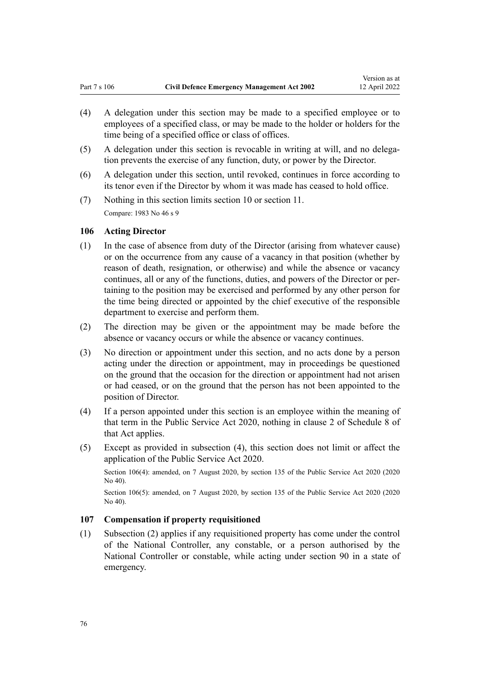- <span id="page-75-0"></span>(4) A delegation under this section may be made to a specified employee or to employees of a specified class, or may be made to the holder or holders for the time being of a specified office or class of offices.
- (5) A delegation under this section is revocable in writing at will, and no delegation prevents the exercise of any function, duty, or power by the Director.
- (6) A delegation under this section, until revoked, continues in force according to its tenor even if the Director by whom it was made has ceased to hold office.
- (7) Nothing in this section limits [section 10](#page-17-0) or [section 11](#page-17-0). Compare: 1983 No 46 s 9

#### **106 Acting Director**

- (1) In the case of absence from duty of the Director (arising from whatever cause) or on the occurrence from any cause of a vacancy in that position (whether by reason of death, resignation, or otherwise) and while the absence or vacancy continues, all or any of the functions, duties, and powers of the Director or pertaining to the position may be exercised and performed by any other person for the time being directed or appointed by the chief executive of the responsible department to exercise and perform them.
- (2) The direction may be given or the appointment may be made before the absence or vacancy occurs or while the absence or vacancy continues.
- (3) No direction or appointment under this section, and no acts done by a person acting under the direction or appointment, may in proceedings be questioned on the ground that the occasion for the direction or appointment had not arisen or had ceased, or on the ground that the person has not been appointed to the position of Director.
- (4) If a person appointed under this section is an employee within the meaning of that term in the [Public Service Act 2020,](http://legislation.govt.nz/pdflink.aspx?id=LMS106157) nothing in [clause 2](http://legislation.govt.nz/pdflink.aspx?id=LMS219507) of Schedule 8 of that Act applies.
- (5) Except as provided in subsection (4), this section does not limit or affect the application of the [Public Service Act 2020.](http://legislation.govt.nz/pdflink.aspx?id=LMS106157)

Section 106(4): amended, on 7 August 2020, by [section 135](http://legislation.govt.nz/pdflink.aspx?id=LMS176959) of the Public Service Act 2020 (2020 No 40).

Section 106(5): amended, on 7 August 2020, by [section 135](http://legislation.govt.nz/pdflink.aspx?id=LMS176959) of the Public Service Act 2020 (2020 No 40).

### **107 Compensation if property requisitioned**

(1) Subsection (2) applies if any requisitioned property has come under the control of the National Controller, any constable, or a person authorised by the National Controller or constable, while acting under [section 90](#page-57-0) in a state of emergency.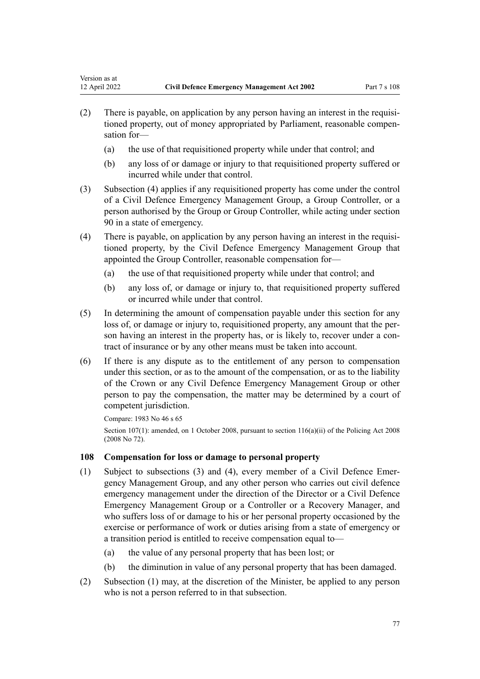- <span id="page-76-0"></span>(2) There is payable, on application by any person having an interest in the requisitioned property, out of money appropriated by Parliament, reasonable compen‐ sation for—
	- (a) the use of that requisitioned property while under that control; and
	- (b) any loss of or damage or injury to that requisitioned property suffered or incurred while under that control.
- (3) Subsection (4) applies if any requisitioned property has come under the control of a Civil Defence Emergency Management Group, a Group Controller, or a person authorised by the Group or Group Controller, while acting under [section](#page-57-0) [90](#page-57-0) in a state of emergency.
- (4) There is payable, on application by any person having an interest in the requisi‐ tioned property, by the Civil Defence Emergency Management Group that appointed the Group Controller, reasonable compensation for—
	- (a) the use of that requisitioned property while under that control; and
	- (b) any loss of, or damage or injury to, that requisitioned property suffered or incurred while under that control.
- (5) In determining the amount of compensation payable under this section for any loss of, or damage or injury to, requisitioned property, any amount that the person having an interest in the property has, or is likely to, recover under a contract of insurance or by any other means must be taken into account.
- (6) If there is any dispute as to the entitlement of any person to compensation under this section, or as to the amount of the compensation, or as to the liability of the Crown or any Civil Defence Emergency Management Group or other person to pay the compensation, the matter may be determined by a court of competent jurisdiction.

Compare: 1983 No 46 s 65 Section 107(1): amended, on 1 October 2008, pursuant to [section 116\(a\)\(ii\)](http://legislation.govt.nz/pdflink.aspx?id=DLM1102349) of the Policing Act 2008 (2008 No 72).

### **108 Compensation for loss or damage to personal property**

- (1) Subject to subsections (3) and (4), every member of a Civil Defence Emer‐ gency Management Group, and any other person who carries out civil defence emergency management under the direction of the Director or a Civil Defence Emergency Management Group or a Controller or a Recovery Manager, and who suffers loss of or damage to his or her personal property occasioned by the exercise or performance of work or duties arising from a state of emergency or a transition period is entitled to receive compensation equal to—
	- (a) the value of any personal property that has been lost; or
	- (b) the diminution in value of any personal property that has been damaged.
- (2) Subsection (1) may, at the discretion of the Minister, be applied to any person who is not a person referred to in that subsection.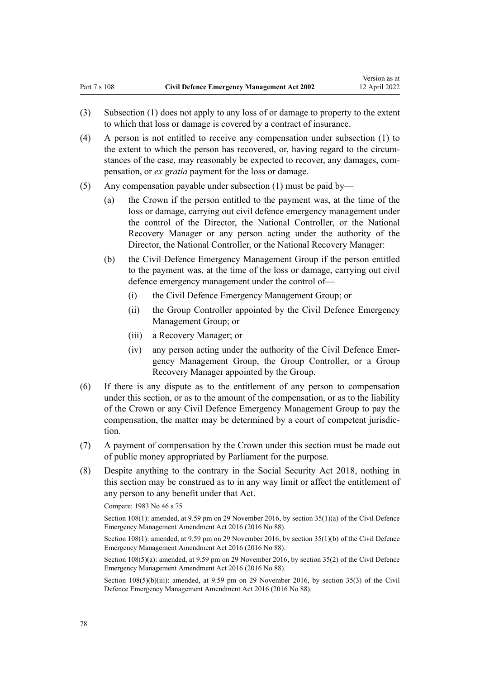- (3) Subsection (1) does not apply to any loss of or damage to property to the extent to which that loss or damage is covered by a contract of insurance.
- (4) A person is not entitled to receive any compensation under subsection (1) to the extent to which the person has recovered, or, having regard to the circum‐ stances of the case, may reasonably be expected to recover, any damages, compensation, or *ex gratia* payment for the loss or damage.
- (5) Any compensation payable under subsection (1) must be paid by—
	- (a) the Crown if the person entitled to the payment was, at the time of the loss or damage, carrying out civil defence emergency management under the control of the Director, the National Controller, or the National Recovery Manager or any person acting under the authority of the Director, the National Controller, or the National Recovery Manager:
	- (b) the Civil Defence Emergency Management Group if the person entitled to the payment was, at the time of the loss or damage, carrying out civil defence emergency management under the control of—
		- (i) the Civil Defence Emergency Management Group; or
		- (ii) the Group Controller appointed by the Civil Defence Emergency Management Group; or
		- (iii) a Recovery Manager; or
		- (iv) any person acting under the authority of the Civil Defence Emer‐ gency Management Group, the Group Controller, or a Group Recovery Manager appointed by the Group.
- (6) If there is any dispute as to the entitlement of any person to compensation under this section, or as to the amount of the compensation, or as to the liability of the Crown or any Civil Defence Emergency Management Group to pay the compensation, the matter may be determined by a court of competent jurisdiction.
- (7) A payment of compensation by the Crown under this section must be made out of public money appropriated by Parliament for the purpose.
- (8) Despite anything to the contrary in the [Social Security Act 2018](http://legislation.govt.nz/pdflink.aspx?id=DLM6783102), nothing in this section may be construed as to in any way limit or affect the entitlement of any person to any benefit under that Act.

Compare: 1983 No 46 s 75

Section 108(1): amended, at 9.59 pm on 29 November 2016, by [section 35\(1\)\(a\)](http://legislation.govt.nz/pdflink.aspx?id=DLM6648918) of the Civil Defence Emergency Management Amendment Act 2016 (2016 No 88).

Section 108(1): amended, at 9.59 pm on 29 November 2016, by [section 35\(1\)\(b\)](http://legislation.govt.nz/pdflink.aspx?id=DLM6648918) of the Civil Defence Emergency Management Amendment Act 2016 (2016 No 88).

Section 108(5)(a): amended, at 9.59 pm on 29 November 2016, by [section 35\(2\)](http://legislation.govt.nz/pdflink.aspx?id=DLM6648918) of the Civil Defence Emergency Management Amendment Act 2016 (2016 No 88).

Section 108(5)(b)(iii): amended, at 9.59 pm on 29 November 2016, by [section 35\(3\)](http://legislation.govt.nz/pdflink.aspx?id=DLM6648918) of the Civil Defence Emergency Management Amendment Act 2016 (2016 No 88).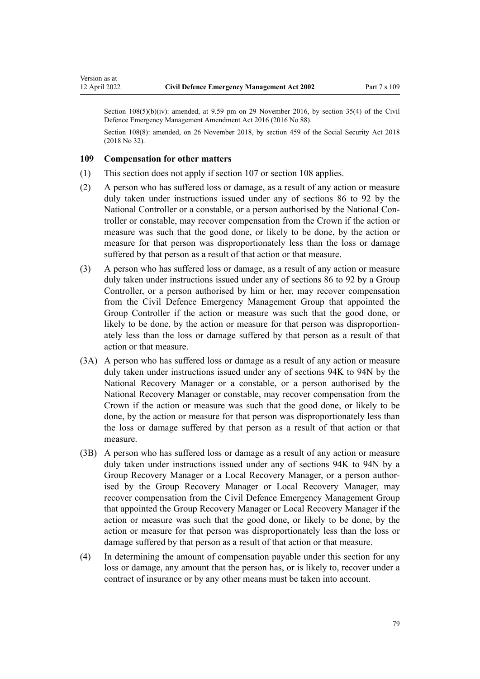Section 108(5)(b)(iv): amended, at 9.59 pm on 29 November 2016, by [section 35\(4\)](http://legislation.govt.nz/pdflink.aspx?id=DLM6648918) of the Civil Defence Emergency Management Amendment Act 2016 (2016 No 88).

Section 108(8): amended, on 26 November 2018, by [section 459](http://legislation.govt.nz/pdflink.aspx?id=DLM6784038) of the Social Security Act 2018 (2018 No 32).

#### **109 Compensation for other matters**

Version as at

- (1) This section does not apply if [section 107](#page-75-0) or [section 108](#page-76-0) applies.
- (2) A person who has suffered loss or damage, as a result of any action or measure duly taken under instructions issued under any of [sections 86 to 92](#page-55-0) by the National Controller or a constable, or a person authorised by the National Con‐ troller or constable, may recover compensation from the Crown if the action or measure was such that the good done, or likely to be done, by the action or measure for that person was disproportionately less than the loss or damage suffered by that person as a result of that action or that measure.
- (3) A person who has suffered loss or damage, as a result of any action or measure duly taken under instructions issued under any of [sections 86 to 92](#page-55-0) by a Group Controller, or a person authorised by him or her, may recover compensation from the Civil Defence Emergency Management Group that appointed the Group Controller if the action or measure was such that the good done, or likely to be done, by the action or measure for that person was disproportion‐ ately less than the loss or damage suffered by that person as a result of that action or that measure.
- (3A) A person who has suffered loss or damage as a result of any action or measure duly taken under instructions issued under any of [sections 94K to 94N](#page-68-0) by the National Recovery Manager or a constable, or a person authorised by the National Recovery Manager or constable, may recover compensation from the Crown if the action or measure was such that the good done, or likely to be done, by the action or measure for that person was disproportionately less than the loss or damage suffered by that person as a result of that action or that measure.
- (3B) A person who has suffered loss or damage as a result of any action or measure duly taken under instructions issued under any of [sections 94K to 94N](#page-68-0) by a Group Recovery Manager or a Local Recovery Manager, or a person author‐ ised by the Group Recovery Manager or Local Recovery Manager, may recover compensation from the Civil Defence Emergency Management Group that appointed the Group Recovery Manager or Local Recovery Manager if the action or measure was such that the good done, or likely to be done, by the action or measure for that person was disproportionately less than the loss or damage suffered by that person as a result of that action or that measure.
- (4) In determining the amount of compensation payable under this section for any loss or damage, any amount that the person has, or is likely to, recover under a contract of insurance or by any other means must be taken into account.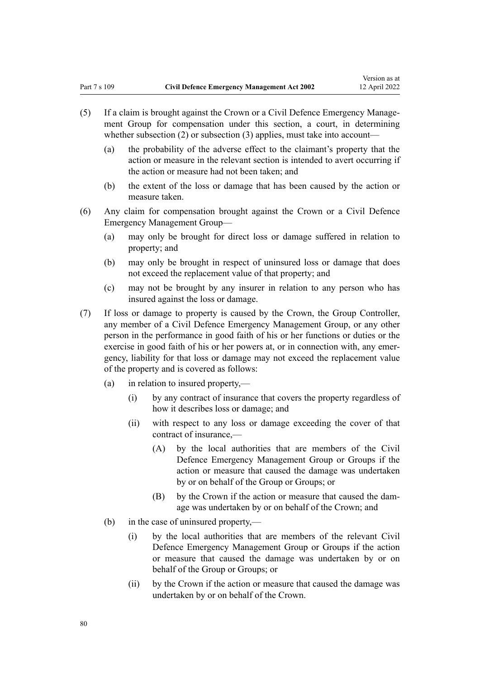- (5) If a claim is brought against the Crown or a Civil Defence Emergency Manage‐ ment Group for compensation under this section, a court, in determining whether subsection  $(2)$  or subsection  $(3)$  applies, must take into account-
	- (a) the probability of the adverse effect to the claimant's property that the action or measure in the relevant section is intended to avert occurring if the action or measure had not been taken; and
	- (b) the extent of the loss or damage that has been caused by the action or measure taken.
- (6) Any claim for compensation brought against the Crown or a Civil Defence Emergency Management Group—
	- (a) may only be brought for direct loss or damage suffered in relation to property; and
	- (b) may only be brought in respect of uninsured loss or damage that does not exceed the replacement value of that property; and
	- (c) may not be brought by any insurer in relation to any person who has insured against the loss or damage.
- (7) If loss or damage to property is caused by the Crown, the Group Controller, any member of a Civil Defence Emergency Management Group, or any other person in the performance in good faith of his or her functions or duties or the exercise in good faith of his or her powers at, or in connection with, any emergency, liability for that loss or damage may not exceed the replacement value of the property and is covered as follows:
	- (a) in relation to insured property,—
		- (i) by any contract of insurance that covers the property regardless of how it describes loss or damage; and
		- (ii) with respect to any loss or damage exceeding the cover of that contract of insurance,—
			- (A) by the local authorities that are members of the Civil Defence Emergency Management Group or Groups if the action or measure that caused the damage was undertaken by or on behalf of the Group or Groups; or
			- (B) by the Crown if the action or measure that caused the dam‐ age was undertaken by or on behalf of the Crown; and
	- (b) in the case of uninsured property,—
		- (i) by the local authorities that are members of the relevant Civil Defence Emergency Management Group or Groups if the action or measure that caused the damage was undertaken by or on behalf of the Group or Groups; or
		- (ii) by the Crown if the action or measure that caused the damage was undertaken by or on behalf of the Crown.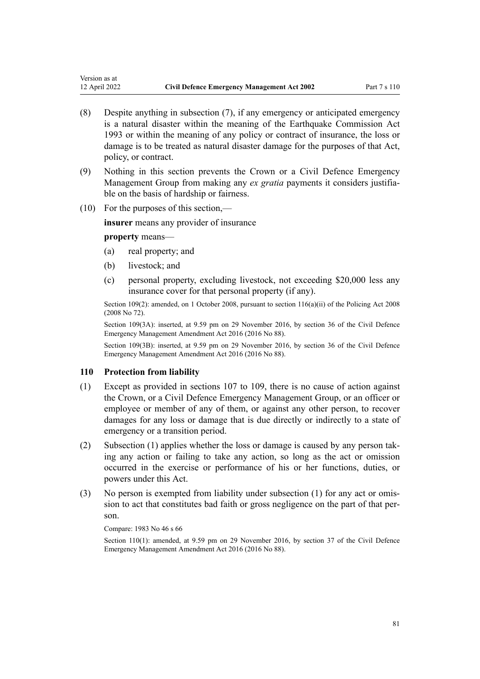- (8) Despite anything in subsection (7), if any emergency or anticipated emergency is a natural disaster within the meaning of the [Earthquake Commission Act](http://legislation.govt.nz/pdflink.aspx?id=DLM305967) [1993](http://legislation.govt.nz/pdflink.aspx?id=DLM305967) or within the meaning of any policy or contract of insurance, the loss or damage is to be treated as natural disaster damage for the purposes of that Act, policy, or contract.
- (9) Nothing in this section prevents the Crown or a Civil Defence Emergency Management Group from making any *ex gratia* payments it considers justifiable on the basis of hardship or fairness.
- (10) For the purposes of this section,—

**insurer** means any provider of insurance

#### **property** means—

Version as at

- (a) real property; and
- (b) livestock; and
- (c) personal property, excluding livestock, not exceeding \$20,000 less any insurance cover for that personal property (if any).

Section 109(2): amended, on 1 October 2008, pursuant to [section 116\(a\)\(ii\)](http://legislation.govt.nz/pdflink.aspx?id=DLM1102349) of the Policing Act 2008 (2008 No 72).

Section 109(3A): inserted, at 9.59 pm on 29 November 2016, by [section 36](http://legislation.govt.nz/pdflink.aspx?id=DLM6648919) of the Civil Defence Emergency Management Amendment Act 2016 (2016 No 88).

Section 109(3B): inserted, at 9.59 pm on 29 November 2016, by [section 36](http://legislation.govt.nz/pdflink.aspx?id=DLM6648919) of the Civil Defence Emergency Management Amendment Act 2016 (2016 No 88).

#### **110 Protection from liability**

- (1) Except as provided in [sections 107 to 109](#page-75-0), there is no cause of action against the Crown, or a Civil Defence Emergency Management Group, or an officer or employee or member of any of them, or against any other person, to recover damages for any loss or damage that is due directly or indirectly to a state of emergency or a transition period.
- (2) Subsection (1) applies whether the loss or damage is caused by any person tak‐ ing any action or failing to take any action, so long as the act or omission occurred in the exercise or performance of his or her functions, duties, or powers under this Act.
- (3) No person is exempted from liability under subsection (1) for any act or omis‐ sion to act that constitutes bad faith or gross negligence on the part of that per‐ son.

Compare: 1983 No 46 s 66

Section 110(1): amended, at 9.59 pm on 29 November 2016, by [section 37](http://legislation.govt.nz/pdflink.aspx?id=DLM6648920) of the Civil Defence Emergency Management Amendment Act 2016 (2016 No 88).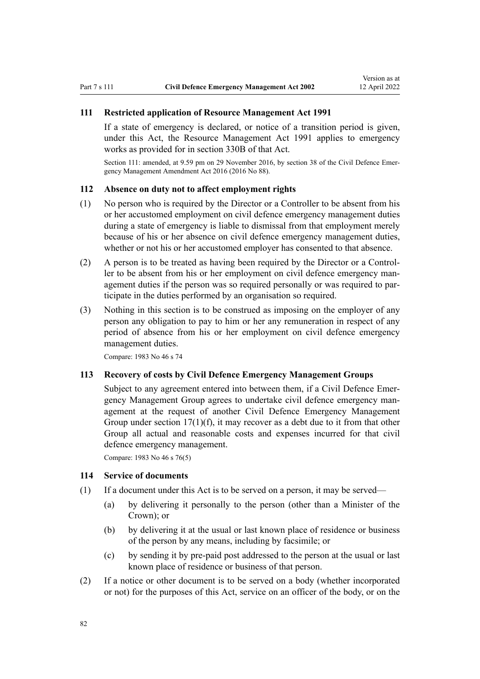### **111 Restricted application of Resource Management Act 1991**

If a state of emergency is declared, or notice of a transition period is given, under this Act, the [Resource Management Act 1991](http://legislation.govt.nz/pdflink.aspx?id=DLM230264) applies to emergency works as provided for in [section 330B](http://legislation.govt.nz/pdflink.aspx?id=DLM239014) of that Act.

Section 111: amended, at 9.59 pm on 29 November 2016, by [section 38](http://legislation.govt.nz/pdflink.aspx?id=DLM6648921) of the Civil Defence Emergency Management Amendment Act 2016 (2016 No 88).

### **112 Absence on duty not to affect employment rights**

- (1) No person who is required by the Director or a Controller to be absent from his or her accustomed employment on civil defence emergency management duties during a state of emergency is liable to dismissal from that employment merely because of his or her absence on civil defence emergency management duties, whether or not his or her accustomed employer has consented to that absence.
- (2) A person is to be treated as having been required by the Director or a Control‐ ler to be absent from his or her employment on civil defence emergency management duties if the person was so required personally or was required to par‐ ticipate in the duties performed by an organisation so required.
- (3) Nothing in this section is to be construed as imposing on the employer of any person any obligation to pay to him or her any remuneration in respect of any period of absence from his or her employment on civil defence emergency management duties.

Compare: 1983 No 46 s 74

#### **113 Recovery of costs by Civil Defence Emergency Management Groups**

Subject to any agreement entered into between them, if a Civil Defence Emergency Management Group agrees to undertake civil defence emergency man‐ agement at the request of another Civil Defence Emergency Management Group under section  $17(1)(f)$ , it may recover as a debt due to it from that other Group all actual and reasonable costs and expenses incurred for that civil defence emergency management.

Compare: 1983 No 46 s 76(5)

#### **114 Service of documents**

- (1) If a document under this Act is to be served on a person, it may be served—
	- (a) by delivering it personally to the person (other than a Minister of the Crown); or
	- (b) by delivering it at the usual or last known place of residence or business of the person by any means, including by facsimile; or
	- (c) by sending it by pre-paid post addressed to the person at the usual or last known place of residence or business of that person.
- (2) If a notice or other document is to be served on a body (whether incorporated or not) for the purposes of this Act, service on an officer of the body, or on the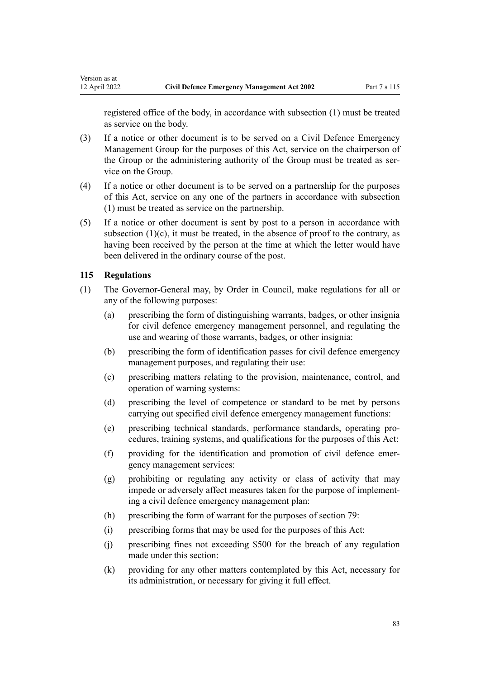registered office of the body, in accordance with subsection (1) must be treated as service on the body.

- (3) If a notice or other document is to be served on a Civil Defence Emergency Management Group for the purposes of this Act, service on the chairperson of the Group or the administering authority of the Group must be treated as service on the Group.
- (4) If a notice or other document is to be served on a partnership for the purposes of this Act, service on any one of the partners in accordance with subsection (1) must be treated as service on the partnership.
- (5) If a notice or other document is sent by post to a person in accordance with subsection  $(1)(c)$ , it must be treated, in the absence of proof to the contrary, as having been received by the person at the time at which the letter would have been delivered in the ordinary course of the post.

### **115 Regulations**

Version as at

- (1) The Governor-General may, by Order in Council, make regulations for all or any of the following purposes:
	- (a) prescribing the form of distinguishing warrants, badges, or other insignia for civil defence emergency management personnel, and regulating the use and wearing of those warrants, badges, or other insignia:
	- (b) prescribing the form of identification passes for civil defence emergency management purposes, and regulating their use:
	- (c) prescribing matters relating to the provision, maintenance, control, and operation of warning systems:
	- (d) prescribing the level of competence or standard to be met by persons carrying out specified civil defence emergency management functions:
	- (e) prescribing technical standards, performance standards, operating pro‐ cedures, training systems, and qualifications for the purposes of this Act:
	- (f) providing for the identification and promotion of civil defence emer‐ gency management services:
	- (g) prohibiting or regulating any activity or class of activity that may impede or adversely affect measures taken for the purpose of implementing a civil defence emergency management plan:
	- (h) prescribing the form of warrant for the purposes of [section 79:](#page-52-0)
	- (i) prescribing forms that may be used for the purposes of this Act:
	- (j) prescribing fines not exceeding \$500 for the breach of any regulation made under this section:
	- (k) providing for any other matters contemplated by this Act, necessary for its administration, or necessary for giving it full effect.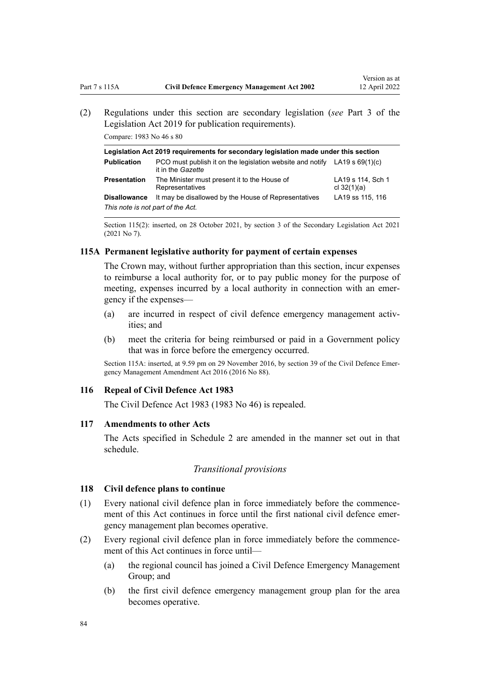<span id="page-83-0"></span>(2) Regulations under this section are secondary legislation (*see* [Part 3](http://legislation.govt.nz/pdflink.aspx?id=DLM7298343) of the Legislation Act 2019 for publication requirements).

Compare: 1983 No 46 s 80

| Legislation Act 2019 requirements for secondary legislation made under this section |                                                                                                  |                                    |
|-------------------------------------------------------------------------------------|--------------------------------------------------------------------------------------------------|------------------------------------|
| <b>Publication</b>                                                                  | PCO must publish it on the legislation website and notify LA19 s $69(1)(c)$<br>it in the Gazette |                                    |
| Presentation                                                                        | The Minister must present it to the House of<br>Representatives                                  | LA19 s 114, Sch 1<br>cl $32(1)(a)$ |
| <b>Disallowance</b>                                                                 | It may be disallowed by the House of Representatives                                             | LA19 ss 115, 116                   |
| This note is not part of the Act.                                                   |                                                                                                  |                                    |

Section 115(2): inserted, on 28 October 2021, by [section 3](http://legislation.govt.nz/pdflink.aspx?id=LMS268932) of the Secondary Legislation Act 2021 (2021 No 7).

### **115A Permanent legislative authority for payment of certain expenses**

The Crown may, without further appropriation than this section, incur expenses to reimburse a local authority for, or to pay public money for the purpose of meeting, expenses incurred by a local authority in connection with an emergency if the expenses—

- (a) are incurred in respect of civil defence emergency management activities; and
- (b) meet the criteria for being reimbursed or paid in a Government policy that was in force before the emergency occurred.

Section 115A: inserted, at 9.59 pm on 29 November 2016, by [section 39](http://legislation.govt.nz/pdflink.aspx?id=DLM6648922) of the Civil Defence Emergency Management Amendment Act 2016 (2016 No 88).

#### **116 Repeal of Civil Defence Act 1983**

The Civil Defence Act 1983 (1983 No 46) is repealed.

### **117 Amendments to other Acts**

The Acts specified in [Schedule 2](#page-90-0) are amended in the manner set out in that schedule.

#### *Transitional provisions*

#### **118 Civil defence plans to continue**

- (1) Every national civil defence plan in force immediately before the commence‐ ment of this Act continues in force until the first national civil defence emergency management plan becomes operative.
- (2) Every regional civil defence plan in force immediately before the commence‐ ment of this Act continues in force until—
	- (a) the regional council has joined a Civil Defence Emergency Management Group; and
	- (b) the first civil defence emergency management group plan for the area becomes operative.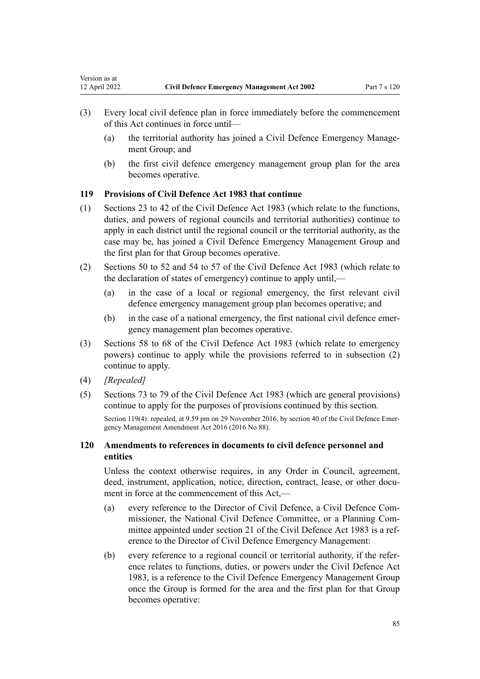- (a) the territorial authority has joined a Civil Defence Emergency Management Group; and
- (b) the first civil defence emergency management group plan for the area becomes operative.

#### **119 Provisions of Civil Defence Act 1983 that continue**

- (1) Sections 23 to 42 of the Civil Defence Act 1983 (which relate to the functions, duties, and powers of regional councils and territorial authorities) continue to apply in each district until the regional council or the territorial authority, as the case may be, has joined a Civil Defence Emergency Management Group and the first plan for that Group becomes operative.
- (2) Sections 50 to 52 and 54 to 57 of the Civil Defence Act 1983 (which relate to the declaration of states of emergency) continue to apply until,—
	- (a) in the case of a local or regional emergency, the first relevant civil defence emergency management group plan becomes operative; and
	- (b) in the case of a national emergency, the first national civil defence emergency management plan becomes operative.
- (3) Sections 58 to 68 of the Civil Defence Act 1983 (which relate to emergency powers) continue to apply while the provisions referred to in subsection (2) continue to apply.
- (4) *[Repealed]*

Version as at

(5) Sections 73 to 79 of the Civil Defence Act 1983 (which are general provisions) continue to apply for the purposes of provisions continued by this section.

Section 119(4): repealed, at 9.59 pm on 29 November 2016, by [section 40](http://legislation.govt.nz/pdflink.aspx?id=DLM6648924) of the Civil Defence Emergency Management Amendment Act 2016 (2016 No 88).

# **120 Amendments to references in documents to civil defence personnel and entities**

Unless the context otherwise requires, in any Order in Council, agreement, deed, instrument, application, notice, direction, contract, lease, or other document in force at the commencement of this Act,—

- (a) every reference to the Director of Civil Defence, a Civil Defence Com‐ missioner, the National Civil Defence Committee, or a Planning Com‐ mittee appointed under section 21 of the Civil Defence Act 1983 is a reference to the Director of Civil Defence Emergency Management:
- (b) every reference to a regional council or territorial authority, if the refer‐ ence relates to functions, duties, or powers under the Civil Defence Act 1983, is a reference to the Civil Defence Emergency Management Group once the Group is formed for the area and the first plan for that Group becomes operative: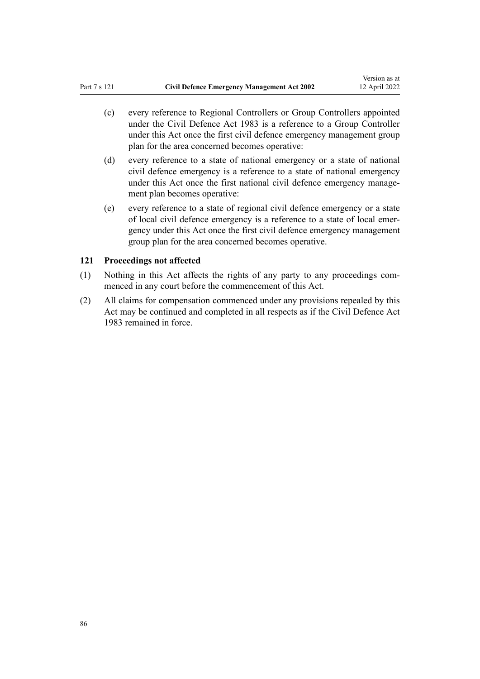(c) every reference to Regional Controllers or Group Controllers appointed under the Civil Defence Act 1983 is a reference to a Group Controller under this Act once the first civil defence emergency management group plan for the area concerned becomes operative:

Version as at

- (d) every reference to a state of national emergency or a state of national civil defence emergency is a reference to a state of national emergency under this Act once the first national civil defence emergency management plan becomes operative:
- (e) every reference to a state of regional civil defence emergency or a state of local civil defence emergency is a reference to a state of local emer‐ gency under this Act once the first civil defence emergency management group plan for the area concerned becomes operative.

## **121 Proceedings not affected**

- (1) Nothing in this Act affects the rights of any party to any proceedings com‐ menced in any court before the commencement of this Act.
- (2) All claims for compensation commenced under any provisions repealed by this Act may be continued and completed in all respects as if the Civil Defence Act 1983 remained in force.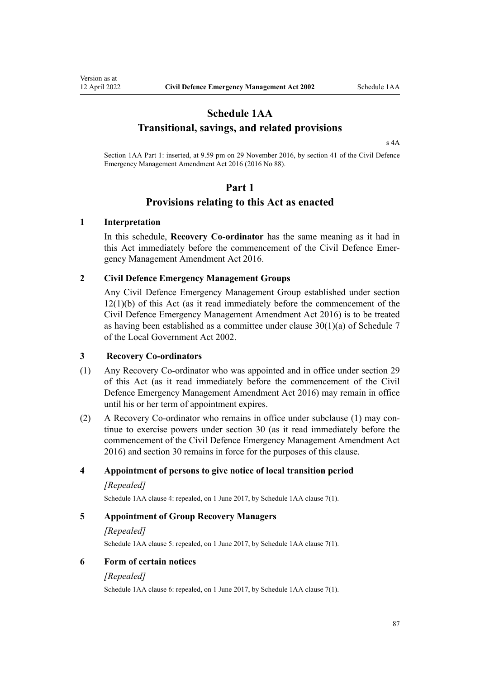# **Schedule 1AA Transitional, savings, and related provisions**

[s 4A](#page-13-0)

Section 1AA Part 1: inserted, at 9.59 pm on 29 November 2016, by [section 41](http://legislation.govt.nz/pdflink.aspx?id=DLM6648925) of the Civil Defence Emergency Management Amendment Act 2016 (2016 No 88).

#### **Part 1**

# **Provisions relating to this Act as enacted**

### **1 Interpretation**

Version as at<br>12 April 2022

In this schedule, **Recovery Co-ordinator** has the same meaning as it had in this Act immediately before the commencement of the Civil Defence Emer[gency Management Amendment Act 2016.](http://legislation.govt.nz/pdflink.aspx?id=DLM6648802)

### **2 Civil Defence Emergency Management Groups**

Any Civil Defence Emergency Management Group established under [section](#page-19-0) [12\(1\)\(b\)](#page-19-0) of this Act (as it read immediately before the commencement of the [Civil Defence Emergency Management Amendment Act 2016\)](http://legislation.govt.nz/pdflink.aspx?id=DLM6648802) is to be treated as having been established as a committee under [clause 30\(1\)\(a\)](http://legislation.govt.nz/pdflink.aspx?id=DLM175699) of Schedule 7 of the Local Government Act 2002.

#### **3 Recovery Co-ordinators**

- (1) Any Recovery Co-ordinator who was appointed and in office under [section 29](#page-29-0) of this Act (as it read immediately before the commencement of the [Civil](http://legislation.govt.nz/pdflink.aspx?id=DLM6648802) [Defence Emergency Management Amendment Act 2016](http://legislation.govt.nz/pdflink.aspx?id=DLM6648802)) may remain in office until his or her term of appointment expires.
- (2) A Recovery Co-ordinator who remains in office under subclause (1) may con‐ tinue to exercise powers under [section 30](#page-29-0) (as it read immediately before the commencement of the [Civil Defence Emergency Management Amendment Act](http://legislation.govt.nz/pdflink.aspx?id=DLM6648802) [2016](http://legislation.govt.nz/pdflink.aspx?id=DLM6648802)) and section 30 remains in force for the purposes of this clause.

### **4 Appointment of persons to give notice of local transition period**

#### *[Repealed]*

Schedule 1AA clause 4: repealed, on 1 June 2017, by Schedule 1AA [clause 7\(1\)](#page-87-0).

#### **5 Appointment of Group Recovery Managers**

#### *[Repealed]*

Schedule 1AA clause 5: repealed, on 1 June 2017, by Schedule 1AA [clause 7\(1\)](#page-87-0).

### **6 Form of certain notices**

#### *[Repealed]*

Schedule 1AA clause 6: repealed, on 1 June 2017, by Schedule 1AA [clause 7\(1\)](#page-87-0).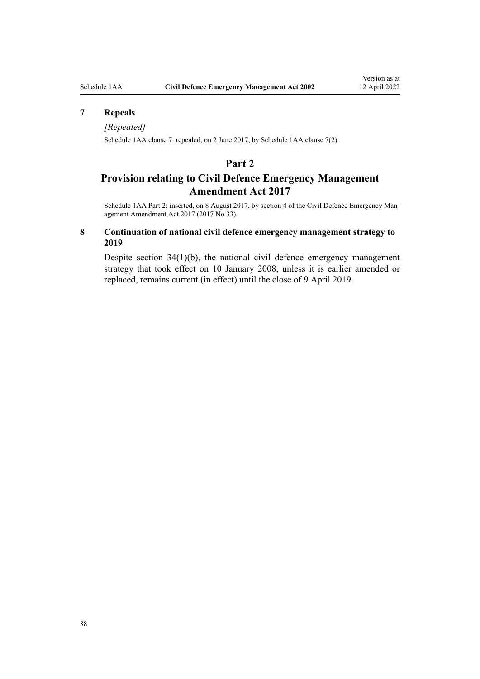## <span id="page-87-0"></span>**7 Repeals**

#### *[Repealed]*

Schedule 1AA clause 7: repealed, on 2 June 2017, by Schedule 1AA clause 7(2).

# **Part 2**

# **Provision relating to Civil Defence Emergency Management Amendment Act 2017**

Schedule 1AA Part 2: inserted, on 8 August 2017, by [section 4](http://legislation.govt.nz/pdflink.aspx?id=DLM7388212) of the Civil Defence Emergency Management Amendment Act 2017 (2017 No 33).

## **8 Continuation of national civil defence emergency management strategy to 2019**

Despite [section 34\(1\)\(b\),](#page-31-0) the national civil defence emergency management strategy that took effect on 10 January 2008, unless it is earlier amended or replaced, remains current (in effect) until the close of 9 April 2019.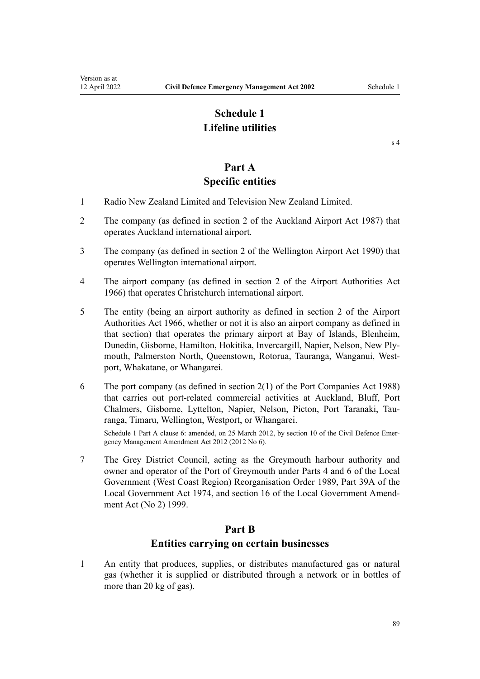# **Schedule 1 Lifeline utilities**

[s 4](#page-7-0)

# **Part A Specific entities**

- 1 Radio New Zealand Limited and Television New Zealand Limited.
- 2 The company (as defined in [section 2](http://legislation.govt.nz/pdflink.aspx?id=DLM125376) of the Auckland Airport Act 1987) that operates Auckland international airport.
- 3 The company (as defined in [section 2](http://legislation.govt.nz/pdflink.aspx?id=DLM211896) of the Wellington Airport Act 1990) that operates Wellington international airport.
- 4 The airport company (as defined in [section 2](http://legislation.govt.nz/pdflink.aspx?id=DLM379829) of the Airport Authorities Act 1966) that operates Christchurch international airport.
- 5 The entity (being an airport authority as defined in [section 2](http://legislation.govt.nz/pdflink.aspx?id=DLM379829) of the Airport Authorities Act 1966, whether or not it is also an airport company as defined in that section) that operates the primary airport at Bay of Islands, Blenheim, Dunedin, Gisborne, Hamilton, Hokitika, Invercargill, Napier, Nelson, New Ply‐ mouth, Palmerston North, Queenstown, Rotorua, Tauranga, Wanganui, Westport, Whakatane, or Whangarei.
- 6 The port company (as defined in [section 2\(1\)](http://legislation.govt.nz/pdflink.aspx?id=DLM131688) of the Port Companies Act 1988) that carries out port-related commercial activities at Auckland, Bluff, Port Chalmers, Gisborne, Lyttelton, Napier, Nelson, Picton, Port Taranaki, Tauranga, Timaru, Wellington, Westport, or Whangarei.

Schedule 1 Part A clause 6: amended, on 25 March 2012, by [section 10](http://legislation.govt.nz/pdflink.aspx?id=DLM4013715) of the Civil Defence Emergency Management Amendment Act 2012 (2012 No 6).

7 The Grey District Council, acting as the Greymouth harbour authority and owner and operator of the Port of Greymouth under Parts 4 and 6 of the Local Government (West Coast Region) Reorganisation Order 1989, [Part 39A](http://legislation.govt.nz/pdflink.aspx?id=DLM423527) of the Local Government Act 1974, and [section 16](http://legislation.govt.nz/pdflink.aspx?id=DLM23555) of the Local Government Amend‐ ment Act (No 2) 1999.

# **Part B**

# **Entities carrying on certain businesses**

1 An entity that produces, supplies, or distributes manufactured gas or natural gas (whether it is supplied or distributed through a network or in bottles of more than 20 kg of gas).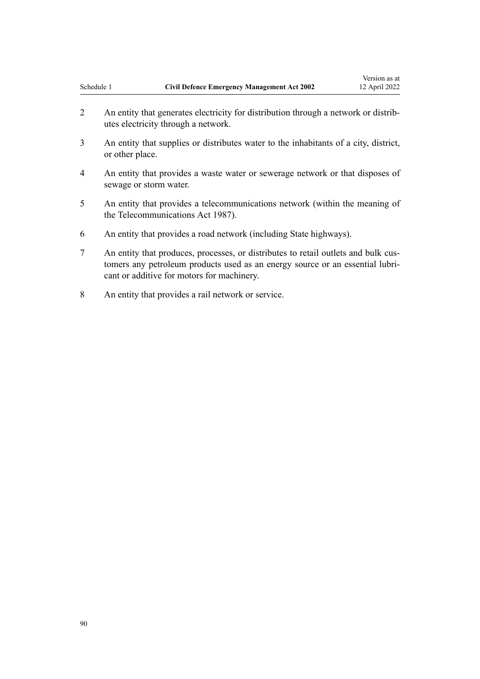2 An entity that generates electricity for distribution through a network or distributes electricity through a network.

Version as at

- 3 An entity that supplies or distributes water to the inhabitants of a city, district, or other place.
- 4 An entity that provides a waste water or sewerage network or that disposes of sewage or storm water.
- 5 An entity that provides a telecommunications network (within the meaning of the [Telecommunications Act 1987](http://legislation.govt.nz/pdflink.aspx?id=DLM119011)).
- 6 An entity that provides a road network (including State highways).
- 7 An entity that produces, processes, or distributes to retail outlets and bulk cus‐ tomers any petroleum products used as an energy source or an essential lubricant or additive for motors for machinery.
- 8 An entity that provides a rail network or service.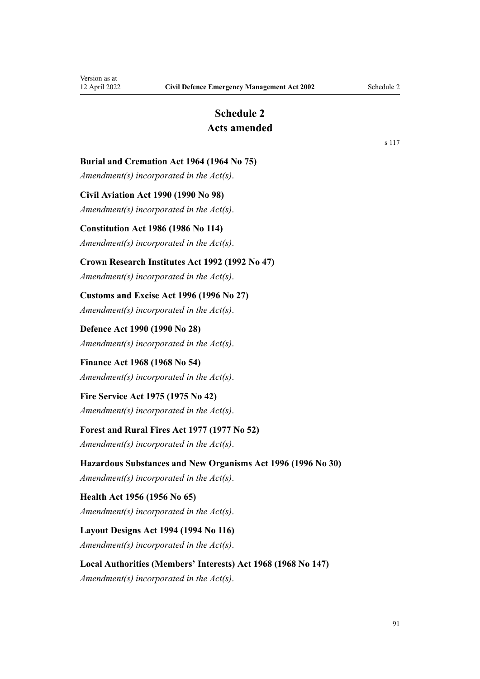# **Schedule 2 Acts amended**

[s 117](#page-83-0)

## <span id="page-90-0"></span>**Burial and Cremation Act 1964 (1964 No 75)**

*Amendment(s) incorporated in the [Act\(s\)](http://legislation.govt.nz/pdflink.aspx?id=DLM355078)*.

### **Civil Aviation Act 1990 (1990 No 98)**

*Amendment(s) incorporated in the [Act\(s\)](http://legislation.govt.nz/pdflink.aspx?id=DLM214686)*.

#### **Constitution Act 1986 (1986 No 114)**

*Amendment(s) incorporated in the [Act\(s\)](http://legislation.govt.nz/pdflink.aspx?id=DLM94243)*.

## **Crown Research Institutes Act 1992 (1992 No 47)**

*Amendment(s) incorporated in the [Act\(s\)](http://legislation.govt.nz/pdflink.aspx?id=DLM265655)*.

# **Customs and Excise Act 1996 (1996 No 27)**

*Amendment(s) incorporated in the [Act\(s\)](http://legislation.govt.nz/pdflink.aspx?id=DLM378146)*.

# **Defence Act 1990 (1990 No 28)** *Amendment(s) incorporated in the [Act\(s\)](http://legislation.govt.nz/pdflink.aspx?id=DLM204972)*.

# **Finance Act 1968 (1968 No 54)**

*Amendment(s) incorporated in the [Act\(s\)](http://legislation.govt.nz/pdflink.aspx?id=DLM388272)*.

# **Fire Service Act 1975 (1975 No 42)**

*Amendment(s) incorporated in the [Act\(s\)](http://legislation.govt.nz/pdflink.aspx?id=DLM432647)*.

# **Forest and Rural Fires Act 1977 (1977 No 52)**

*Amendment(s) incorporated in the [Act\(s\)](http://legislation.govt.nz/pdflink.aspx?id=DLM443387)*.

# **Hazardous Substances and New Organisms Act 1996 (1996 No 30)**

*Amendment(s) incorporated in the [Act\(s\)](http://legislation.govt.nz/pdflink.aspx?id=DLM381221)*.

# **Health Act 1956 (1956 No 65)** *Amendment(s) incorporated in the [Act\(s\)](http://legislation.govt.nz/pdflink.aspx?id=DLM305839)*.

**Layout Designs Act 1994 (1994 No 116)** *Amendment(s) incorporated in the [Act\(s\)](http://legislation.govt.nz/pdflink.aspx?id=DLM342156)*.

# **Local Authorities (Members' Interests) Act 1968 (1968 No 147)** *Amendment(s) incorporated in the [Act\(s\)](http://legislation.govt.nz/pdflink.aspx?id=DLM390021)*.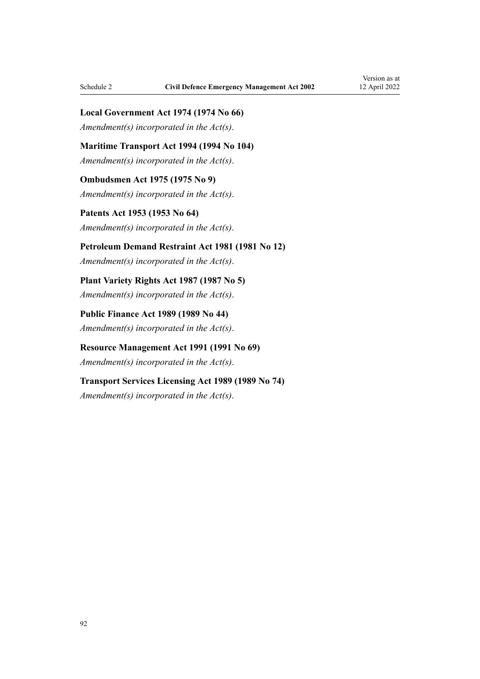## **Local Government Act 1974 (1974 No 66)**

*Amendment(s) incorporated in the [Act\(s\)](http://legislation.govt.nz/pdflink.aspx?id=DLM415531)*.

**Maritime Transport Act 1994 (1994 No 104)**

*Amendment(s) incorporated in the [Act\(s\)](http://legislation.govt.nz/pdflink.aspx?id=DLM334659)*.

**Ombudsmen Act 1975 (1975 No 9)** *Amendment(s) incorporated in the [Act\(s\)](http://legislation.govt.nz/pdflink.aspx?id=DLM431204)*.

**Patents Act 1953 (1953 No 64)** *Amendment(s) incorporated in the [Act\(s\)](http://legislation.govt.nz/pdflink.aspx?id=DLM280729)*.

**Petroleum Demand Restraint Act 1981 (1981 No 12)**

*Amendment(s) incorporated in the [Act\(s\)](http://legislation.govt.nz/pdflink.aspx?id=DLM44083)*.

**Plant Variety Rights Act 1987 (1987 No 5)** *Amendment(s) incorporated in the [Act\(s\)](http://legislation.govt.nz/pdflink.aspx?id=DLM101060)*.

**Public Finance Act 1989 (1989 No 44)** *Amendment(s) incorporated in the [Act\(s\)](http://legislation.govt.nz/pdflink.aspx?id=DLM161607)*.

**Resource Management Act 1991 (1991 No 69)** *Amendment(s) incorporated in the [Act\(s\)](http://legislation.govt.nz/pdflink.aspx?id=DLM239014)*.

**Transport Services Licensing Act 1989 (1989 No 74)** *Amendment(s) incorporated in the [Act\(s\)](http://legislation.govt.nz/pdflink.aspx?id=DLM172825)*.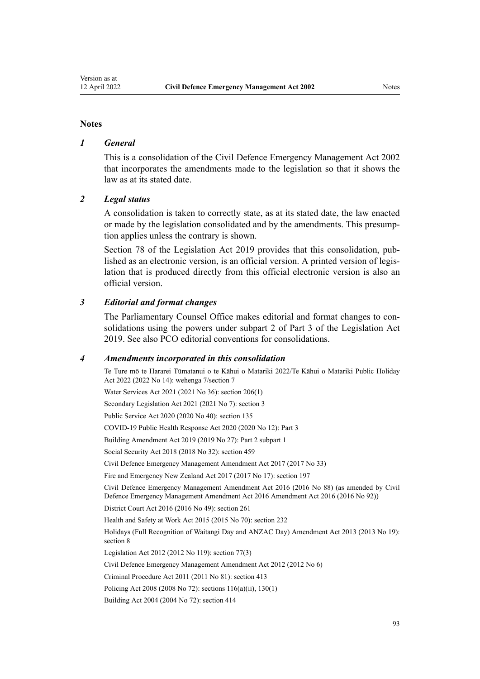#### **Notes**

## *1 General*

This is a consolidation of the Civil Defence Emergency Management Act 2002 that incorporates the amendments made to the legislation so that it shows the law as at its stated date.

#### *2 Legal status*

A consolidation is taken to correctly state, as at its stated date, the law enacted or made by the legislation consolidated and by the amendments. This presump‐ tion applies unless the contrary is shown.

[Section 78](http://legislation.govt.nz/pdflink.aspx?id=DLM7298365) of the Legislation Act 2019 provides that this consolidation, published as an electronic version, is an official version. A printed version of legis‐ lation that is produced directly from this official electronic version is also an official version.

### *3 Editorial and format changes*

The Parliamentary Counsel Office makes editorial and format changes to consolidations using the powers under [subpart 2](http://legislation.govt.nz/pdflink.aspx?id=DLM7298371) of Part 3 of the Legislation Act 2019. See also [PCO editorial conventions for consolidations](http://www.pco.govt.nz/editorial-conventions/).

#### *4 Amendments incorporated in this consolidation*

Te Ture mō te Hararei Tūmatanui o te Kāhui o Matariki 2022/Te Kāhui o Matariki Public Holiday Act 2022 (2022 No 14): [wehenga 7/](http://legislation.govt.nz/pdflink.aspx?id=LMS557838)[section 7](http://legislation.govt.nz/pdflink.aspx?id=LMS557848) Water Services Act 2021 (2021 No 36): [section 206\(1\)](http://legislation.govt.nz/pdflink.aspx?id=LMS374952) Secondary Legislation Act 2021 (2021 No 7): [section 3](http://legislation.govt.nz/pdflink.aspx?id=LMS268932) Public Service Act 2020 (2020 No 40): [section 135](http://legislation.govt.nz/pdflink.aspx?id=LMS176959) COVID-19 Public Health Response Act 2020 (2020 No 12): [Part 3](http://legislation.govt.nz/pdflink.aspx?id=LMS344218) Building Amendment Act 2019 (2019 No 27): Part 2 [subpart 1](http://legislation.govt.nz/pdflink.aspx?id=LMS73772) Social Security Act 2018 (2018 No 32): [section 459](http://legislation.govt.nz/pdflink.aspx?id=DLM6784038) [Civil Defence Emergency Management Amendment Act 2017](http://legislation.govt.nz/pdflink.aspx?id=DLM7388201) (2017 No 33) Fire and Emergency New Zealand Act 2017 (2017 No 17): [section 197](http://legislation.govt.nz/pdflink.aspx?id=DLM6678752) [Civil Defence Emergency Management Amendment Act 2016](http://legislation.govt.nz/pdflink.aspx?id=DLM6648802) (2016 No 88) (as amended by [Civil](http://legislation.govt.nz/pdflink.aspx?id=DLM7048502) [Defence Emergency Management Amendment Act 2016 Amendment Act 2016](http://legislation.govt.nz/pdflink.aspx?id=DLM7048502) (2016 No 92)) District Court Act 2016 (2016 No 49): [section 261](http://legislation.govt.nz/pdflink.aspx?id=DLM6942680) Health and Safety at Work Act 2015 (2015 No 70): [section 232](http://legislation.govt.nz/pdflink.aspx?id=DLM5977236) Holidays (Full Recognition of Waitangi Day and ANZAC Day) Amendment Act 2013 (2013 No 19): [section 8](http://legislation.govt.nz/pdflink.aspx?id=DLM4929207) Legislation Act 2012 (2012 No 119): [section 77\(3\)](http://legislation.govt.nz/pdflink.aspx?id=DLM2998633) [Civil Defence Emergency Management Amendment Act 2012](http://legislation.govt.nz/pdflink.aspx?id=DLM4013700) (2012 No 6) Criminal Procedure Act 2011 (2011 No 81): [section 413](http://legislation.govt.nz/pdflink.aspx?id=DLM3360714) Policing Act 2008 (2008 No 72): [sections 116\(a\)\(ii\),](http://legislation.govt.nz/pdflink.aspx?id=DLM1102349) [130\(1\)](http://legislation.govt.nz/pdflink.aspx?id=DLM1102383) Building Act 2004 (2004 No 72): [section 414](http://legislation.govt.nz/pdflink.aspx?id=DLM309090)